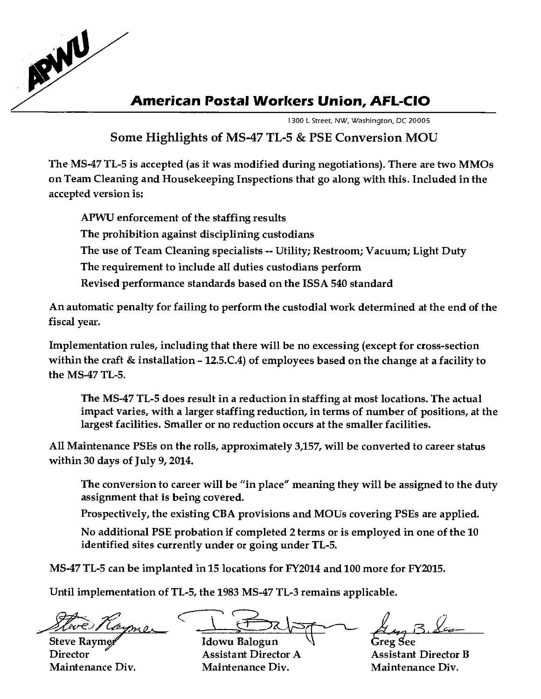

# **American Postal Workers Union, AFL-CIO**

1300 L Street, NW, Washington, DC 20005

# Some Highlights of MS-47 TL-5 & PSE Conversion MOU

The MS-47 TL-5 is accepted (as it was modified during negotiations). There are two MMOs on Team Cleaning and Housekeeping Inspections that go along with this. Included in the accepted version is:

APWU enforcement of the staffing results The prohibition against disciplining custodians The use of Team Cleaning specialists -- Utility; Restroom; Vacuum; Light Duty The requirement to include all duties custodians perform Revised performance standards based on the ISSA 540 standard

An automatic penalty for failing to perform the custodial work determined at the end of the fiscal year.

Implementation rules, including that there will be no excessing (except for cross-section within the craft  $\&$  installation – 12.5.C.4) of employees based on the change at a facility to the MS-47 TL-5.

The MS-47 TL-5 does result in a reduction in staffing at most locations. The actual impact varies, with a larger staffing reduction, in terms of number of positions, at the largest facilities. Smaller or no reduction occurs at the smaller facilities.

All Maintenance PSEs on the rolls, approximately 3,157, will be converted to career status within 30 days of July 9, 2014.

The conversion to career will be "in place" meaning they will be assigned to the duty assignment that is being covered.

Prospectively, the existing CBA provisions and MOUs covering PSEs are applied.

No additional PSE probation if completed 2 terms or is employed in one of the 10 identified sites currently under or going under TL-5.

MS-47 TL-5 can be implanted in 15 locations for FY2014 and 100 more for FY2015.

Until implementation of TL-5, the 1983 MS-47 TL-3 remains applicable.

Stic Raymer Dato

Steve Raymer **Steve Raymer** 1dowu Balogun V Greg See Director Assistant Director A Assistant Director B Maintenance Div. Maintenance Div. Maintenance Div.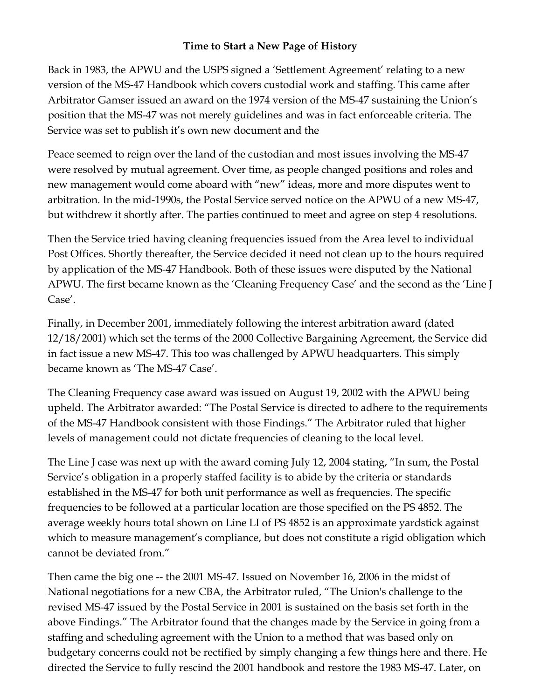# **Time to Start a New Page of History**

Back in 1983, the APWU and the USPS signed a 'Settlement Agreement' relating to a new version of the MS-47 Handbook which covers custodial work and staffing. This came after Arbitrator Gamser issued an award on the 1974 version of the MS-47 sustaining the Union's position that the MS-47 was not merely guidelines and was in fact enforceable criteria. The Service was set to publish it's own new document and the

Peace seemed to reign over the land of the custodian and most issues involving the MS-47 were resolved by mutual agreement. Over time, as people changed positions and roles and new management would come aboard with "new" ideas, more and more disputes went to arbitration. In the mid-1990s, the Postal Service served notice on the APWU of a new MS-47, but withdrew it shortly after. The parties continued to meet and agree on step 4 resolutions.

Then the Service tried having cleaning frequencies issued from the Area level to individual Post Offices. Shortly thereafter, the Service decided it need not clean up to the hours required by application of the MS-47 Handbook. Both of these issues were disputed by the National APWU. The first became known as the 'Cleaning Frequency Case' and the second as the 'Line J Case'.

Finally, in December 2001, immediately following the interest arbitration award (dated 12/18/2001) which set the terms of the 2000 Collective Bargaining Agreement, the Service did in fact issue a new MS-47. This too was challenged by APWU headquarters. This simply became known as 'The MS-47 Case'.

The Cleaning Frequency case award was issued on August 19, 2002 with the APWU being upheld. The Arbitrator awarded: "The Postal Service is directed to adhere to the requirements of the MS-47 Handbook consistent with those Findings." The Arbitrator ruled that higher levels of management could not dictate frequencies of cleaning to the local level.

The Line J case was next up with the award coming July 12, 2004 stating, "In sum, the Postal Service's obligation in a properly staffed facility is to abide by the criteria or standards established in the MS-47 for both unit performance as well as frequencies. The specific frequencies to be followed at a particular location are those specified on the PS 4852. The average weekly hours total shown on Line LI of PS 4852 is an approximate yardstick against which to measure management's compliance, but does not constitute a rigid obligation which cannot be deviated from."

Then came the big one -- the 2001 MS-47. Issued on November 16, 2006 in the midst of National negotiations for a new CBA, the Arbitrator ruled, "The Union's challenge to the revised MS-47 issued by the Postal Service in 2001 is sustained on the basis set forth in the above Findings." The Arbitrator found that the changes made by the Service in going from a staffing and scheduling agreement with the Union to a method that was based only on budgetary concerns could not be rectified by simply changing a few things here and there. He directed the Service to fully rescind the 2001 handbook and restore the 1983 MS-47. Later, on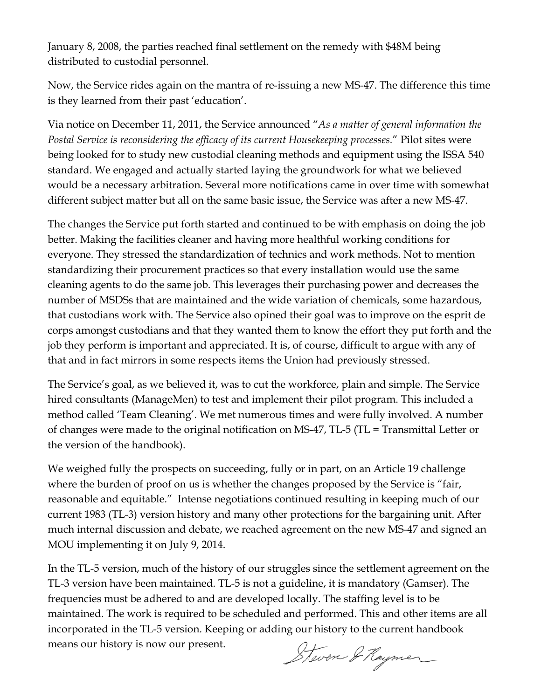January 8, 2008, the parties reached final settlement on the remedy with \$48M being distributed to custodial personnel.

Now, the Service rides again on the mantra of re-issuing a new MS-47. The difference this time is they learned from their past 'education'.

Via notice on December 11, 2011, the Service announced "*As a matter of general information the Postal Service is reconsidering the efficacy of its current Housekeeping processes.*" Pilot sites were being looked for to study new custodial cleaning methods and equipment using the ISSA 540 standard. We engaged and actually started laying the groundwork for what we believed would be a necessary arbitration. Several more notifications came in over time with somewhat different subject matter but all on the same basic issue, the Service was after a new MS-47.

The changes the Service put forth started and continued to be with emphasis on doing the job better. Making the facilities cleaner and having more healthful working conditions for everyone. They stressed the standardization of technics and work methods. Not to mention standardizing their procurement practices so that every installation would use the same cleaning agents to do the same job. This leverages their purchasing power and decreases the number of MSDSs that are maintained and the wide variation of chemicals, some hazardous, that custodians work with. The Service also opined their goal was to improve on the esprit de corps amongst custodians and that they wanted them to know the effort they put forth and the job they perform is important and appreciated. It is, of course, difficult to argue with any of that and in fact mirrors in some respects items the Union had previously stressed.

The Service's goal, as we believed it, was to cut the workforce, plain and simple. The Service hired consultants (ManageMen) to test and implement their pilot program. This included a method called 'Team Cleaning'. We met numerous times and were fully involved. A number of changes were made to the original notification on MS-47, TL-5 (TL = Transmittal Letter or the version of the handbook).

We weighed fully the prospects on succeeding, fully or in part, on an Article 19 challenge where the burden of proof on us is whether the changes proposed by the Service is "fair, reasonable and equitable." Intense negotiations continued resulting in keeping much of our current 1983 (TL-3) version history and many other protections for the bargaining unit. After much internal discussion and debate, we reached agreement on the new MS-47 and signed an MOU implementing it on July 9, 2014.

In the TL-5 version, much of the history of our struggles since the settlement agreement on the TL-3 version have been maintained. TL-5 is not a guideline, it is mandatory (Gamser). The frequencies must be adhered to and are developed locally. The staffing level is to be maintained. The work is required to be scheduled and performed. This and other items are all incorporated in the TL-5 version. Keeping or adding our history to the current handbook means our history is now our present.

Steven & Raymer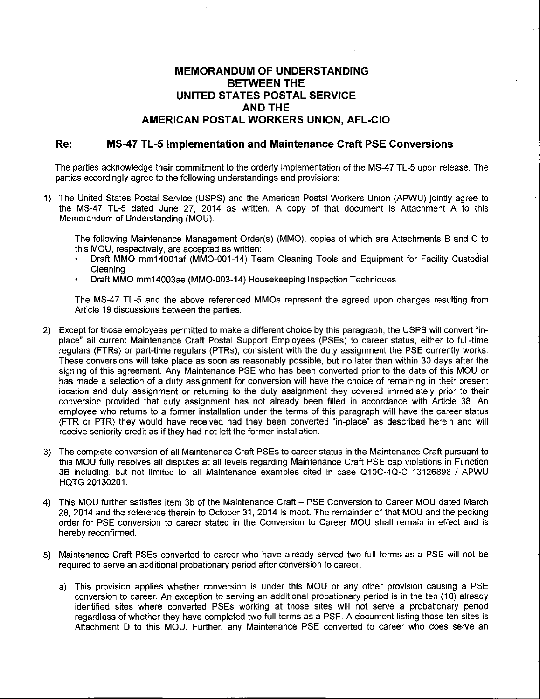#### **MEMORANDUM OF UNDERSTANDING BETWEEN THE UNITED STATES POSTAL SERVICE AND THE AMERICAN POSTAL WORKERS UNION, AFL-CIO**

#### **Re: MS-47 TL-5 Implementation and Maintenance Craft PSE Conversions**

The parties acknowledge their commitment to the orderly implementation of the MS-47 TL-5 upon release. The parties accordingly agree to the following understandings and provisions;

1) The United States Postal Service (USPS) and the American Postal Workers Union (APWU) jointly agree to the MS-47 TL-5 dated June 27, 2014 as written. A copy of that document is Attachment A to this Memorandum of Understanding (MOU).

The following Maintenance Management Order(s) (MMO), copies of which are Attachments B and C to this MOU, respectively, are accepted as written:

- Draft MMO mm14001af (MM0-001-14) Team Cleaning Tools and Equipment for Facility Custodial Cleaning
- Draft MMO mm14003ae (MM0-003-14) Housekeeping Inspection Techniques

The MS-47 TL-5 and the above referenced MMOs represent the agreed upon changes resulting from Article 19 discussions between the parties.

- 2) Except for those employees permitted to make a different choice by this paragraph, the USPS will convert "inplace" all current Maintenance Craft Postal Support Employees (PSEs) to career status, either to full-time regulars (FTRs) or part-time regulars (PTRs), consistent with the duty assignment the PSE currently works. These conversions will take place as soon as reasonably possible, but no later than within 30 days after the signing of this agreement. Any Maintenance PSE who has been converted prior to the date of this MOU or has made a selection of a duty assignment for conversion will have the choice of remaining in their present location and duty assignment or returning to the duty assignment they covered immediately prior to their conversion provided that duty assignment has not already been filled in accordance with Article 38. An employee who returns to a former installation under the terms of this paragraph will have the career status (FTR or PTR) they would have received had they been converted "in-place" as described herein and will receive seniority credit as if they had not left the former installation.
- 3) The complete conversion of all Maintenance Craft PSEs to career status in the Maintenance Craft pursuant to this MOU fully resolves all disputes at all levels regarding Maintenance Craft PSE cap violations in Function 3B including, but not limited to, all Maintenance examples cited in case Q10C-4Q-C 13126898 / APWU HQTG 20130201.
- 4) This MOU further satisfies item 3b of the Maintenance Craft PSE Conversion to Career MOU dated March 28, 2014 and the reference therein to October 31, 2014 is moot. The remainder of that MOU and the pecking order for PSE conversion to career stated in the Conversion to Career MOU shall remain in effect and is hereby reconfirmed.
- 5) Maintenance Craft PSEs converted to career who have already served two full terms as a PSE will not be required to serve an additional probationary period after conversion to career.
	- a) This provision applies whether conversion is under this MOU or any other provision causing a PSE conversion to career. An exception to serving an additional probationary period is in the ten (10) already identified sites where converted PSEs working at those sites will not serve a probationary period regardless of whether they have completed two full terms as a PSE. A document listing those ten sites is Attachment D to this MOU. Further, any Maintenance PSE converted to career who does serve an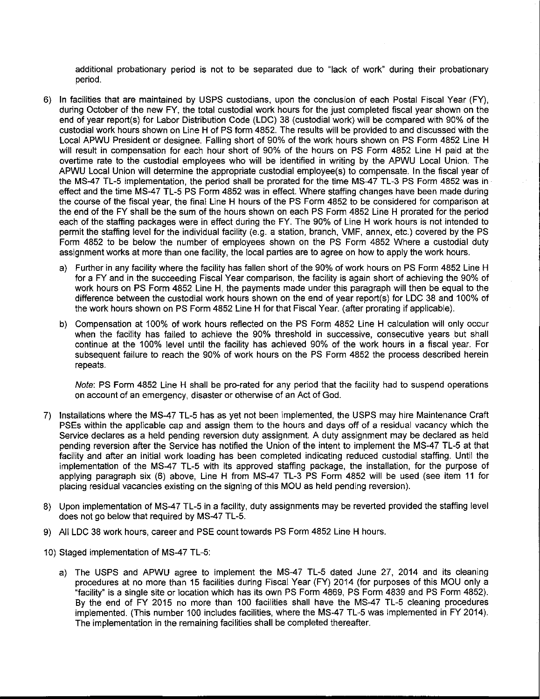additional probationary period is not to be separated due to "lack of work" during their probationary period.

- 6) In facilities that are maintained by USPS custodians, upon the conclusion of each Postal Fiscal Year (FY), during October of the new FY, the total custodial work hours for the just completed fiscal year shown on the end of year report(s) for Labor Distribution Code (LDC) 38 (custodial work) will be compared with 90% of the custodial work hours shown on Line **H** of PS form 4852. The results will be provided to and discussed with the Local APWU President or designee. Falling short of 90% of the work hours shown on PS Form 4852 Line H will result in compensation for each hour short of 90% of the hours on PS Form 4852 Line H paid at the overtime rate to the custodial employees who will be identified in writing by the APWU Local Union. The APWU Local Union will determine the appropriate custodial employee(s) to compensate. In the fiscal year of the MS-47 TL-5 implementation, the period shall be prorated for the time MS-47 TL-3 PS Form 4852 was in effect and the time MS-47 TL-5 PS Form 4852 was in effect. Where staffing changes have been made during the course of the fiscal year, the final Line **H** hours of the PS Form 4852 to be considered for comparison at the end of the FY shall be the sum of the hours shown on each PS Form 4852 Line H prorated for the period each of the staffing packages were in effect during the FY. The 90% of Line **H** work hours is not intended to permit the staffing level for the individual facility (e.g. a station, branch, VMF, annex, etc.) covered by the PS Form 4852 to be below the number of employees shown on the PS Form 4852 Where a custodial duty assignment works at more than one facility, the local parties are to agree on how to apply the work hours.
	- a) Further in any facility where the facility has fallen short of the 90% of work hours on PS Form 4852 Line H for a FY and in the succeeding Fiscal Year comparison, the facility is again short of achieving the 90% of work hours on PS Form 4852 Line **H,** the payments made under this paragraph will then be equal to the difference between the custodial work hours shown on the end of year report(s) for LDC 38 and 100% of the work hours shown on PS Form 4852 Line H for that Fiscal Year. (after prorating if applicable).
	- b) Compensation at 100% of work hours reflected on the PS Form 4852 Line **H** calculation will only occur when the facility has failed to achieve the 90% threshold in successive, consecutive years but shall continue at the 100% level until the facility has achieved 90% of the work hours in a fiscal year. For subsequent failure to reach the 90% of work hours on the PS Form 4852 the process described herein repeats.

Note: PS Form 4852 Line H shall be pro-rated for any period that the facility had to suspend operations on account of an emergency, disaster or otherwise of an Act of God.

- 7) Installations where the MS-47 TL-5 has as yet not been implemented, the USPS may hire Maintenance Craft PSEs within the applicable cap and assign them to the hours and days off of a residual vacancy which the Service declares as a held pending reversion duty assignment. A duty assignment may be declared as held pending reversion after the Service has notified the Union of the intent to implement the MS-47 TL-5 at that facility and after an initial work loading has been completed indicating reduced custodial staffing. Until the implementation of the MS-47 TL-5 with its approved staffing package, the installation, for the purpose of applying paragraph six (6) above, Line H from MS-47 TL-3 PS Form 4852 will be used (see item 11 for placing residual vacancies existing on the signing of this MOU as held pending reversion).
- 8) Upon implementation of MS-47 TL-5 in a facility, duty assignments may be reverted provided the staffing level does not go below that required by MS-47 TL-5.
- 9) All LDC 38 work hours, career and PSE count towards PS Form 4852 Line **H** hours.
- 10) Staged implementation of MS-47 TL-5:
	- a) The USPS and APWU agree to implement the MS-47 TL-5 dated June 27, 2014 and its cleaning procedures at no more than 15 facilities during Fiscal Year (FY) 2014 (for purposes of this MOU only a "facility" is a single site or location which has its own PS Form 4869, PS Form 4839 and PS Form 4852). By the end of FY 2015 no more than 100 facilities shall have the MS-47 TL-5 cleaning procedures implemented. (This number 100 includes facilities, where the MS-47 TL-5 was implemented in FY 2014). The implementation in the remaining facilities shall be completed thereafter.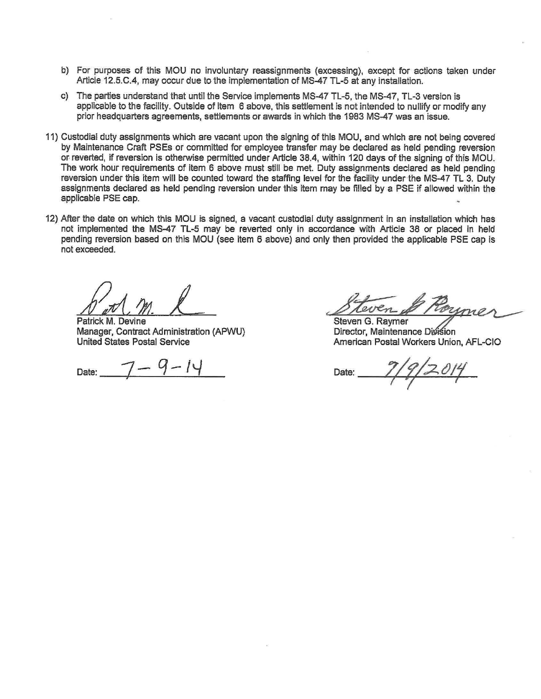- b) For purposes of this MOU no involuntary reassignments {excessing), except for actions taken under Article 12.5.C.4, may occur due to the implementation of MS-47 TL-5 at any installation.
- c) The parties understand that until the Service implements MS-47 TL-5, the MS-47, TL-3 version is applicable to the facility. Outside of item 6 above, this settlement is not intended to nullify or modify any prior headquarters agreements, settlements or awards in which the 1983 MS-47 was an issue.
- 11) Custodial duty assignments which are vacant upon the signing of this MOU, and which are not being covered by Maintenance Craft PSEs or committed for employee transfer may be declared as held pending reversion or reverted, if reversion is otherwise permitted under Article 38.4, within 120 days of the signing of this MOU. The work hour requirements of item 6 above must still be met. Duty assignments declared as held pending reversion under this item will be counted toward the staffing level for the facility under the MS-47 TL 3. Duty assignments declared as held pending reversion under this item may be filled by a PSE if allowed within the applicable PSE cap.
- 12) After the date on which this MOU is signed, a vacant custodial duty assignment in an installation which has not implemented the MS-47 TL-5 may be reverted only in accordance with Article 38 or placed in held pending reversion based on this MOU (see item 6 above) and only then provided the applicable PSE cap is not exceeded.

Patrick M. Devine Manager, Contract Administration (APWU) United States Postal Service

Date:  $7 - 9 - 14$ 

eyne

Steven G. Raymer Director, Maintenance Division American Postal Workers Union, AFL-CIO

 $7/9/2014$ Date: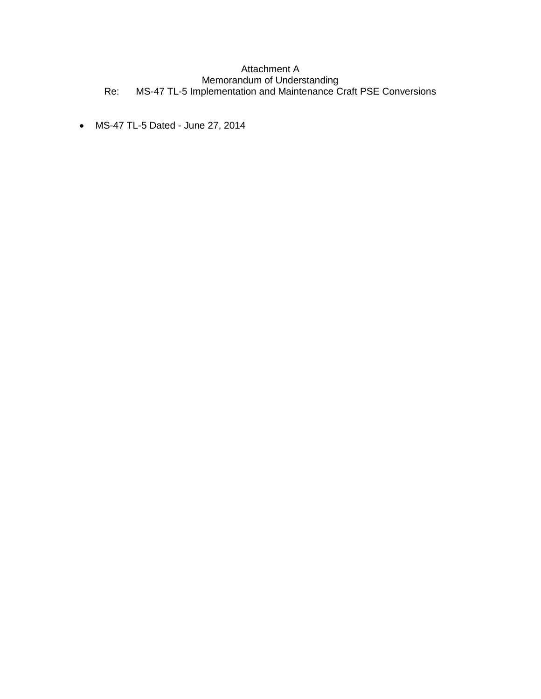#### Attachment A Memorandum of Understanding Re: MS-47 TL-5 Implementation and Maintenance Craft PSE Conversions

• MS-47 TL-5 Dated - June 27, 2014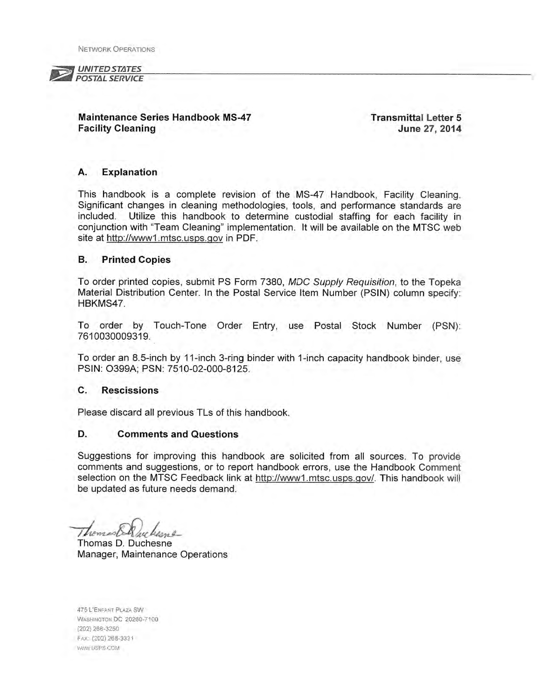**UNITED STATES POSTAL SERVICE** 

> **Maintenance Series Handbook MS-47 Facility Cleaning**

**Transmittal Letter 5** June 27, 2014

#### **Explanation** А.

This handbook is a complete revision of the MS-47 Handbook, Facility Cleaning. Significant changes in cleaning methodologies, tools, and performance standards are included. Utilize this handbook to determine custodial staffing for each facility in conjunction with "Team Cleaning" implementation. It will be available on the MTSC web site at http://www1.mtsc.usps.gov in PDF.

#### **Printed Copies B.**

To order printed copies, submit PS Form 7380, MDC Supply Requisition, to the Topeka Material Distribution Center. In the Postal Service Item Number (PSIN) column specify: HBKMS47.

To order by Touch-Tone Order Entry, use Postal Stock Number (PSN): 7610030009319.

To order an 8.5-inch by 11-inch 3-ring binder with 1-inch capacity handbook binder, use PSIN: O399A; PSN: 7510-02-000-8125.

#### $\mathbf{C}$ . **Rescissions**

Please discard all previous TLs of this handbook.

#### D. **Comments and Questions**

Suggestions for improving this handbook are solicited from all sources. To provide comments and suggestions, or to report handbook errors, use the Handbook Comment selection on the MTSC Feedback link at http://www1.mtsc.usps.gov/. This handbook will be updated as future needs demand.

Themas & ley ham &

Thomas D. Duchesne Manager, Maintenance Operations

475 L'ENFANT PLAZA SW WASHINGTON DC 20260-7100  $(202)$  268-3250 FAX: (202) 268-3331 www.USPS.COM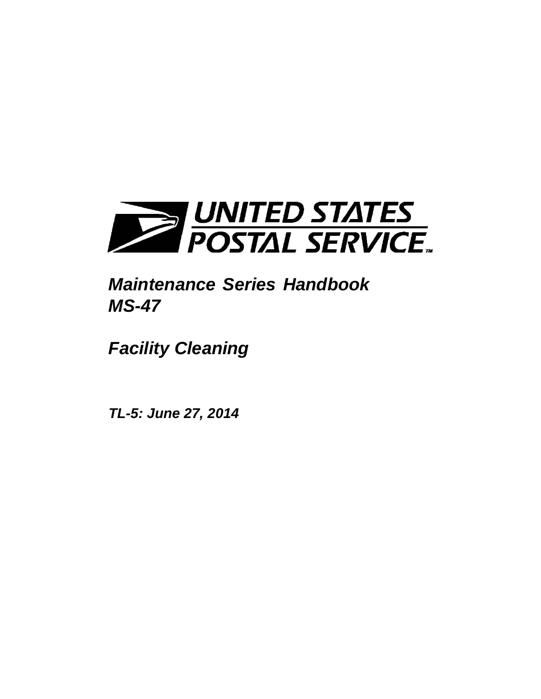

# *Maintenance Series Handbook MS-47*

*Facility Cleaning*

*TL-5: June 27, 2014*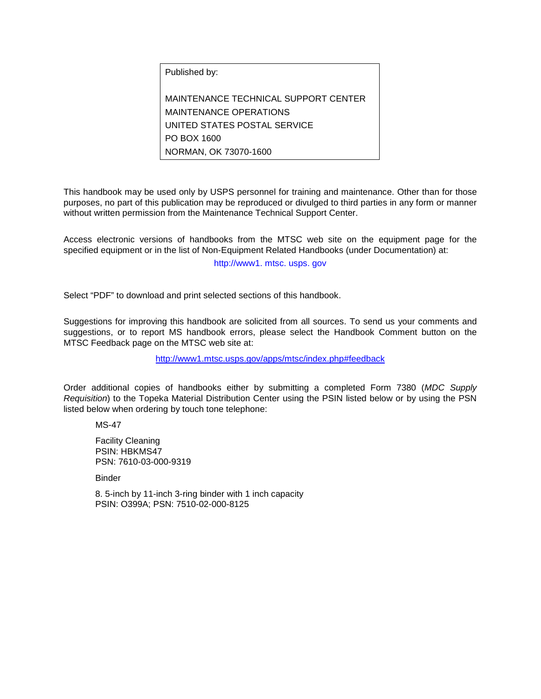Published by:

MAINTENANCE TECHNICAL SUPPORT CENTER MAINTENANCE OPERATIONS UNITED STATES POSTAL SERVICE PO BOX 1600 NORMAN, OK 73070-1600

This handbook may be used only by USPS personnel for training and maintenance. Other than for those purposes, no part of this publication may be reproduced or divulged to third parties in any form or manner without written permission from the Maintenance Technical Support Center.

Access electronic versions of handbooks from the MTSC web site on the equipment page for the specified equipment or in the list of Non-Equipment Related Handbooks (under Documentation) at:

http://www1. mtsc. usps. gov

Select "PDF" to download and print selected sections of this handbook.

Suggestions for improving this handbook are solicited from all sources. To send us your comments and suggestions, or to report MS handbook errors, please select the Handbook Comment button on the MTSC Feedback page on the MTSC web site at:

<http://www1.mtsc.usps.gov/apps/mtsc/index.php#feedback>

Order additional copies of handbooks either by submitting a completed Form 7380 (*MDC Supply Requisition*) to the Topeka Material Distribution Center using the PSIN listed below or by using the PSN listed below when ordering by touch tone telephone:

MS-47

Facility Cleaning PSIN: HBKMS47 PSN: 7610-03-000-9319

Binder

8. 5-inch by 11-inch 3-ring binder with 1 inch capacity PSIN: O399A; PSN: 7510-02-000-8125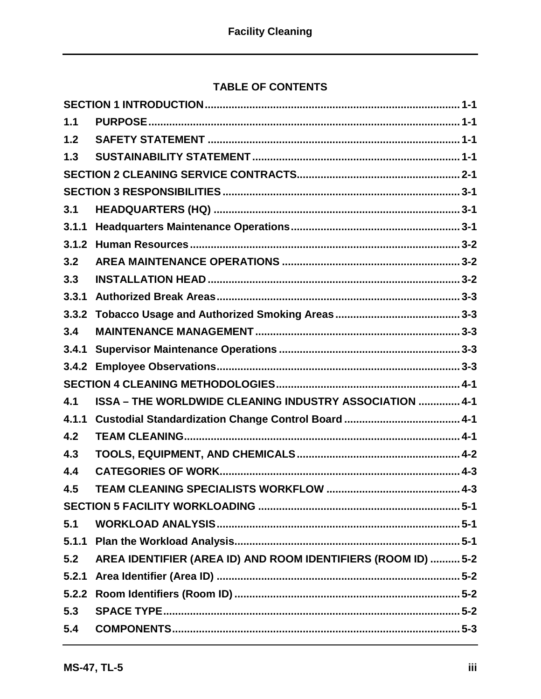# **TABLE OF CONTENTS**

| 1.1   |                                                               |
|-------|---------------------------------------------------------------|
| 1.2   |                                                               |
| 1.3   |                                                               |
|       |                                                               |
|       |                                                               |
| 3.1   |                                                               |
| 3.1.1 |                                                               |
| 3.1.2 |                                                               |
| 3.2   |                                                               |
| 3.3   |                                                               |
| 3.3.1 |                                                               |
| 3.3.2 |                                                               |
| 3.4   |                                                               |
| 3.4.1 |                                                               |
|       |                                                               |
|       |                                                               |
| 4.1   | ISSA - THE WORLDWIDE CLEANING INDUSTRY ASSOCIATION  4-1       |
| 4.1.1 |                                                               |
| 4.2   |                                                               |
| 4.3   |                                                               |
| 4.4   |                                                               |
| 4.5   |                                                               |
|       |                                                               |
| 5.1   |                                                               |
| 5.1.1 |                                                               |
| 5.2   | AREA IDENTIFIER (AREA ID) AND ROOM IDENTIFIERS (ROOM ID)  5-2 |
| 5.2.1 |                                                               |
| 5.2.2 |                                                               |
| 5.3   |                                                               |
| 5.4   |                                                               |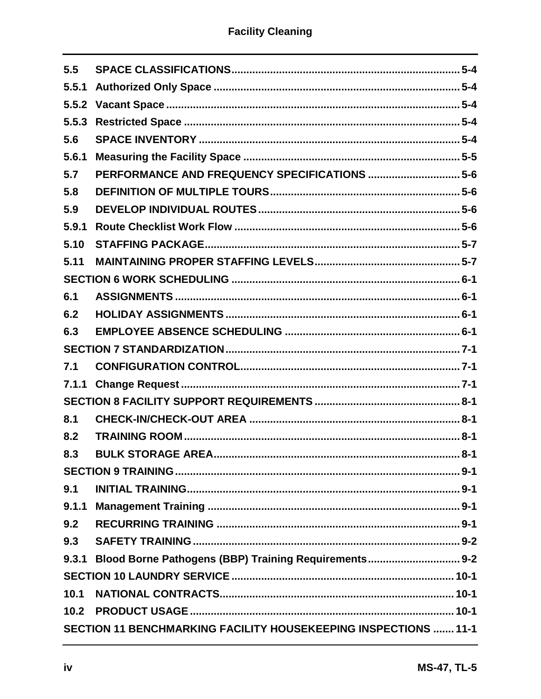| 5.5   |                                                                 |
|-------|-----------------------------------------------------------------|
| 5.5.1 |                                                                 |
|       |                                                                 |
| 5.5.3 |                                                                 |
| 5.6   |                                                                 |
| 5.6.1 |                                                                 |
| 5.7   | PERFORMANCE AND FREQUENCY SPECIFICATIONS  5-6                   |
| 5.8   |                                                                 |
| 5.9   |                                                                 |
| 5.9.1 |                                                                 |
| 5.10  |                                                                 |
| 5.11  |                                                                 |
|       |                                                                 |
| 6.1   |                                                                 |
| 6.2   |                                                                 |
| 6.3   |                                                                 |
|       |                                                                 |
| 7.1   |                                                                 |
|       |                                                                 |
|       |                                                                 |
| 8.1   |                                                                 |
| 8.2   |                                                                 |
| 8.3   |                                                                 |
|       |                                                                 |
| 9.1   |                                                                 |
| 9.1.1 |                                                                 |
| 9.2   |                                                                 |
| 9.3   |                                                                 |
| 9.3.1 | Blood Borne Pathogens (BBP) Training Requirements 9-2           |
|       |                                                                 |
| 10.1  |                                                                 |
| 10.2  |                                                                 |
|       | SECTION 11 BENCHMARKING FACILITY HOUSEKEEPING INSPECTIONS  11-1 |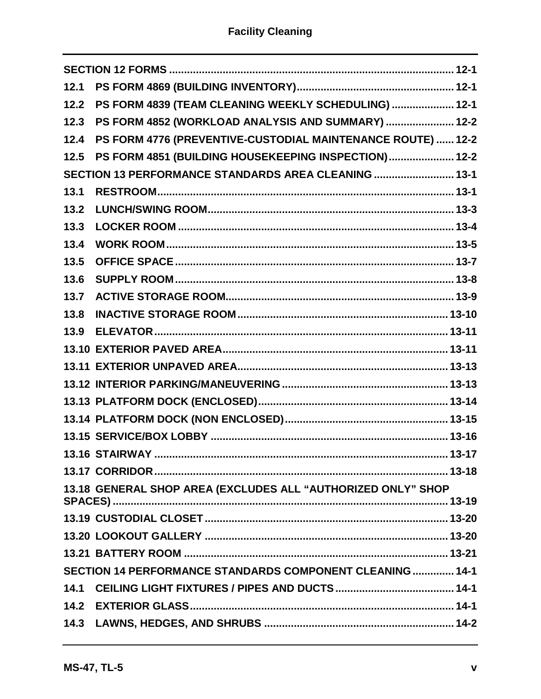| 12.1 |                                                              |  |
|------|--------------------------------------------------------------|--|
| 12.2 | PS FORM 4839 (TEAM CLEANING WEEKLY SCHEDULING)  12-1         |  |
| 12.3 | PS FORM 4852 (WORKLOAD ANALYSIS AND SUMMARY)  12-2           |  |
| 12.4 | PS FORM 4776 (PREVENTIVE-CUSTODIAL MAINTENANCE ROUTE)  12-2  |  |
| 12.5 | PS FORM 4851 (BUILDING HOUSEKEEPING INSPECTION) 12-2         |  |
|      | SECTION 13 PERFORMANCE STANDARDS AREA CLEANING  13-1         |  |
| 13.1 |                                                              |  |
| 13.2 |                                                              |  |
| 13.3 |                                                              |  |
| 13.4 |                                                              |  |
| 13.5 |                                                              |  |
| 13.6 |                                                              |  |
| 13.7 |                                                              |  |
| 13.8 |                                                              |  |
| 13.9 |                                                              |  |
|      |                                                              |  |
|      |                                                              |  |
|      |                                                              |  |
|      |                                                              |  |
|      |                                                              |  |
|      |                                                              |  |
|      |                                                              |  |
|      |                                                              |  |
|      | 13.18 GENERAL SHOP AREA (EXCLUDES ALL "AUTHORIZED ONLY" SHOP |  |
|      |                                                              |  |
|      |                                                              |  |
|      |                                                              |  |
|      | SECTION 14 PERFORMANCE STANDARDS COMPONENT CLEANING  14-1    |  |
| 14.1 |                                                              |  |
| 14.2 |                                                              |  |
|      |                                                              |  |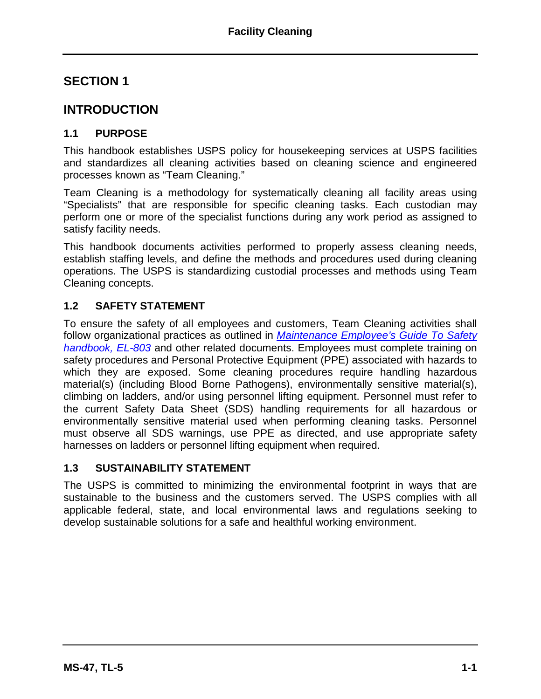# **SECTION 1**

# <span id="page-15-0"></span>**INTRODUCTION**

# <span id="page-15-1"></span>**1.1 PURPOSE**

This handbook establishes USPS policy for housekeeping services at USPS facilities and standardizes all cleaning activities based on cleaning science and engineered processes known as "Team Cleaning."

Team Cleaning is a methodology for systematically cleaning all facility areas using "Specialists" that are responsible for specific cleaning tasks. Each custodian may perform one or more of the specialist functions during any work period as assigned to satisfy facility needs.

This handbook documents activities performed to properly assess cleaning needs, establish staffing levels, and define the methods and procedures used during cleaning operations. The USPS is standardizing custodial processes and methods using Team Cleaning concepts.

# <span id="page-15-2"></span>**1.2 SAFETY STATEMENT**

To ensure the safety of all employees and customers, Team Cleaning activities shall follow organizational practices as outlined in *[Maintenance Employee's Guide To Safety](http://blue.usps.gov/cpim/ftp/hand/el803.pdf)  [handbook, EL-803](http://blue.usps.gov/cpim/ftp/hand/el803.pdf)* and other related documents. Employees must complete training on safety procedures and Personal Protective Equipment (PPE) associated with hazards to which they are exposed. Some cleaning procedures require handling hazardous material(s) (including Blood Borne Pathogens), environmentally sensitive material(s), climbing on ladders, and/or using personnel lifting equipment. Personnel must refer to the current Safety Data Sheet (SDS) handling requirements for all hazardous or environmentally sensitive material used when performing cleaning tasks. Personnel must observe all SDS warnings, use PPE as directed, and use appropriate safety harnesses on ladders or personnel lifting equipment when required.

#### <span id="page-15-3"></span>**1.3 SUSTAINABILITY STATEMENT**

The USPS is committed to minimizing the environmental footprint in ways that are sustainable to the business and the customers served. The USPS complies with all applicable federal, state, and local environmental laws and regulations seeking to develop sustainable solutions for a safe and healthful working environment.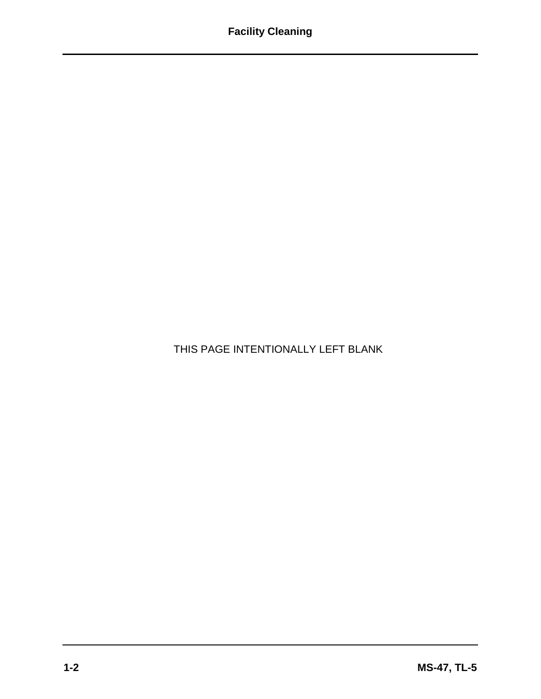THIS PAGE INTENTIONALLY LEFT BLANK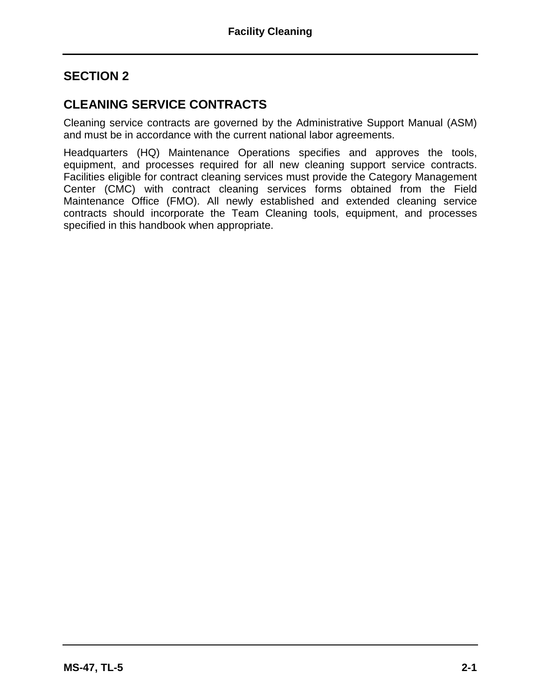# **SECTION 2**

# <span id="page-17-0"></span>**CLEANING SERVICE CONTRACTS**

Cleaning service contracts are governed by the Administrative Support Manual (ASM) and must be in accordance with the current national labor agreements.

Headquarters (HQ) Maintenance Operations specifies and approves the tools, equipment, and processes required for all new cleaning support service contracts. Facilities eligible for contract cleaning services must provide the Category Management Center (CMC) with contract cleaning services forms obtained from the Field Maintenance Office (FMO). All newly established and extended cleaning service contracts should incorporate the Team Cleaning tools, equipment, and processes specified in this handbook when appropriate.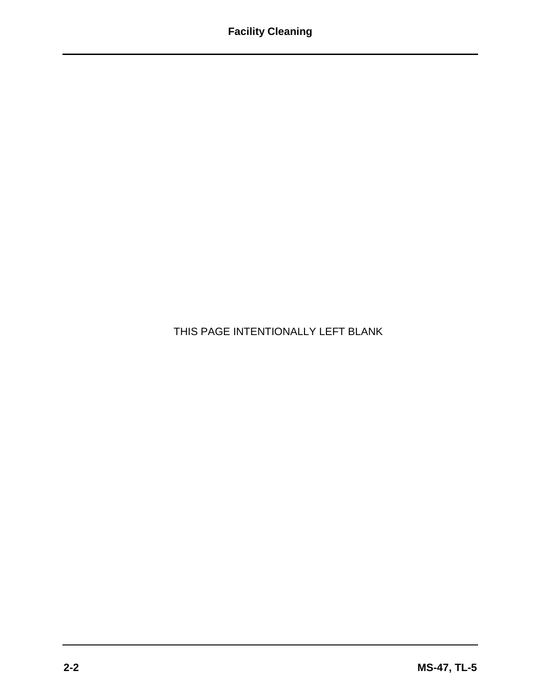# THIS PAGE INTENTIONALLY LEFT BLANK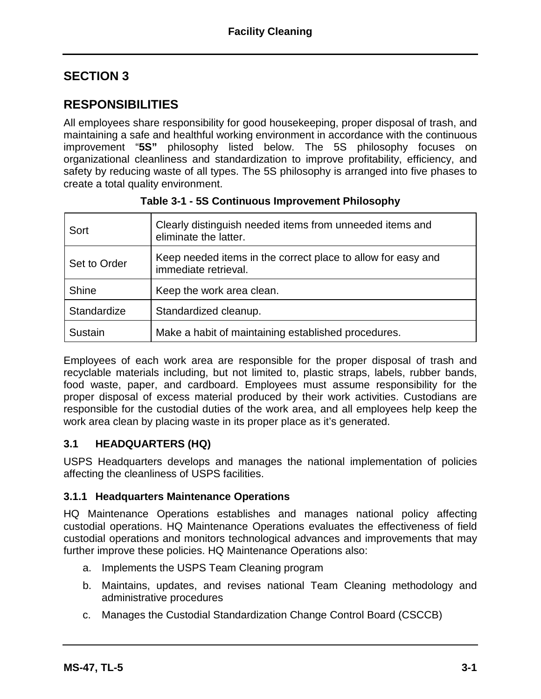# **SECTION 3**

# <span id="page-19-0"></span>**RESPONSIBILITIES**

All employees share responsibility for good housekeeping, proper disposal of trash, and maintaining a safe and healthful working environment in accordance with the continuous improvement "**5S"** philosophy listed below. The 5S philosophy focuses on organizational cleanliness and standardization to improve profitability, efficiency, and safety by reducing waste of all types. The 5S philosophy is arranged into five phases to create a total quality environment.

| Clearly distinguish needed items from unneeded items and<br>Sort<br>eliminate the latter.            |                           |
|------------------------------------------------------------------------------------------------------|---------------------------|
| Keep needed items in the correct place to allow for easy and<br>Set to Order<br>immediate retrieval. |                           |
| <b>Shine</b>                                                                                         | Keep the work area clean. |
| Standardize                                                                                          | Standardized cleanup.     |
| Make a habit of maintaining established procedures.<br>Sustain                                       |                           |

| Table 3-1 - 5S Continuous Improvement Philosophy |  |
|--------------------------------------------------|--|
|--------------------------------------------------|--|

Employees of each work area are responsible for the proper disposal of trash and recyclable materials including, but not limited to, plastic straps, labels, rubber bands, food waste, paper, and cardboard. Employees must assume responsibility for the proper disposal of excess material produced by their work activities. Custodians are responsible for the custodial duties of the work area, and all employees help keep the work area clean by placing waste in its proper place as it's generated.

# <span id="page-19-1"></span>**3.1 HEADQUARTERS (HQ)**

USPS Headquarters develops and manages the national implementation of policies affecting the cleanliness of USPS facilities.

# <span id="page-19-2"></span>**3.1.1 Headquarters Maintenance Operations**

HQ Maintenance Operations establishes and manages national policy affecting custodial operations. HQ Maintenance Operations evaluates the effectiveness of field custodial operations and monitors technological advances and improvements that may further improve these policies. HQ Maintenance Operations also:

- a. Implements the USPS Team Cleaning program
- b. Maintains, updates, and revises national Team Cleaning methodology and administrative procedures
- c. Manages the Custodial Standardization Change Control Board (CSCCB)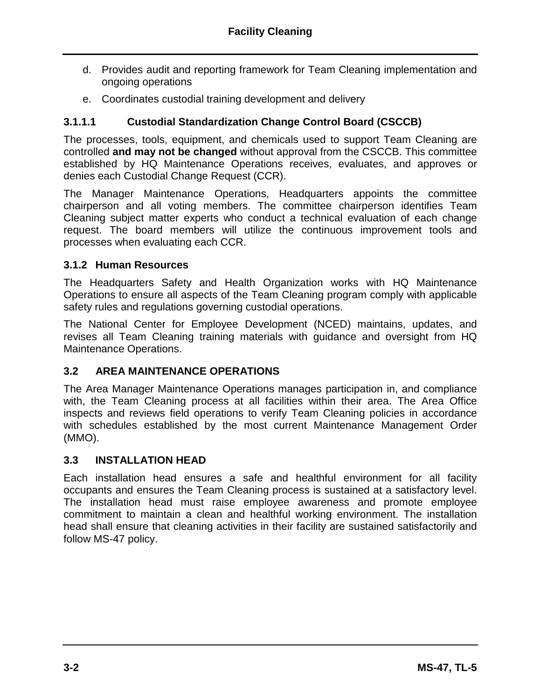- d. Provides audit and reporting framework for Team Cleaning implementation and ongoing operations
- e. Coordinates custodial training development and delivery

# **3.1.1.1 Custodial Standardization Change Control Board (CSCCB)**

The processes, tools, equipment, and chemicals used to support Team Cleaning are controlled **and may not be changed** without approval from the CSCCB. This committee established by HQ Maintenance Operations receives, evaluates, and approves or denies each Custodial Change Request (CCR).

The Manager Maintenance Operations, Headquarters appoints the committee chairperson and all voting members. The committee chairperson identifies Team Cleaning subject matter experts who conduct a technical evaluation of each change request. The board members will utilize the continuous improvement tools and processes when evaluating each CCR.

# <span id="page-20-0"></span>**3.1.2 Human Resources**

The Headquarters Safety and Health Organization works with HQ Maintenance Operations to ensure all aspects of the Team Cleaning program comply with applicable safety rules and regulations governing custodial operations.

The National Center for Employee Development (NCED) maintains, updates, and revises all Team Cleaning training materials with guidance and oversight from HQ Maintenance Operations.

# <span id="page-20-1"></span>**3.2 AREA MAINTENANCE OPERATIONS**

The Area Manager Maintenance Operations manages participation in, and compliance with, the Team Cleaning process at all facilities within their area. The Area Office inspects and reviews field operations to verify Team Cleaning policies in accordance with schedules established by the most current Maintenance Management Order (MMO).

# <span id="page-20-2"></span>**3.3 INSTALLATION HEAD**

Each installation head ensures a safe and healthful environment for all facility occupants and ensures the Team Cleaning process is sustained at a satisfactory level. The installation head must raise employee awareness and promote employee commitment to maintain a clean and healthful working environment. The installation head shall ensure that cleaning activities in their facility are sustained satisfactorily and follow MS-47 policy.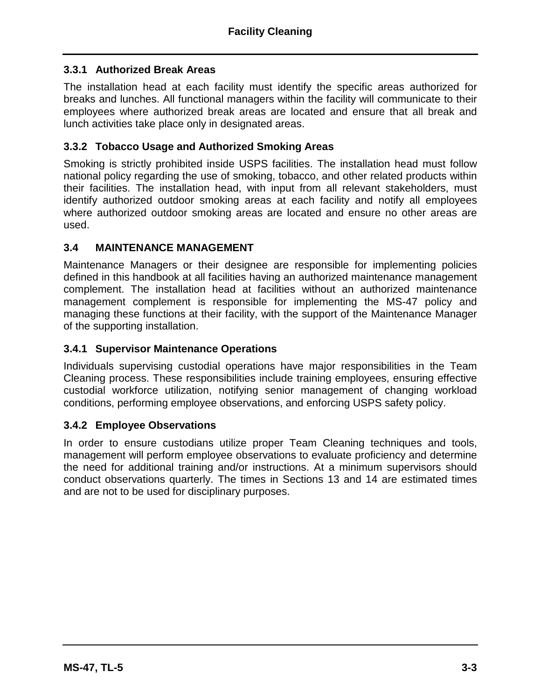# <span id="page-21-0"></span>**3.3.1 Authorized Break Areas**

The installation head at each facility must identify the specific areas authorized for breaks and lunches. All functional managers within the facility will communicate to their employees where authorized break areas are located and ensure that all break and lunch activities take place only in designated areas.

# <span id="page-21-1"></span>**3.3.2 Tobacco Usage and Authorized Smoking Areas**

Smoking is strictly prohibited inside USPS facilities. The installation head must follow national policy regarding the use of smoking, tobacco, and other related products within their facilities. The installation head, with input from all relevant stakeholders, must identify authorized outdoor smoking areas at each facility and notify all employees where authorized outdoor smoking areas are located and ensure no other areas are used.

# <span id="page-21-2"></span>**3.4 MAINTENANCE MANAGEMENT**

Maintenance Managers or their designee are responsible for implementing policies defined in this handbook at all facilities having an authorized maintenance management complement. The installation head at facilities without an authorized maintenance management complement is responsible for implementing the MS-47 policy and managing these functions at their facility, with the support of the Maintenance Manager of the supporting installation.

### <span id="page-21-3"></span>**3.4.1 Supervisor Maintenance Operations**

Individuals supervising custodial operations have major responsibilities in the Team Cleaning process. These responsibilities include training employees, ensuring effective custodial workforce utilization, notifying senior management of changing workload conditions, performing employee observations, and enforcing USPS safety policy.

#### <span id="page-21-4"></span>**3.4.2 Employee Observations**

In order to ensure custodians utilize proper Team Cleaning techniques and tools, management will perform employee observations to evaluate proficiency and determine the need for additional training and/or instructions. At a minimum supervisors should conduct observations quarterly. The times in Sections 13 and 14 are estimated times and are not to be used for disciplinary purposes.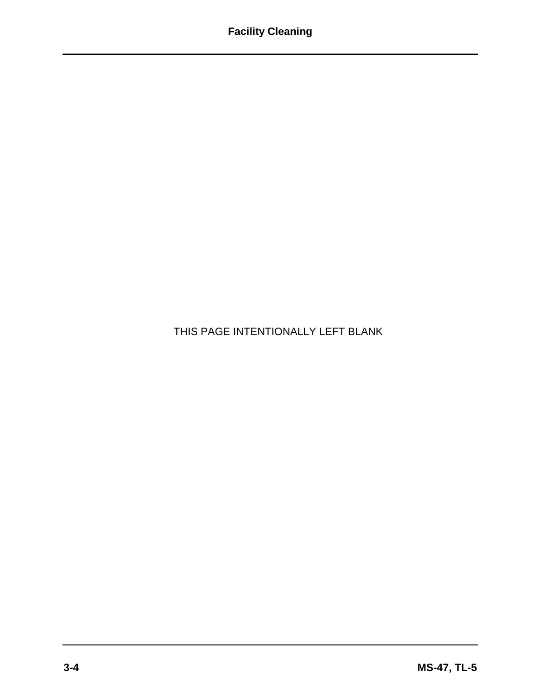# THIS PAGE INTENTIONALLY LEFT BLANK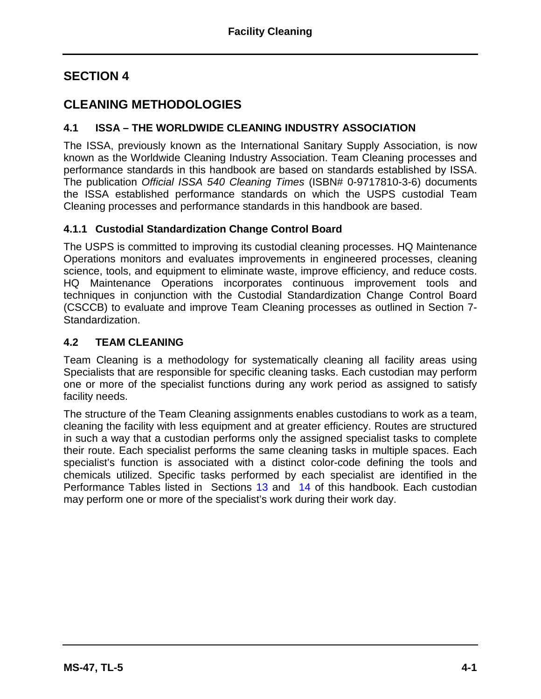# **SECTION 4**

# <span id="page-23-0"></span>**CLEANING METHODOLOGIES**

# <span id="page-23-1"></span>**4.1 ISSA – THE WORLDWIDE CLEANING INDUSTRY ASSOCIATION**

The ISSA, previously known as the International Sanitary Supply Association, is now known as the Worldwide Cleaning Industry Association. Team Cleaning processes and performance standards in this handbook are based on standards established by ISSA. The publication *Official ISSA 540 Cleaning Times* (ISBN# 0-9717810-3-6) documents the ISSA established performance standards on which the USPS custodial Team Cleaning processes and performance standards in this handbook are based.

# <span id="page-23-2"></span>**4.1.1 Custodial Standardization Change Control Board**

The USPS is committed to improving its custodial cleaning processes. HQ Maintenance Operations monitors and evaluates improvements in engineered processes, cleaning science, tools, and equipment to eliminate waste, improve efficiency, and reduce costs. HQ Maintenance Operations incorporates continuous improvement tools and techniques in conjunction with the Custodial Standardization Change Control Board (CSCCB) to evaluate and improve Team Cleaning processes as outlined in Section 7- Standardization.

# <span id="page-23-3"></span>**4.2 TEAM CLEANING**

Team Cleaning is a methodology for systematically cleaning all facility areas using Specialists that are responsible for specific cleaning tasks. Each custodian may perform one or more of the specialist functions during any work period as assigned to satisfy facility needs.

The structure of the Team Cleaning assignments enables custodians to work as a team, cleaning the facility with less equipment and at greater efficiency. Routes are structured in such a way that a custodian performs only the assigned specialist tasks to complete their route. Each specialist performs the same cleaning tasks in multiple spaces. Each specialist's function is associated with a distinct color-code defining the tools and chemicals utilized. Specific tasks performed by each specialist are identified in the Performance Tables listed in [Sections 13](#page-49-0) and [14](#page-71-0) of this handbook. Each custodian may perform one or more of the specialist's work during their work day.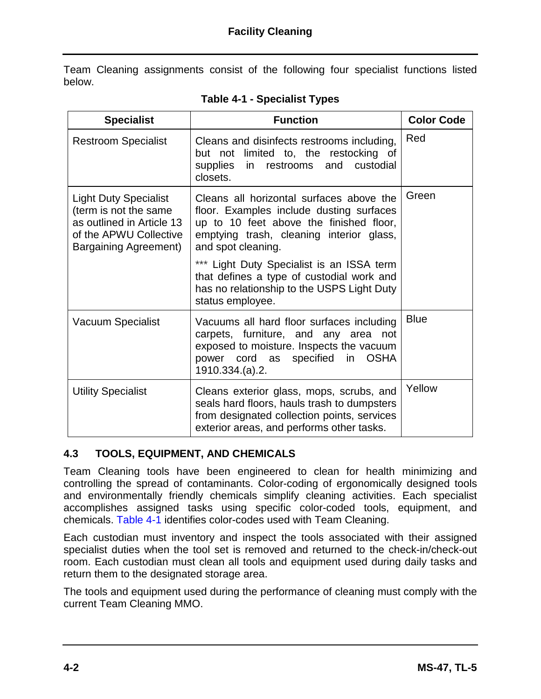Team Cleaning assignments consist of the following four specialist functions listed below.

<span id="page-24-1"></span>

| <b>Specialist</b>                                                                                                                            | <b>Function</b>                                                                                                                                                                                                                                                                                                                           | <b>Color Code</b> |
|----------------------------------------------------------------------------------------------------------------------------------------------|-------------------------------------------------------------------------------------------------------------------------------------------------------------------------------------------------------------------------------------------------------------------------------------------------------------------------------------------|-------------------|
| <b>Restroom Specialist</b>                                                                                                                   | Cleans and disinfects restrooms including,<br>limited to, the restocking of<br>but not<br>supplies<br>in restrooms and<br>custodial<br>closets.                                                                                                                                                                                           | Red               |
| <b>Light Duty Specialist</b><br>(term is not the same<br>as outlined in Article 13<br>of the APWU Collective<br><b>Bargaining Agreement)</b> | Cleans all horizontal surfaces above the<br>floor. Examples include dusting surfaces<br>up to 10 feet above the finished floor,<br>emptying trash, cleaning interior glass,<br>and spot cleaning.<br>*** Light Duty Specialist is an ISSA term<br>that defines a type of custodial work and<br>has no relationship to the USPS Light Duty | Green             |
|                                                                                                                                              | status employee.                                                                                                                                                                                                                                                                                                                          |                   |
| Vacuum Specialist                                                                                                                            | Vacuums all hard floor surfaces including<br>carpets, furniture, and any area not<br>exposed to moisture. Inspects the vacuum<br>power cord as specified in<br><b>OSHA</b><br>1910.334.(a).2.                                                                                                                                             | <b>Blue</b>       |
| <b>Utility Specialist</b>                                                                                                                    | Cleans exterior glass, mops, scrubs, and<br>seals hard floors, hauls trash to dumpsters<br>from designated collection points, services<br>exterior areas, and performs other tasks.                                                                                                                                                       | Yellow            |

**Table 4-1 - Specialist Types**

# <span id="page-24-0"></span>**4.3 TOOLS, EQUIPMENT, AND CHEMICALS**

Team Cleaning tools have been engineered to clean for health minimizing and controlling the spread of contaminants. Color-coding of ergonomically designed tools and environmentally friendly chemicals simplify cleaning activities. Each specialist accomplishes assigned tasks using specific color-coded tools, equipment, and chemicals. [Table 4-1](#page-24-1) identifies color-codes used with Team Cleaning.

Each custodian must inventory and inspect the tools associated with their assigned specialist duties when the tool set is removed and returned to the check-in/check-out room. Each custodian must clean all tools and equipment used during daily tasks and return them to the designated storage area.

The tools and equipment used during the performance of cleaning must comply with the current Team Cleaning MMO.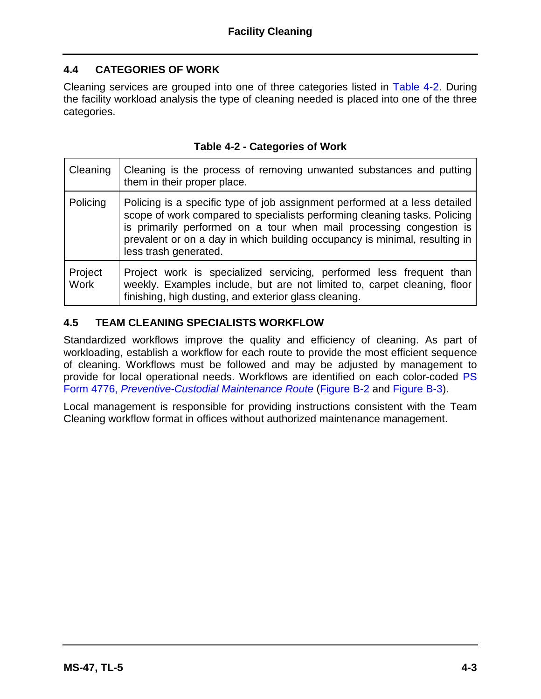# <span id="page-25-0"></span>**4.4 CATEGORIES OF WORK**

Cleaning services are grouped into one of three categories listed in [Table 4-2.](#page-25-2) During the facility workload analysis the type of cleaning needed is placed into one of the three categories.

<span id="page-25-2"></span>

| Cleaning               | Cleaning is the process of removing unwanted substances and putting<br>them in their proper place.                                                                                                                                                                                                                                    |
|------------------------|---------------------------------------------------------------------------------------------------------------------------------------------------------------------------------------------------------------------------------------------------------------------------------------------------------------------------------------|
| Policing               | Policing is a specific type of job assignment performed at a less detailed<br>scope of work compared to specialists performing cleaning tasks. Policing<br>is primarily performed on a tour when mail processing congestion is<br>prevalent or on a day in which building occupancy is minimal, resulting in<br>less trash generated. |
| Project<br><b>Work</b> | Project work is specialized servicing, performed less frequent than<br>weekly. Examples include, but are not limited to, carpet cleaning, floor<br>finishing, high dusting, and exterior glass cleaning.                                                                                                                              |

# <span id="page-25-1"></span>**4.5 TEAM CLEANING SPECIALISTS WORKFLOW**

Standardized workflows improve the quality and efficiency of cleaning. As part of workloading, establish a workflow for each route to provide the most efficient sequence of cleaning. Workflows must be followed and may be adjusted by management to provide for local operational needs. Workflows are identified on each color-coded [PS](http://blue.usps.gov/formmgmt/forms/ps4776.pdf)  Form 4776, *[Preventive-Custodial Maintenance Route](http://blue.usps.gov/formmgmt/forms/ps4776.pdf)* [\(Figure B-2](#page-85-0) and [Figure B-3\)](#page-86-0).

Local management is responsible for providing instructions consistent with the Team Cleaning workflow format in offices without authorized maintenance management.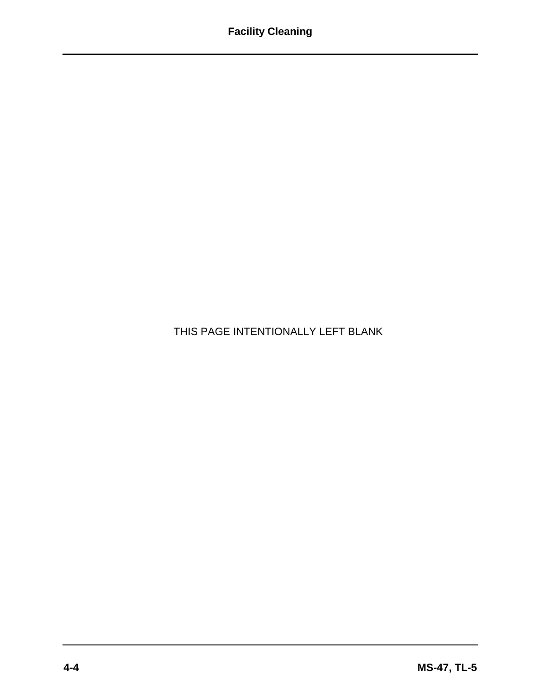# THIS PAGE INTENTIONALLY LEFT BLANK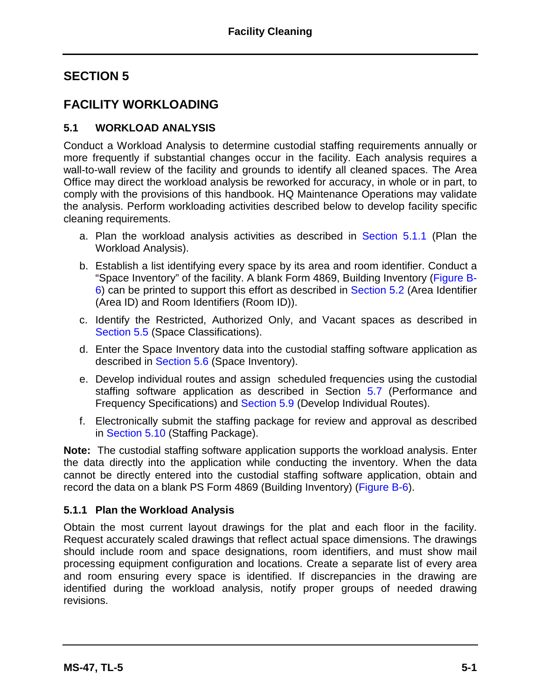# **SECTION 5**

# <span id="page-27-0"></span>**FACILITY WORKLOADING**

# <span id="page-27-1"></span>**5.1 WORKLOAD ANALYSIS**

Conduct a Workload Analysis to determine custodial staffing requirements annually or more frequently if substantial changes occur in the facility. Each analysis requires a wall-to-wall review of the facility and grounds to identify all cleaned spaces. The Area Office may direct the workload analysis be reworked for accuracy, in whole or in part, to comply with the provisions of this handbook. HQ Maintenance Operations may validate the analysis. Perform workloading activities described below to develop facility specific cleaning requirements.

- a. Plan the workload analysis activities as described in Section [5.1.1](#page-27-2) (Plan the Workload Analysis).
- b. Establish a list identifying every space by its area and room identifier. Conduct a "Space Inventory" of the facility. A blank Form 4869, Building Inventory [\(Figure B-](#page-89-0)[6\)](#page-89-0) can be printed to support this effort as described in Section [5.2](#page-28-0) (Area Identifier (Area ID) and Room Identifiers (Room ID)).
- c. Identify the Restricted, Authorized Only, and Vacant spaces as described in Section [5.5](#page-30-0) (Space Classifications).
- d. Enter the Space Inventory data into the custodial staffing software application as described in Section [5.6](#page-30-4) (Space Inventory).
- e. Develop individual routes and assign scheduled frequencies using the custodial staffing software application as described in Section [5.7](#page-32-0) (Performance and Frequency Specifications) and Section [5.9](#page-32-2) (Develop Individual Routes).
- f. Electronically submit the staffing package for review and approval as described in Section [5.10](#page-33-0) (Staffing Package).

**Note:** The custodial staffing software application supports the workload analysis. Enter the data directly into the application while conducting the inventory. When the data cannot be directly entered into the custodial staffing software application, obtain and record the data on a blank PS Form 4869 (Building Inventory) [\(Figure B-6\)](#page-89-0).

# <span id="page-27-2"></span>**5.1.1 Plan the Workload Analysis**

Obtain the most current layout drawings for the plat and each floor in the facility. Request accurately scaled drawings that reflect actual space dimensions. The drawings should include room and space designations, room identifiers, and must show mail processing equipment configuration and locations. Create a separate list of every area and room ensuring every space is identified. If discrepancies in the drawing are identified during the workload analysis, notify proper groups of needed drawing revisions.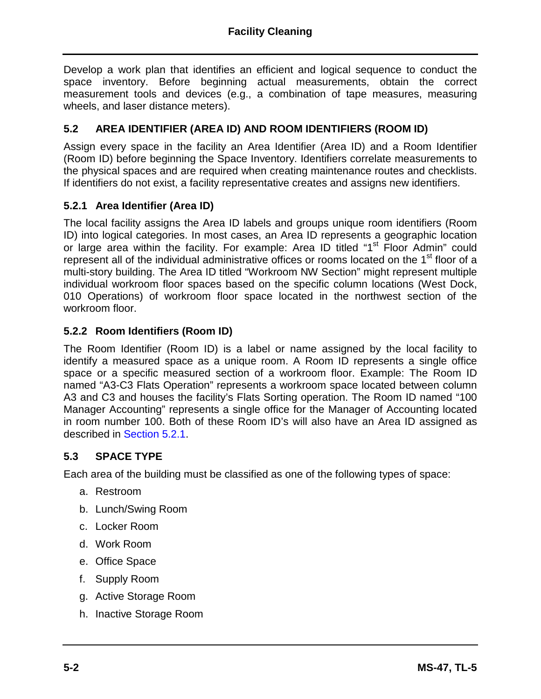Develop a work plan that identifies an efficient and logical sequence to conduct the space inventory. Before beginning actual measurements, obtain the correct measurement tools and devices (e.g., a combination of tape measures, measuring wheels, and laser distance meters).

# <span id="page-28-0"></span>**5.2 AREA IDENTIFIER (AREA ID) AND ROOM IDENTIFIERS (ROOM ID)**

Assign every space in the facility an Area Identifier (Area ID) and a Room Identifier (Room ID) before beginning the Space Inventory. Identifiers correlate measurements to the physical spaces and are required when creating maintenance routes and checklists. If identifiers do not exist, a facility representative creates and assigns new identifiers.

# <span id="page-28-1"></span>**5.2.1 Area Identifier (Area ID)**

The local facility assigns the Area ID labels and groups unique room identifiers (Room ID) into logical categories. In most cases, an Area ID represents a geographic location or large area within the facility. For example: Area ID titled "1<sup>st</sup> Floor Admin" could represent all of the individual administrative offices or rooms located on the 1<sup>st</sup> floor of a multi-story building. The Area ID titled "Workroom NW Section" might represent multiple individual workroom floor spaces based on the specific column locations (West Dock, 010 Operations) of workroom floor space located in the northwest section of the workroom floor.

# <span id="page-28-2"></span>**5.2.2 Room Identifiers (Room ID)**

The Room Identifier (Room ID) is a label or name assigned by the local facility to identify a measured space as a unique room. A Room ID represents a single office space or a specific measured section of a workroom floor. Example: The Room ID named "A3-C3 Flats Operation" represents a workroom space located between column A3 and C3 and houses the facility's Flats Sorting operation. The Room ID named "100 Manager Accounting" represents a single office for the Manager of Accounting located in room number 100. Both of these Room ID's will also have an Area ID assigned as described in Section [5.2.1.](#page-28-1)

# <span id="page-28-3"></span>**5.3 SPACE TYPE**

Each area of the building must be classified as one of the following types of space:

- a. Restroom
- b. Lunch/Swing Room
- c. Locker Room
- d. Work Room
- e. Office Space
- f. Supply Room
- g. Active Storage Room
- h. Inactive Storage Room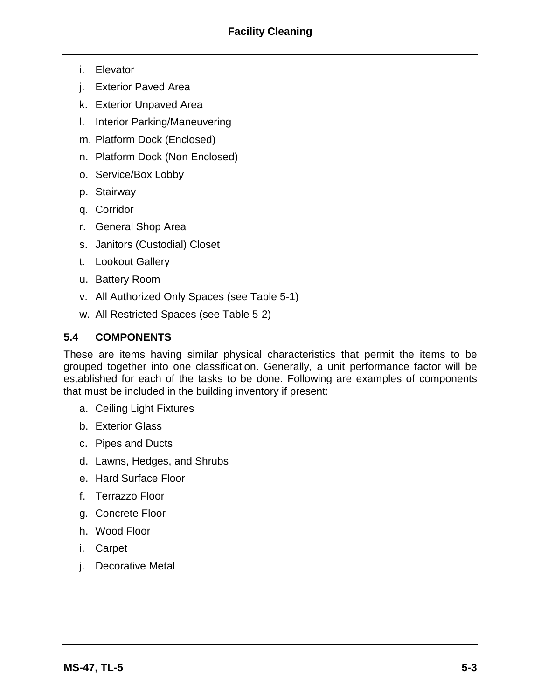- i. Elevator
- j. Exterior Paved Area
- k. Exterior Unpaved Area
- l. Interior Parking/Maneuvering
- m. Platform Dock (Enclosed)
- n. Platform Dock (Non Enclosed)
- o. Service/Box Lobby
- p. Stairway
- q. Corridor
- r. General Shop Area
- s. Janitors (Custodial) Closet
- t. Lookout Gallery
- u. Battery Room
- v. All Authorized Only Spaces (see [Table 5-1\)](#page-30-5)
- w. All Restricted Spaces (see [Table 5-2\)](#page-30-6)

# <span id="page-29-0"></span>**5.4 COMPONENTS**

These are items having similar physical characteristics that permit the items to be grouped together into one classification. Generally, a unit performance factor will be established for each of the tasks to be done. Following are examples of components that must be included in the building inventory if present:

- a. Ceiling Light Fixtures
- b. Exterior Glass
- c. Pipes and Ducts
- d. Lawns, Hedges, and Shrubs
- e. Hard Surface Floor
- f. Terrazzo Floor
- g. Concrete Floor
- h. Wood Floor
- i. Carpet
- j. Decorative Metal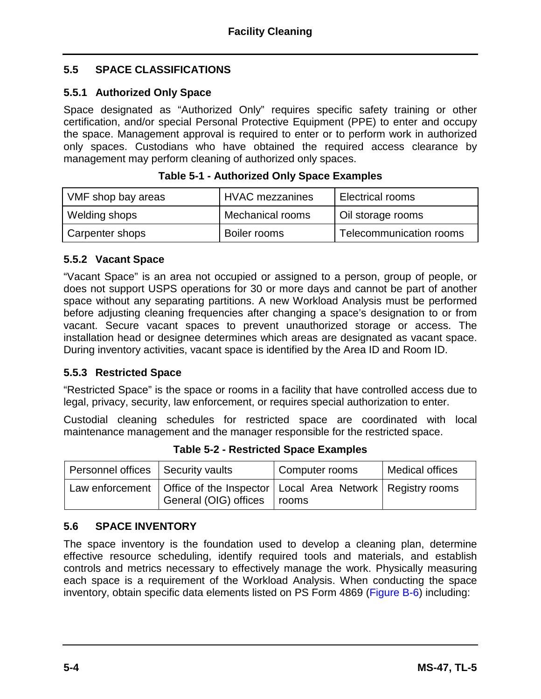# <span id="page-30-0"></span>**5.5 SPACE CLASSIFICATIONS**

# <span id="page-30-1"></span>**5.5.1 Authorized Only Space**

Space designated as "Authorized Only" requires specific safety training or other certification, and/or special Personal Protective Equipment (PPE) to enter and occupy the space. Management approval is required to enter or to perform work in authorized only spaces. Custodians who have obtained the required access clearance by management may perform cleaning of authorized only spaces.

<span id="page-30-5"></span>

| VMF shop bay areas     | <b>HVAC</b> mezzanines | <b>Electrical rooms</b> |
|------------------------|------------------------|-------------------------|
| Welding shops          | Mechanical rooms       | Oil storage rooms       |
| <b>Carpenter shops</b> | Boiler rooms           | Telecommunication rooms |

**Table 5-1 - Authorized Only Space Examples**

#### <span id="page-30-2"></span>**5.5.2 Vacant Space**

"Vacant Space" is an area not occupied or assigned to a person, group of people, or does not support USPS operations for 30 or more days and cannot be part of another space without any separating partitions. A new Workload Analysis must be performed before adjusting cleaning frequencies after changing a space's designation to or from vacant. Secure vacant spaces to prevent unauthorized storage or access. The installation head or designee determines which areas are designated as vacant space. During inventory activities, vacant space is identified by the Area ID and Room ID.

#### <span id="page-30-3"></span>**5.5.3 Restricted Space**

"Restricted Space" is the space or rooms in a facility that have controlled access due to legal, privacy, security, law enforcement, or requires special authorization to enter.

Custodial cleaning schedules for restricted space are coordinated with local maintenance management and the manager responsible for the restricted space.

<span id="page-30-6"></span>

| Personnel offices   Security vaults |                                                                                                                  | Computer rooms | Medical offices |
|-------------------------------------|------------------------------------------------------------------------------------------------------------------|----------------|-----------------|
|                                     | Law enforcement   Office of the Inspector   Local Area Network   Registry rooms<br>General (OIG) offices   rooms |                |                 |

**Table 5-2 - Restricted Space Examples**

#### <span id="page-30-4"></span>**5.6 SPACE INVENTORY**

The space inventory is the foundation used to develop a cleaning plan, determine effective resource scheduling, identify required tools and materials, and establish controls and metrics necessary to effectively manage the work. Physically measuring each space is a requirement of the Workload Analysis. When conducting the space inventory, obtain specific data elements listed on PS Form 4869 [\(Figure B-6\)](#page-89-0) including: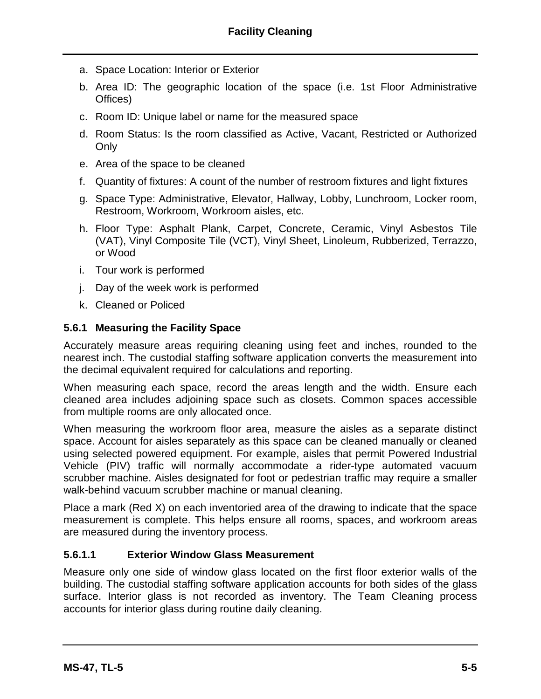- a. Space Location: Interior or Exterior
- b. Area ID: The geographic location of the space (i.e. 1st Floor Administrative Offices)
- c. Room ID: Unique label or name for the measured space
- d. Room Status: Is the room classified as Active, Vacant, Restricted or Authorized **Only**
- e. Area of the space to be cleaned
- f. Quantity of fixtures: A count of the number of restroom fixtures and light fixtures
- g. Space Type: Administrative, Elevator, Hallway, Lobby, Lunchroom, Locker room, Restroom, Workroom, Workroom aisles, etc.
- h. Floor Type: Asphalt Plank, Carpet, Concrete, Ceramic, Vinyl Asbestos Tile (VAT), Vinyl Composite Tile (VCT), Vinyl Sheet, Linoleum, Rubberized, Terrazzo, or Wood
- i. Tour work is performed
- j. Day of the week work is performed
- k. Cleaned or Policed

# <span id="page-31-0"></span>**5.6.1 Measuring the Facility Space**

Accurately measure areas requiring cleaning using feet and inches, rounded to the nearest inch. The custodial staffing software application converts the measurement into the decimal equivalent required for calculations and reporting.

When measuring each space, record the areas length and the width. Ensure each cleaned area includes adjoining space such as closets. Common spaces accessible from multiple rooms are only allocated once.

When measuring the workroom floor area, measure the aisles as a separate distinct space. Account for aisles separately as this space can be cleaned manually or cleaned using selected powered equipment. For example, aisles that permit Powered Industrial Vehicle (PIV) traffic will normally accommodate a rider-type automated vacuum scrubber machine. Aisles designated for foot or pedestrian traffic may require a smaller walk-behind vacuum scrubber machine or manual cleaning.

Place a mark (Red X) on each inventoried area of the drawing to indicate that the space measurement is complete. This helps ensure all rooms, spaces, and workroom areas are measured during the inventory process.

# **5.6.1.1 Exterior Window Glass Measurement**

Measure only one side of window glass located on the first floor exterior walls of the building. The custodial staffing software application accounts for both sides of the glass surface. Interior glass is not recorded as inventory. The Team Cleaning process accounts for interior glass during routine daily cleaning.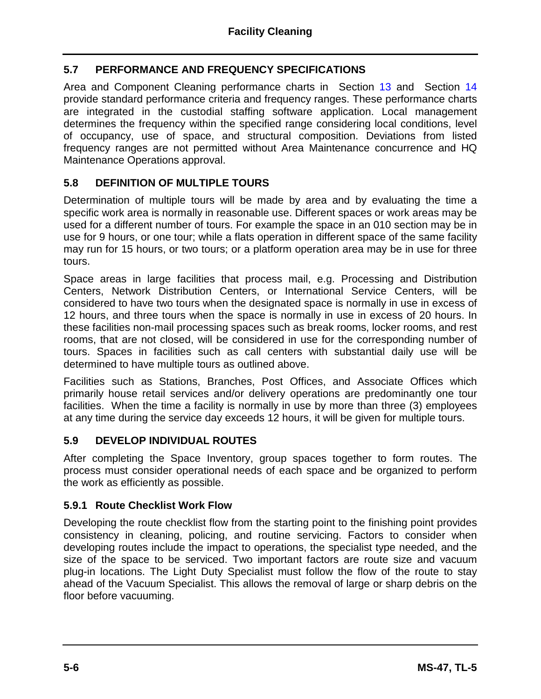# <span id="page-32-0"></span>**5.7 PERFORMANCE AND FREQUENCY SPECIFICATIONS**

Area and Component Cleaning performance charts in [Section 13](#page-49-0) and [Section 14](#page-71-0) provide standard performance criteria and frequency ranges. These performance charts are integrated in the custodial staffing software application. Local management determines the frequency within the specified range considering local conditions, level of occupancy, use of space, and structural composition. Deviations from listed frequency ranges are not permitted without Area Maintenance concurrence and HQ Maintenance Operations approval.

# <span id="page-32-1"></span>**5.8 DEFINITION OF MULTIPLE TOURS**

Determination of multiple tours will be made by area and by evaluating the time a specific work area is normally in reasonable use. Different spaces or work areas may be used for a different number of tours. For example the space in an 010 section may be in use for 9 hours, or one tour; while a flats operation in different space of the same facility may run for 15 hours, or two tours; or a platform operation area may be in use for three tours.

Space areas in large facilities that process mail, e.g. Processing and Distribution Centers, Network Distribution Centers, or International Service Centers, will be considered to have two tours when the designated space is normally in use in excess of 12 hours, and three tours when the space is normally in use in excess of 20 hours. In these facilities non-mail processing spaces such as break rooms, locker rooms, and rest rooms, that are not closed, will be considered in use for the corresponding number of tours. Spaces in facilities such as call centers with substantial daily use will be determined to have multiple tours as outlined above.

Facilities such as Stations, Branches, Post Offices, and Associate Offices which primarily house retail services and/or delivery operations are predominantly one tour facilities. When the time a facility is normally in use by more than three (3) employees at any time during the service day exceeds 12 hours, it will be given for multiple tours.

# <span id="page-32-2"></span>**5.9 DEVELOP INDIVIDUAL ROUTES**

After completing the Space Inventory, group spaces together to form routes. The process must consider operational needs of each space and be organized to perform the work as efficiently as possible.

#### <span id="page-32-3"></span>**5.9.1 Route Checklist Work Flow**

Developing the route checklist flow from the starting point to the finishing point provides consistency in cleaning, policing, and routine servicing. Factors to consider when developing routes include the impact to operations, the specialist type needed, and the size of the space to be serviced. Two important factors are route size and vacuum plug-in locations. The Light Duty Specialist must follow the flow of the route to stay ahead of the Vacuum Specialist. This allows the removal of large or sharp debris on the floor before vacuuming.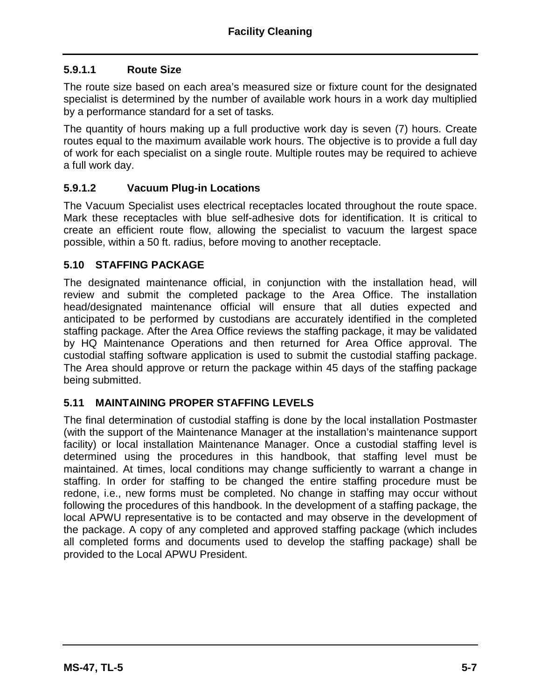# **5.9.1.1 Route Size**

The route size based on each area's measured size or fixture count for the designated specialist is determined by the number of available work hours in a work day multiplied by a performance standard for a set of tasks.

The quantity of hours making up a full productive work day is seven (7) hours. Create routes equal to the maximum available work hours. The objective is to provide a full day of work for each specialist on a single route. Multiple routes may be required to achieve a full work day.

# **5.9.1.2 Vacuum Plug-in Locations**

The Vacuum Specialist uses electrical receptacles located throughout the route space. Mark these receptacles with blue self-adhesive dots for identification. It is critical to create an efficient route flow, allowing the specialist to vacuum the largest space possible, within a 50 ft. radius, before moving to another receptacle.

# <span id="page-33-0"></span>**5.10 STAFFING PACKAGE**

The designated maintenance official, in conjunction with the installation head, will review and submit the completed package to the Area Office. The installation head/designated maintenance official will ensure that all duties expected and anticipated to be performed by custodians are accurately identified in the completed staffing package. After the Area Office reviews the staffing package, it may be validated by HQ Maintenance Operations and then returned for Area Office approval. The custodial staffing software application is used to submit the custodial staffing package. The Area should approve or return the package within 45 days of the staffing package being submitted.

# <span id="page-33-1"></span>**5.11 MAINTAINING PROPER STAFFING LEVELS**

The final determination of custodial staffing is done by the local installation Postmaster (with the support of the Maintenance Manager at the installation's maintenance support facility) or local installation Maintenance Manager. Once a custodial staffing level is determined using the procedures in this handbook, that staffing level must be maintained. At times, local conditions may change sufficiently to warrant a change in staffing. In order for staffing to be changed the entire staffing procedure must be redone, i.e., new forms must be completed. No change in staffing may occur without following the procedures of this handbook. In the development of a staffing package, the local APWU representative is to be contacted and may observe in the development of the package. A copy of any completed and approved staffing package (which includes all completed forms and documents used to develop the staffing package) shall be provided to the Local APWU President.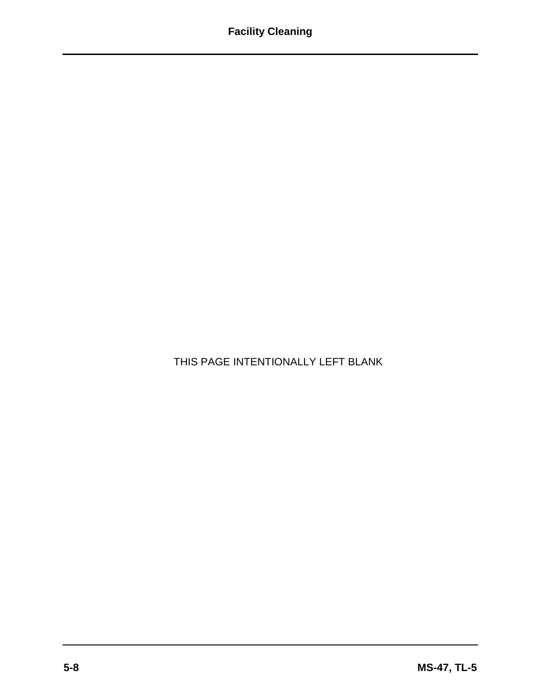THIS PAGE INTENTIONALLY LEFT BLANK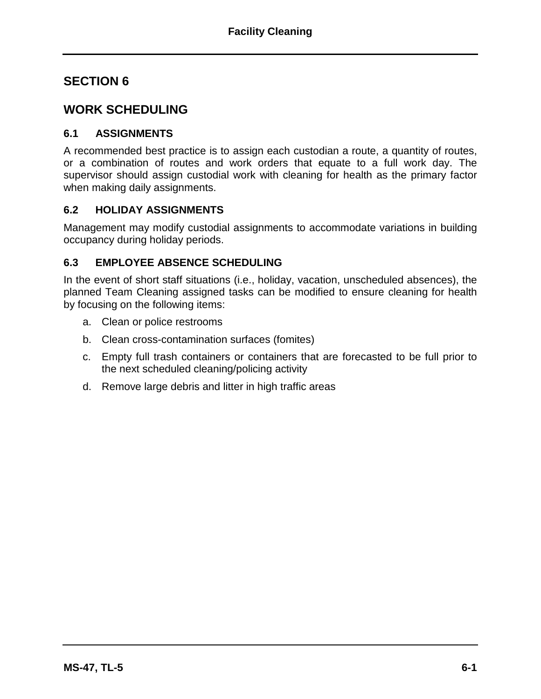# **SECTION 6**

# <span id="page-35-0"></span>**WORK SCHEDULING**

# <span id="page-35-1"></span>**6.1 ASSIGNMENTS**

A recommended best practice is to assign each custodian a route, a quantity of routes, or a combination of routes and work orders that equate to a full work day. The supervisor should assign custodial work with cleaning for health as the primary factor when making daily assignments.

# <span id="page-35-2"></span>**6.2 HOLIDAY ASSIGNMENTS**

Management may modify custodial assignments to accommodate variations in building occupancy during holiday periods.

# <span id="page-35-3"></span>**6.3 EMPLOYEE ABSENCE SCHEDULING**

In the event of short staff situations (i.e., holiday, vacation, unscheduled absences), the planned Team Cleaning assigned tasks can be modified to ensure cleaning for health by focusing on the following items:

- a. Clean or police restrooms
- b. Clean cross-contamination surfaces (fomites)
- c. Empty full trash containers or containers that are forecasted to be full prior to the next scheduled cleaning/policing activity
- d. Remove large debris and litter in high traffic areas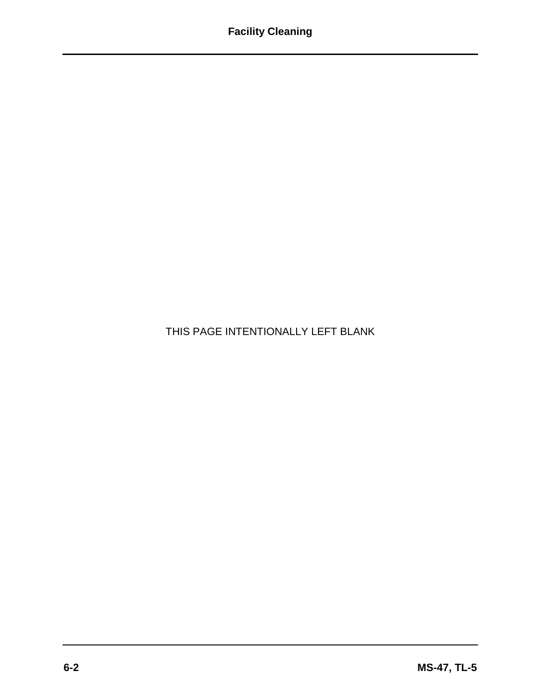### THIS PAGE INTENTIONALLY LEFT BLANK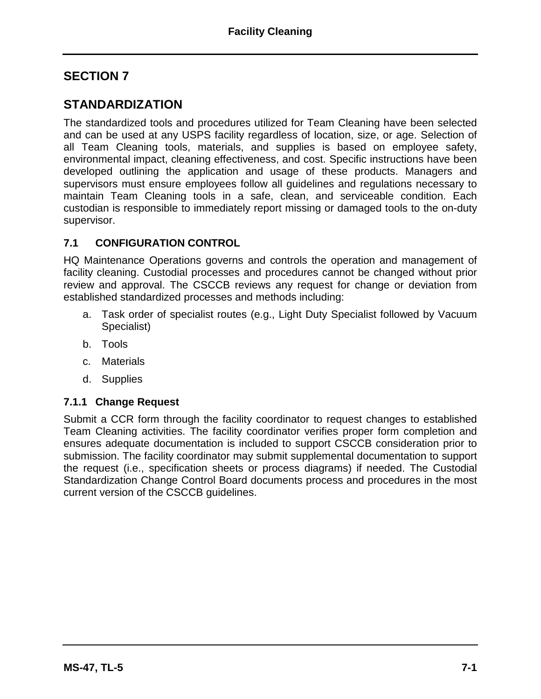# **STANDARDIZATION**

The standardized tools and procedures utilized for Team Cleaning have been selected and can be used at any USPS facility regardless of location, size, or age. Selection of all Team Cleaning tools, materials, and supplies is based on employee safety, environmental impact, cleaning effectiveness, and cost. Specific instructions have been developed outlining the application and usage of these products. Managers and supervisors must ensure employees follow all guidelines and regulations necessary to maintain Team Cleaning tools in a safe, clean, and serviceable condition. Each custodian is responsible to immediately report missing or damaged tools to the on-duty supervisor.

#### **7.1 CONFIGURATION CONTROL**

HQ Maintenance Operations governs and controls the operation and management of facility cleaning. Custodial processes and procedures cannot be changed without prior review and approval. The CSCCB reviews any request for change or deviation from established standardized processes and methods including:

- a. Task order of specialist routes (e.g., Light Duty Specialist followed by Vacuum Specialist)
- b. Tools
- c. Materials
- d. Supplies

### **7.1.1 Change Request**

Submit a CCR form through the facility coordinator to request changes to established Team Cleaning activities. The facility coordinator verifies proper form completion and ensures adequate documentation is included to support CSCCB consideration prior to submission. The facility coordinator may submit supplemental documentation to support the request (i.e., specification sheets or process diagrams) if needed. The Custodial Standardization Change Control Board documents process and procedures in the most current version of the CSCCB guidelines.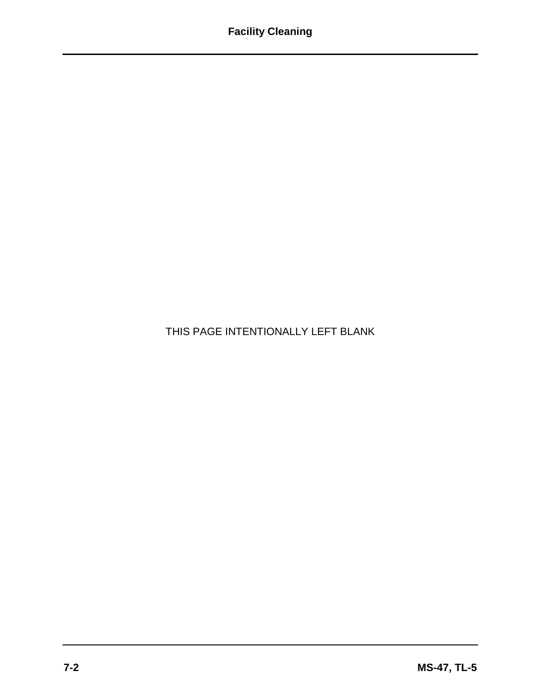### THIS PAGE INTENTIONALLY LEFT BLANK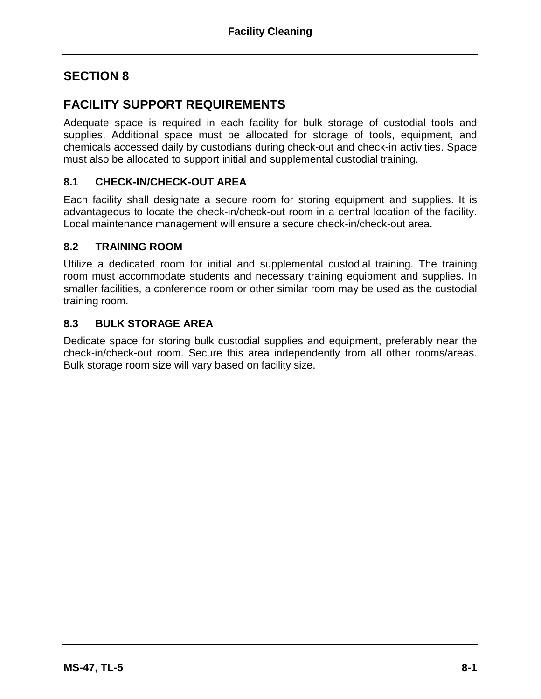# **FACILITY SUPPORT REQUIREMENTS**

Adequate space is required in each facility for bulk storage of custodial tools and supplies. Additional space must be allocated for storage of tools, equipment, and chemicals accessed daily by custodians during check-out and check-in activities. Space must also be allocated to support initial and supplemental custodial training.

#### **8.1 CHECK-IN/CHECK-OUT AREA**

Each facility shall designate a secure room for storing equipment and supplies. It is advantageous to locate the check-in/check-out room in a central location of the facility. Local maintenance management will ensure a secure check-in/check-out area.

#### **8.2 TRAINING ROOM**

Utilize a dedicated room for initial and supplemental custodial training. The training room must accommodate students and necessary training equipment and supplies. In smaller facilities, a conference room or other similar room may be used as the custodial training room.

#### **8.3 BULK STORAGE AREA**

Dedicate space for storing bulk custodial supplies and equipment, preferably near the check-in/check-out room. Secure this area independently from all other rooms/areas. Bulk storage room size will vary based on facility size.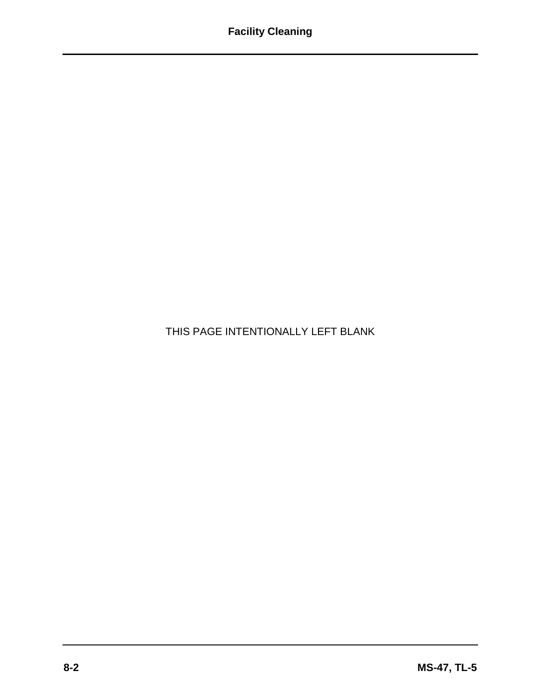### THIS PAGE INTENTIONALLY LEFT BLANK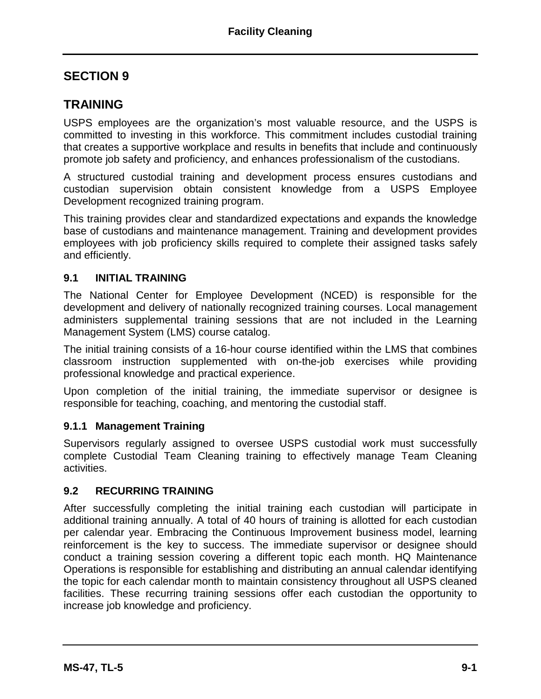# **TRAINING**

USPS employees are the organization's most valuable resource, and the USPS is committed to investing in this workforce. This commitment includes custodial training that creates a supportive workplace and results in benefits that include and continuously promote job safety and proficiency, and enhances professionalism of the custodians.

A structured custodial training and development process ensures custodians and custodian supervision obtain consistent knowledge from a USPS Employee Development recognized training program.

This training provides clear and standardized expectations and expands the knowledge base of custodians and maintenance management. Training and development provides employees with job proficiency skills required to complete their assigned tasks safely and efficiently.

#### **9.1 INITIAL TRAINING**

The National Center for Employee Development (NCED) is responsible for the development and delivery of nationally recognized training courses. Local management administers supplemental training sessions that are not included in the Learning Management System (LMS) course catalog.

The initial training consists of a 16-hour course identified within the LMS that combines classroom instruction supplemented with on-the-job exercises while providing professional knowledge and practical experience.

Upon completion of the initial training, the immediate supervisor or designee is responsible for teaching, coaching, and mentoring the custodial staff.

#### **9.1.1 Management Training**

Supervisors regularly assigned to oversee USPS custodial work must successfully complete Custodial Team Cleaning training to effectively manage Team Cleaning activities.

#### **9.2 RECURRING TRAINING**

After successfully completing the initial training each custodian will participate in additional training annually. A total of 40 hours of training is allotted for each custodian per calendar year. Embracing the Continuous Improvement business model, learning reinforcement is the key to success. The immediate supervisor or designee should conduct a training session covering a different topic each month. HQ Maintenance Operations is responsible for establishing and distributing an annual calendar identifying the topic for each calendar month to maintain consistency throughout all USPS cleaned facilities. These recurring training sessions offer each custodian the opportunity to increase job knowledge and proficiency.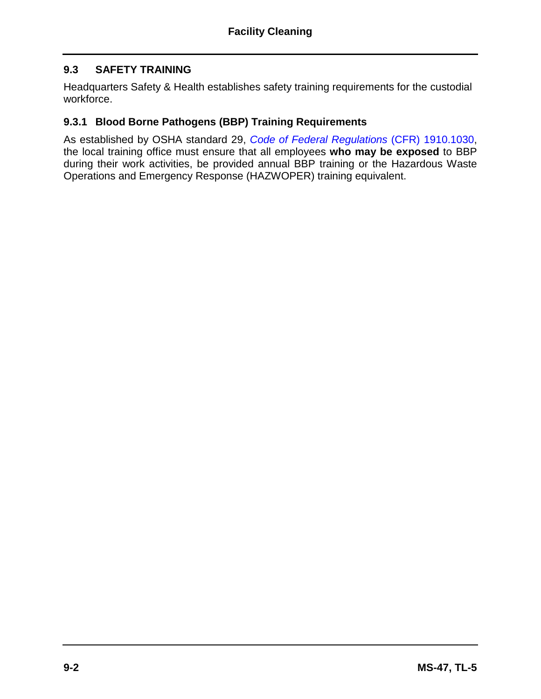#### **9.3 SAFETY TRAINING**

Headquarters Safety & Health establishes safety training requirements for the custodial workforce.

# **9.3.1 Blood Borne Pathogens (BBP) Training Requirements**

As established by OSHA standard 29, *[Code of Federal Regulations](https://www.osha.gov/pls/oshaweb/owadisp.show_document?p_table=STANDARDS&p_id=10051)* (CFR) 1910.1030, the local training office must ensure that all employees **who may be exposed** to BBP during their work activities, be provided annual BBP training or the Hazardous Waste Operations and Emergency Response (HAZWOPER) training equivalent.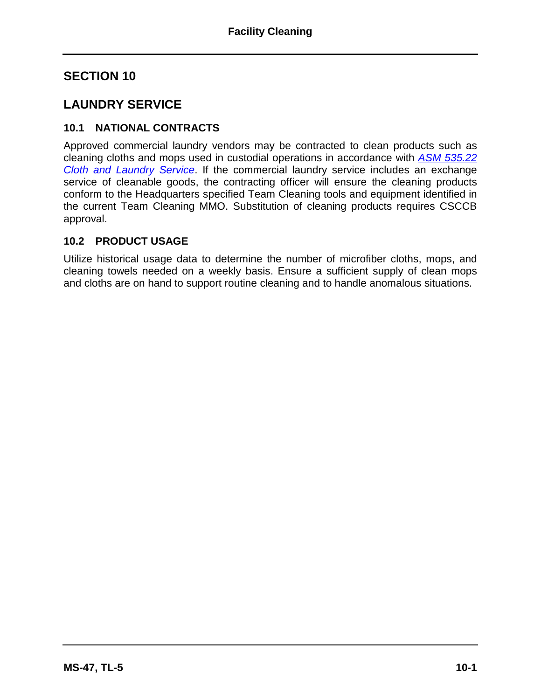# **LAUNDRY SERVICE**

#### **10.1 NATIONAL CONTRACTS**

Approved commercial laundry vendors may be contracted to clean products such as cleaning cloths and mops used in custodial operations in accordance with *[ASM 535.22](http://blue.usps.gov/cpim/ftp/manuals/asm/asmc5.pdf)  [Cloth and Laundry Service](http://blue.usps.gov/cpim/ftp/manuals/asm/asmc5.pdf)*. If the commercial laundry service includes an exchange service of cleanable goods, the contracting officer will ensure the cleaning products conform to the Headquarters specified Team Cleaning tools and equipment identified in the current Team Cleaning MMO. Substitution of cleaning products requires CSCCB approval.

#### **10.2 PRODUCT USAGE**

Utilize historical usage data to determine the number of microfiber cloths, mops, and cleaning towels needed on a weekly basis. Ensure a sufficient supply of clean mops and cloths are on hand to support routine cleaning and to handle anomalous situations.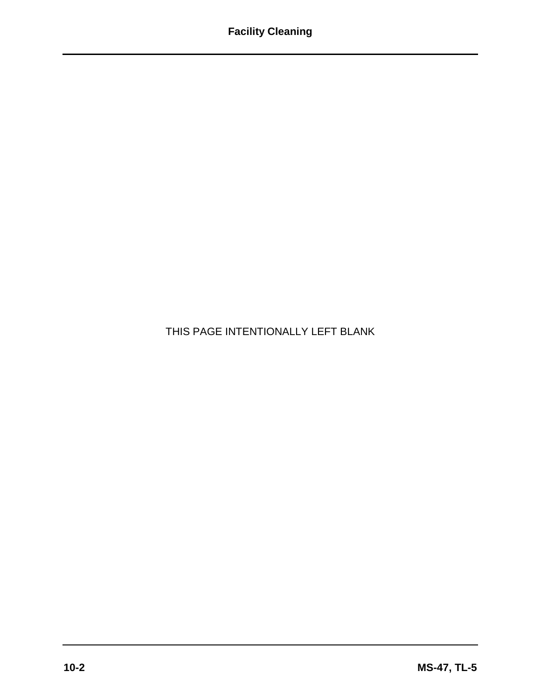### THIS PAGE INTENTIONALLY LEFT BLANK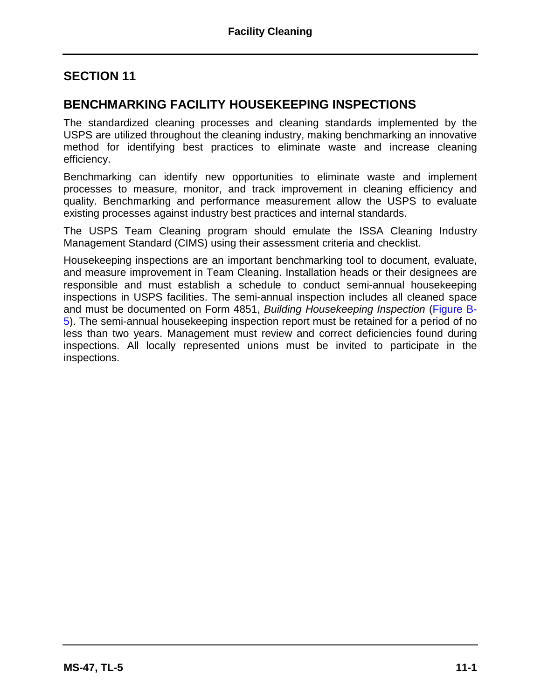## **BENCHMARKING FACILITY HOUSEKEEPING INSPECTIONS**

The standardized cleaning processes and cleaning standards implemented by the USPS are utilized throughout the cleaning industry, making benchmarking an innovative method for identifying best practices to eliminate waste and increase cleaning efficiency.

Benchmarking can identify new opportunities to eliminate waste and implement processes to measure, monitor, and track improvement in cleaning efficiency and quality. Benchmarking and performance measurement allow the USPS to evaluate existing processes against industry best practices and internal standards.

The USPS Team Cleaning program should emulate the ISSA Cleaning Industry Management Standard (CIMS) using their assessment criteria and checklist.

Housekeeping inspections are an important benchmarking tool to document, evaluate, and measure improvement in Team Cleaning. Installation heads or their designees are responsible and must establish a schedule to conduct semi-annual housekeeping inspections in USPS facilities. The semi-annual inspection includes all cleaned space and must be documented on Form 4851, *Building Housekeeping Inspection* [\(Figure B-](#page-88-0)[5\)](#page-88-0). The semi-annual housekeeping inspection report must be retained for a period of no less than two years. Management must review and correct deficiencies found during inspections. All locally represented unions must be invited to participate in the inspections.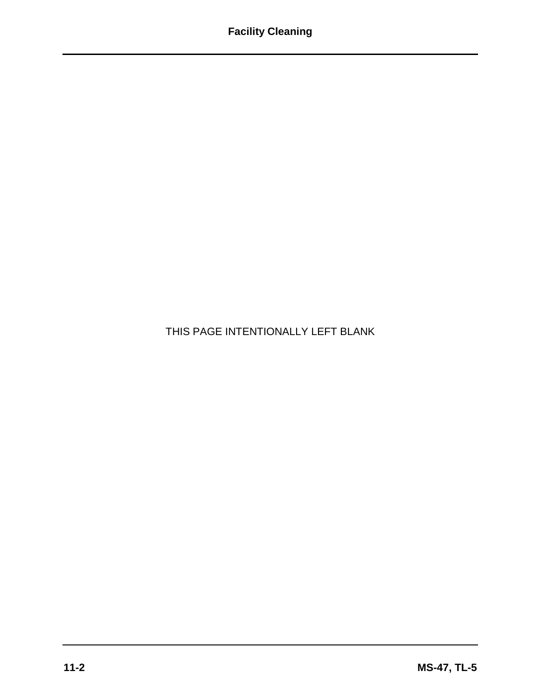### THIS PAGE INTENTIONALLY LEFT BLANK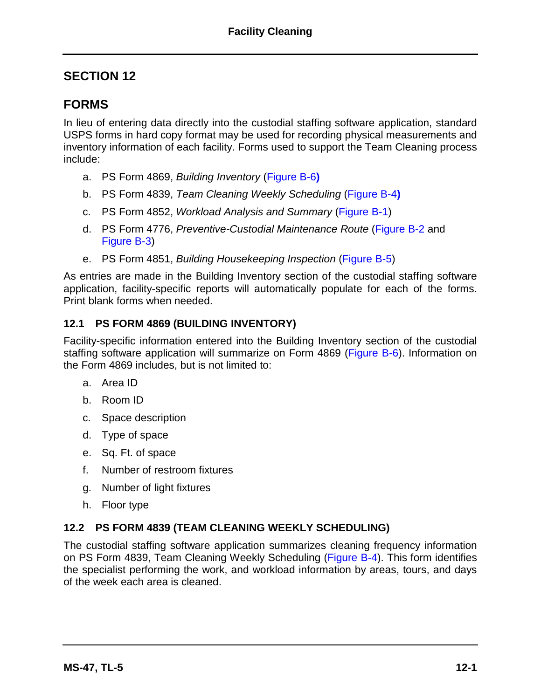# **FORMS**

In lieu of entering data directly into the custodial staffing software application, standard USPS forms in hard copy format may be used for recording physical measurements and inventory information of each facility. Forms used to support the Team Cleaning process include:

- a. PS Form 4869, *Building Inventory* [\(Figure B-6](#page-89-0)**)**
- b. PS Form 4839, *Team Cleaning Weekly Scheduling* [\(Figure B-4](#page-87-0)**)**
- c. [PS Form 4852,](#page-84-0) *Workload Analysis and Summary* [\(Figure B-1\)](#page-84-0)
- d. [PS Form 4776,](#page-85-0) *Preventive-Custodial Maintenance Route* [\(Figure B-2](#page-85-1) and [Figure B-3\)](#page-86-0)
- e. PS Form 4851, *Building Housekeeping Inspection* [\(Figure B-5\)](#page-88-0)

As entries are made in the Building Inventory section of the custodial staffing software application, facility-specific reports will automatically populate for each of the forms. Print blank forms when needed.

### **12.1 PS FORM 4869 (BUILDING INVENTORY)**

Facility-specific information entered into the Building Inventory section of the custodial staffing software application will summarize on Form 4869 [\(Figure B-6\)](#page-89-0). Information on the Form 4869 includes, but is not limited to:

- a. Area ID
- b. Room ID
- c. Space description
- d. Type of space
- e. Sq. Ft. of space
- f. Number of restroom fixtures
- g. Number of light fixtures
- h. Floor type

### **12.2 PS FORM 4839 (TEAM CLEANING WEEKLY SCHEDULING)**

The custodial staffing software application summarizes cleaning frequency information on PS Form 4839, Team Cleaning Weekly Scheduling [\(Figure B-4\)](#page-87-0). This form identifies the specialist performing the work, and workload information by areas, tours, and days of the week each area is cleaned.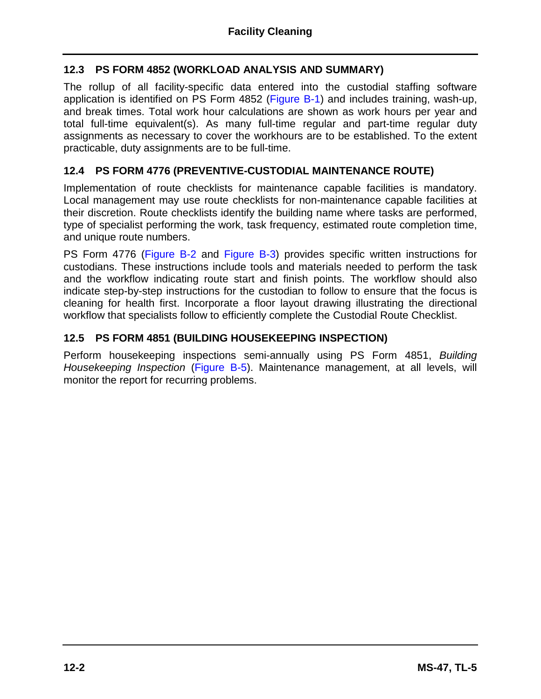#### **12.3 PS FORM 4852 (WORKLOAD ANALYSIS AND SUMMARY)**

The rollup of all facility-specific data entered into the custodial staffing software application is identified on PS Form 4852 [\(Figure B-1\)](#page-84-0) and includes training, wash-up, and break times. Total work hour calculations are shown as work hours per year and total full-time equivalent(s). As many full-time regular and part-time regular duty assignments as necessary to cover the workhours are to be established. To the extent practicable, duty assignments are to be full-time.

#### **12.4 PS FORM 4776 (PREVENTIVE-CUSTODIAL MAINTENANCE ROUTE)**

Implementation of route checklists for maintenance capable facilities is mandatory. Local management may use route checklists for non-maintenance capable facilities at their discretion. Route checklists identify the building name where tasks are performed, type of specialist performing the work, task frequency, estimated route completion time, and unique route numbers.

PS Form 4776 [\(Figure B-2](#page-85-1) and [Figure B-3\)](#page-86-0) provides specific written instructions for custodians. These instructions include tools and materials needed to perform the task and the workflow indicating route start and finish points. The workflow should also indicate step-by-step instructions for the custodian to follow to ensure that the focus is cleaning for health first. Incorporate a floor layout drawing illustrating the directional workflow that specialists follow to efficiently complete the Custodial Route Checklist.

#### **12.5 PS FORM 4851 (BUILDING HOUSEKEEPING INSPECTION)**

Perform housekeeping inspections semi-annually using PS Form 4851, *Building Housekeeping Inspection* [\(Figure B-5\)](#page-88-0). Maintenance management, at all levels, will monitor the report for recurring problems.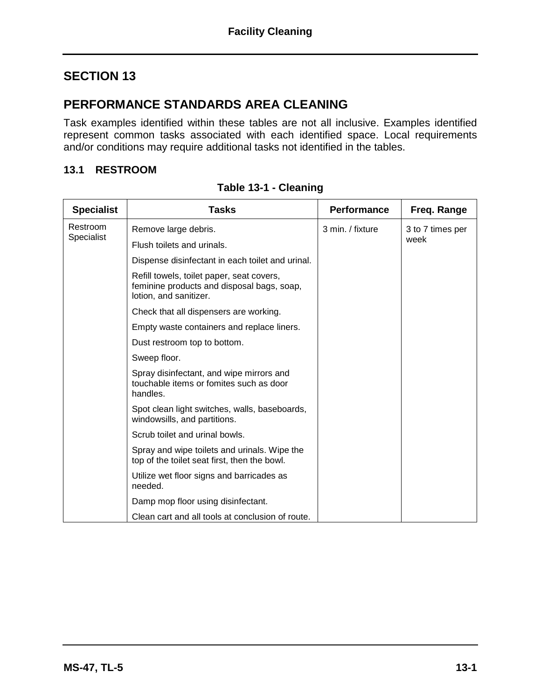# **PERFORMANCE STANDARDS AREA CLEANING**

Task examples identified within these tables are not all inclusive. Examples identified represent common tasks associated with each identified space. Local requirements and/or conditions may require additional tasks not identified in the tables.

#### **13.1 RESTROOM**

| <b>Specialist</b> | <b>Tasks</b>                                                                                                      | <b>Performance</b> | Freq. Range      |  |
|-------------------|-------------------------------------------------------------------------------------------------------------------|--------------------|------------------|--|
| Restroom          | Remove large debris.                                                                                              | 3 min. / fixture   | 3 to 7 times per |  |
| Specialist        | Flush toilets and urinals.                                                                                        |                    | week             |  |
|                   | Dispense disinfectant in each toilet and urinal.                                                                  |                    |                  |  |
|                   | Refill towels, toilet paper, seat covers,<br>feminine products and disposal bags, soap,<br>lotion, and sanitizer. |                    |                  |  |
|                   | Check that all dispensers are working.                                                                            |                    |                  |  |
|                   | Empty waste containers and replace liners.                                                                        |                    |                  |  |
|                   | Dust restroom top to bottom.                                                                                      |                    |                  |  |
|                   | Sweep floor.                                                                                                      |                    |                  |  |
|                   | Spray disinfectant, and wipe mirrors and<br>touchable items or fomites such as door<br>handles.                   |                    |                  |  |
|                   | Spot clean light switches, walls, baseboards,<br>windowsills, and partitions.                                     |                    |                  |  |
|                   | Scrub toilet and urinal bowls.                                                                                    |                    |                  |  |
|                   | Spray and wipe toilets and urinals. Wipe the<br>top of the toilet seat first, then the bowl.                      |                    |                  |  |
|                   | Utilize wet floor signs and barricades as<br>needed.                                                              |                    |                  |  |
|                   | Damp mop floor using disinfectant.                                                                                |                    |                  |  |
|                   | Clean cart and all tools at conclusion of route.                                                                  |                    |                  |  |

#### **Table 13-1 - Cleaning**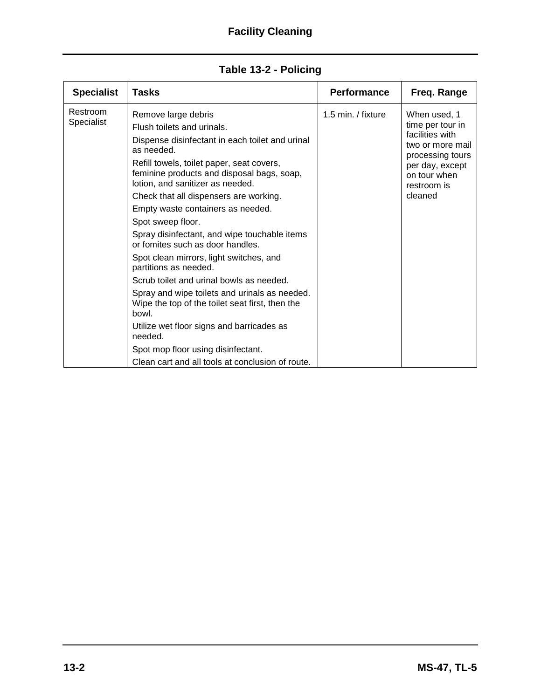| 1.5 min. / fixture | When used, 1<br>time per tour in                                                                                     |
|--------------------|----------------------------------------------------------------------------------------------------------------------|
|                    | facilities with<br>two or more mail<br>processing tours<br>per day, except<br>on tour when<br>restroom is<br>cleaned |
|                    |                                                                                                                      |

**Table 13-2 - Policing**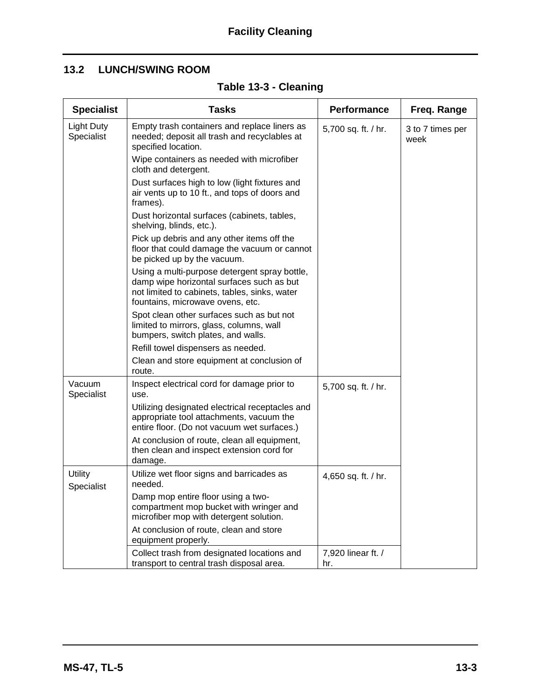# **13.2 LUNCH/SWING ROOM**

| <b>Specialist</b>               | <b>Tasks</b>                                                                                                                                                                    | <b>Performance</b>        | Freq. Range              |
|---------------------------------|---------------------------------------------------------------------------------------------------------------------------------------------------------------------------------|---------------------------|--------------------------|
| <b>Light Duty</b><br>Specialist | Empty trash containers and replace liners as<br>needed; deposit all trash and recyclables at<br>specified location.                                                             | 5,700 sq. ft. / hr.       | 3 to 7 times per<br>week |
|                                 | Wipe containers as needed with microfiber<br>cloth and detergent.                                                                                                               |                           |                          |
|                                 | Dust surfaces high to low (light fixtures and<br>air vents up to 10 ft., and tops of doors and<br>frames).                                                                      |                           |                          |
|                                 | Dust horizontal surfaces (cabinets, tables,<br>shelving, blinds, etc.).                                                                                                         |                           |                          |
|                                 | Pick up debris and any other items off the<br>floor that could damage the vacuum or cannot<br>be picked up by the vacuum.                                                       |                           |                          |
|                                 | Using a multi-purpose detergent spray bottle,<br>damp wipe horizontal surfaces such as but<br>not limited to cabinets, tables, sinks, water<br>fountains, microwave ovens, etc. |                           |                          |
|                                 | Spot clean other surfaces such as but not<br>limited to mirrors, glass, columns, wall<br>bumpers, switch plates, and walls.                                                     |                           |                          |
|                                 | Refill towel dispensers as needed.                                                                                                                                              |                           |                          |
|                                 | Clean and store equipment at conclusion of<br>route.                                                                                                                            |                           |                          |
| Vacuum<br>Specialist            | Inspect electrical cord for damage prior to<br>use.                                                                                                                             | 5,700 sq. ft. / hr.       |                          |
|                                 | Utilizing designated electrical receptacles and<br>appropriate tool attachments, vacuum the<br>entire floor. (Do not vacuum wet surfaces.)                                      |                           |                          |
|                                 | At conclusion of route, clean all equipment,<br>then clean and inspect extension cord for<br>damage.                                                                            |                           |                          |
| <b>Utility</b><br>Specialist    | Utilize wet floor signs and barricades as<br>needed.                                                                                                                            | 4,650 sq. ft. / hr.       |                          |
|                                 | Damp mop entire floor using a two-<br>compartment mop bucket with wringer and<br>microfiber mop with detergent solution.                                                        |                           |                          |
|                                 | At conclusion of route, clean and store<br>equipment properly.                                                                                                                  |                           |                          |
|                                 | Collect trash from designated locations and<br>transport to central trash disposal area.                                                                                        | 7,920 linear ft. /<br>hr. |                          |

# **Table 13-3 - Cleaning**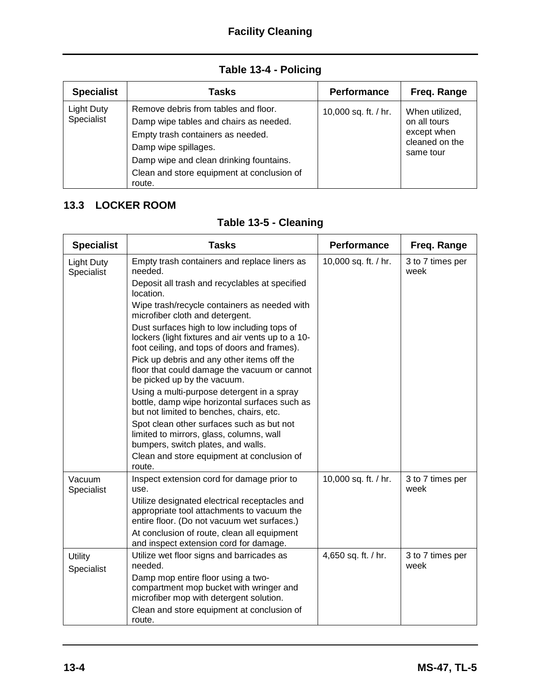# **Table 13-4 - Policing**

| <b>Specialist</b>        | Tasks                                                                                                                                                                                                                                          | Performance          | Freq. Range                                                                  |
|--------------------------|------------------------------------------------------------------------------------------------------------------------------------------------------------------------------------------------------------------------------------------------|----------------------|------------------------------------------------------------------------------|
| Light Duty<br>Specialist | Remove debris from tables and floor.<br>Damp wipe tables and chairs as needed.<br>Empty trash containers as needed.<br>Damp wipe spillages.<br>Damp wipe and clean drinking fountains.<br>Clean and store equipment at conclusion of<br>route. | 10,000 sq. ft. / hr. | When utilized,<br>on all tours<br>except when<br>cleaned on the<br>same tour |

### **13.3 LOCKER ROOM**

# **Table 13-5 - Cleaning**

| <b>Specialist</b>            | <b>Tasks</b>                                                                                                                                     | <b>Performance</b>   | Freq. Range              |
|------------------------------|--------------------------------------------------------------------------------------------------------------------------------------------------|----------------------|--------------------------|
| Light Duty<br>Specialist     | Empty trash containers and replace liners as<br>needed.                                                                                          | 10,000 sq. ft. / hr. | 3 to 7 times per<br>week |
|                              | Deposit all trash and recyclables at specified<br>location.                                                                                      |                      |                          |
|                              | Wipe trash/recycle containers as needed with<br>microfiber cloth and detergent.                                                                  |                      |                          |
|                              | Dust surfaces high to low including tops of<br>lockers (light fixtures and air vents up to a 10-<br>foot ceiling, and tops of doors and frames). |                      |                          |
|                              | Pick up debris and any other items off the<br>floor that could damage the vacuum or cannot<br>be picked up by the vacuum.                        |                      |                          |
|                              | Using a multi-purpose detergent in a spray<br>bottle, damp wipe horizontal surfaces such as<br>but not limited to benches, chairs, etc.          |                      |                          |
|                              | Spot clean other surfaces such as but not<br>limited to mirrors, glass, columns, wall<br>bumpers, switch plates, and walls.                      |                      |                          |
|                              | Clean and store equipment at conclusion of<br>route.                                                                                             |                      |                          |
| Vacuum<br>Specialist         | Inspect extension cord for damage prior to<br>use.                                                                                               | 10,000 sq. ft. / hr. | 3 to 7 times per<br>week |
|                              | Utilize designated electrical receptacles and<br>appropriate tool attachments to vacuum the<br>entire floor. (Do not vacuum wet surfaces.)       |                      |                          |
|                              | At conclusion of route, clean all equipment<br>and inspect extension cord for damage.                                                            |                      |                          |
| <b>Utility</b><br>Specialist | Utilize wet floor signs and barricades as<br>needed.                                                                                             | 4,650 sq. ft. / hr.  | 3 to 7 times per<br>week |
|                              | Damp mop entire floor using a two-<br>compartment mop bucket with wringer and<br>microfiber mop with detergent solution.                         |                      |                          |
|                              | Clean and store equipment at conclusion of<br>route.                                                                                             |                      |                          |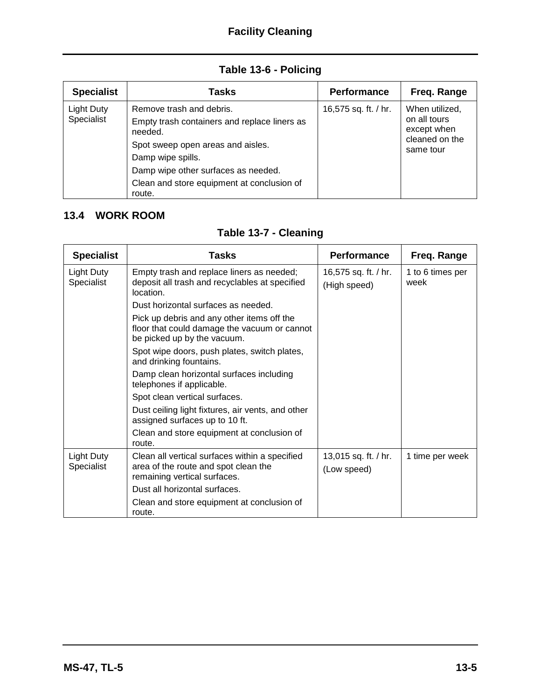**Table 13-6 - Policing**

| <b>Specialist</b>               | Tasks                                                                                                                                                                                                                                        | <b>Performance</b>   | Freq. Range                                                                  |
|---------------------------------|----------------------------------------------------------------------------------------------------------------------------------------------------------------------------------------------------------------------------------------------|----------------------|------------------------------------------------------------------------------|
| <b>Light Duty</b><br>Specialist | Remove trash and debris.<br>Empty trash containers and replace liners as<br>needed.<br>Spot sweep open areas and aisles.<br>Damp wipe spills.<br>Damp wipe other surfaces as needed.<br>Clean and store equipment at conclusion of<br>route. | 16,575 sq. ft. / hr. | When utilized,<br>on all tours<br>except when<br>cleaned on the<br>same tour |

### **13.4 WORK ROOM**

# **Table 13-7 - Cleaning**

| <b>Specialist</b>        | <b>Tasks</b>                                                                                                              | <b>Performance</b>                   | Freq. Range              |
|--------------------------|---------------------------------------------------------------------------------------------------------------------------|--------------------------------------|--------------------------|
| Light Duty<br>Specialist | Empty trash and replace liners as needed;<br>deposit all trash and recyclables at specified<br>location.                  | 16,575 sq. ft. / hr.<br>(High speed) | 1 to 6 times per<br>week |
|                          | Dust horizontal surfaces as needed.                                                                                       |                                      |                          |
|                          | Pick up debris and any other items off the<br>floor that could damage the vacuum or cannot<br>be picked up by the vacuum. |                                      |                          |
|                          | Spot wipe doors, push plates, switch plates,<br>and drinking fountains.                                                   |                                      |                          |
|                          | Damp clean horizontal surfaces including<br>telephones if applicable.                                                     |                                      |                          |
|                          | Spot clean vertical surfaces.                                                                                             |                                      |                          |
|                          | Dust ceiling light fixtures, air vents, and other<br>assigned surfaces up to 10 ft.                                       |                                      |                          |
|                          | Clean and store equipment at conclusion of<br>route.                                                                      |                                      |                          |
| <b>Light Duty</b>        | Clean all vertical surfaces within a specified                                                                            | 13,015 sq. ft. / hr.                 | 1 time per week          |
| Specialist               | area of the route and spot clean the<br>remaining vertical surfaces.                                                      | (Low speed)                          |                          |
|                          | Dust all horizontal surfaces.                                                                                             |                                      |                          |
|                          | Clean and store equipment at conclusion of<br>route.                                                                      |                                      |                          |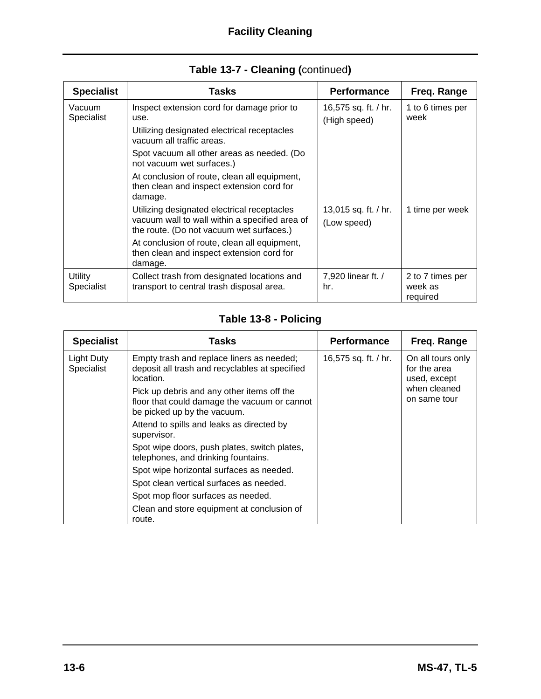| <b>Specialist</b>     | Tasks                                                                                                                                     | <b>Performance</b>                   | Freq. Range                             |
|-----------------------|-------------------------------------------------------------------------------------------------------------------------------------------|--------------------------------------|-----------------------------------------|
| Vacuum<br>Specialist  | Inspect extension cord for damage prior to<br>use.<br>Utilizing designated electrical receptacles<br>vacuum all traffic areas.            | 16,575 sq. ft. / hr.<br>(High speed) | 1 to 6 times per<br>week                |
|                       | Spot vacuum all other areas as needed. (Do<br>not vacuum wet surfaces.)                                                                   |                                      |                                         |
|                       | At conclusion of route, clean all equipment,<br>then clean and inspect extension cord for<br>damage.                                      |                                      |                                         |
|                       | Utilizing designated electrical receptacles<br>vacuum wall to wall within a specified area of<br>the route. (Do not vacuum wet surfaces.) | 13,015 sq. ft. / hr.<br>(Low speed)  | 1 time per week                         |
|                       | At conclusion of route, clean all equipment,<br>then clean and inspect extension cord for<br>damage.                                      |                                      |                                         |
| Utility<br>Specialist | Collect trash from designated locations and<br>transport to central trash disposal area.                                                  | 7,920 linear ft. /<br>hr.            | 2 to 7 times per<br>week as<br>required |

**Table 13-7 - Cleaning (**continued**)** 

# **Table 13-8 - Policing**

| <b>Specialist</b>        | <b>Tasks</b>                                                                                                              | <b>Performance</b>   | Freq. Range                                                                       |
|--------------------------|---------------------------------------------------------------------------------------------------------------------------|----------------------|-----------------------------------------------------------------------------------|
| Light Duty<br>Specialist | Empty trash and replace liners as needed;<br>deposit all trash and recyclables at specified<br>location.                  | 16,575 sq. ft. / hr. | On all tours only<br>for the area<br>used, except<br>when cleaned<br>on same tour |
|                          | Pick up debris and any other items off the<br>floor that could damage the vacuum or cannot<br>be picked up by the vacuum. |                      |                                                                                   |
|                          | Attend to spills and leaks as directed by<br>supervisor.                                                                  |                      |                                                                                   |
|                          | Spot wipe doors, push plates, switch plates,<br>telephones, and drinking fountains.                                       |                      |                                                                                   |
|                          | Spot wipe horizontal surfaces as needed.                                                                                  |                      |                                                                                   |
|                          | Spot clean vertical surfaces as needed.                                                                                   |                      |                                                                                   |
|                          | Spot mop floor surfaces as needed.                                                                                        |                      |                                                                                   |
|                          | Clean and store equipment at conclusion of<br>route.                                                                      |                      |                                                                                   |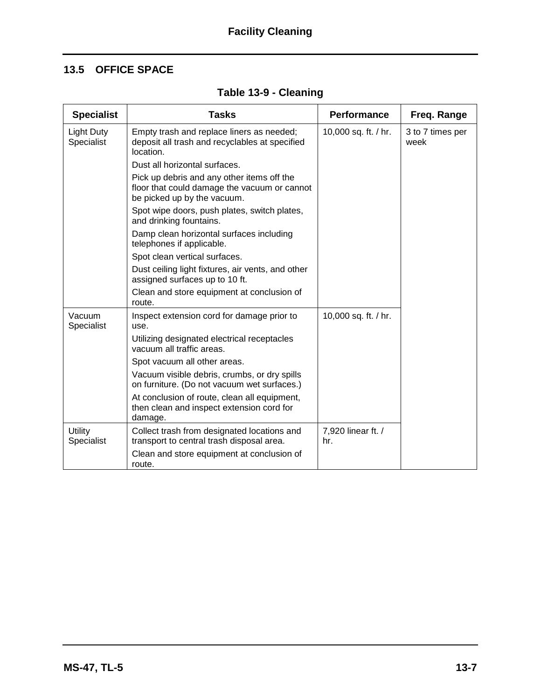## **13.5 OFFICE SPACE**

| <b>Specialist</b>               | <b>Tasks</b>                                                                                                              | <b>Performance</b>        | Freq. Range              |
|---------------------------------|---------------------------------------------------------------------------------------------------------------------------|---------------------------|--------------------------|
| <b>Light Duty</b><br>Specialist | Empty trash and replace liners as needed;<br>deposit all trash and recyclables at specified<br>location.                  | 10,000 sq. ft. / hr.      | 3 to 7 times per<br>week |
|                                 | Dust all horizontal surfaces.                                                                                             |                           |                          |
|                                 | Pick up debris and any other items off the<br>floor that could damage the vacuum or cannot<br>be picked up by the vacuum. |                           |                          |
|                                 | Spot wipe doors, push plates, switch plates,<br>and drinking fountains.                                                   |                           |                          |
|                                 | Damp clean horizontal surfaces including<br>telephones if applicable.                                                     |                           |                          |
|                                 | Spot clean vertical surfaces.                                                                                             |                           |                          |
|                                 | Dust ceiling light fixtures, air vents, and other<br>assigned surfaces up to 10 ft.                                       |                           |                          |
|                                 | Clean and store equipment at conclusion of<br>route.                                                                      |                           |                          |
| Vacuum<br>Specialist            | Inspect extension cord for damage prior to<br>use.                                                                        | 10,000 sq. ft. / hr.      |                          |
|                                 | Utilizing designated electrical receptacles<br>vacuum all traffic areas.                                                  |                           |                          |
|                                 | Spot vacuum all other areas.                                                                                              |                           |                          |
|                                 | Vacuum visible debris, crumbs, or dry spills<br>on furniture. (Do not vacuum wet surfaces.)                               |                           |                          |
|                                 | At conclusion of route, clean all equipment,<br>then clean and inspect extension cord for<br>damage.                      |                           |                          |
| <b>Utility</b><br>Specialist    | Collect trash from designated locations and<br>transport to central trash disposal area.                                  | 7,920 linear ft. /<br>hr. |                          |
|                                 | Clean and store equipment at conclusion of<br>route.                                                                      |                           |                          |

# **Table 13-9 - Cleaning**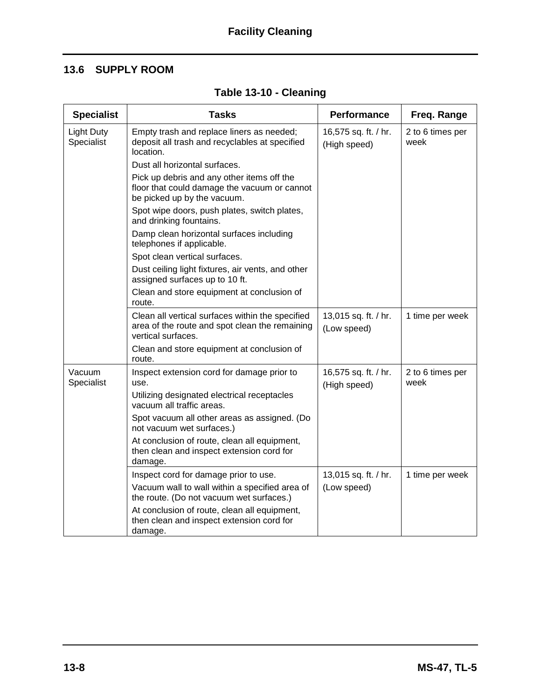### **13.6 SUPPLY ROOM**

| <b>Specialist</b>               | <b>Tasks</b>                                                                                                              | <b>Performance</b>                   | Freq. Range              |
|---------------------------------|---------------------------------------------------------------------------------------------------------------------------|--------------------------------------|--------------------------|
| <b>Light Duty</b><br>Specialist | Empty trash and replace liners as needed;<br>deposit all trash and recyclables at specified<br>location.                  | 16,575 sq. ft. / hr.<br>(High speed) | 2 to 6 times per<br>week |
|                                 | Dust all horizontal surfaces.                                                                                             |                                      |                          |
|                                 | Pick up debris and any other items off the<br>floor that could damage the vacuum or cannot<br>be picked up by the vacuum. |                                      |                          |
|                                 | Spot wipe doors, push plates, switch plates,<br>and drinking fountains.                                                   |                                      |                          |
|                                 | Damp clean horizontal surfaces including<br>telephones if applicable.                                                     |                                      |                          |
|                                 | Spot clean vertical surfaces.                                                                                             |                                      |                          |
|                                 | Dust ceiling light fixtures, air vents, and other<br>assigned surfaces up to 10 ft.                                       |                                      |                          |
|                                 | Clean and store equipment at conclusion of<br>route.                                                                      |                                      |                          |
|                                 | Clean all vertical surfaces within the specified<br>area of the route and spot clean the remaining<br>vertical surfaces.  | 13,015 sq. ft. / hr.<br>(Low speed)  | 1 time per week          |
|                                 | Clean and store equipment at conclusion of<br>route.                                                                      |                                      |                          |
| Vacuum<br>Specialist            | Inspect extension cord for damage prior to<br>use.                                                                        | 16,575 sq. ft. / hr.<br>(High speed) | 2 to 6 times per<br>week |
|                                 | Utilizing designated electrical receptacles<br>vacuum all traffic areas.                                                  |                                      |                          |
|                                 | Spot vacuum all other areas as assigned. (Do<br>not vacuum wet surfaces.)                                                 |                                      |                          |
|                                 | At conclusion of route, clean all equipment,<br>then clean and inspect extension cord for<br>damage.                      |                                      |                          |
|                                 | Inspect cord for damage prior to use.                                                                                     | 13,015 sq. ft. / hr.                 | 1 time per week          |
|                                 | Vacuum wall to wall within a specified area of<br>the route. (Do not vacuum wet surfaces.)                                | (Low speed)                          |                          |
|                                 | At conclusion of route, clean all equipment,<br>then clean and inspect extension cord for<br>damage.                      |                                      |                          |

**Table 13-10 - Cleaning**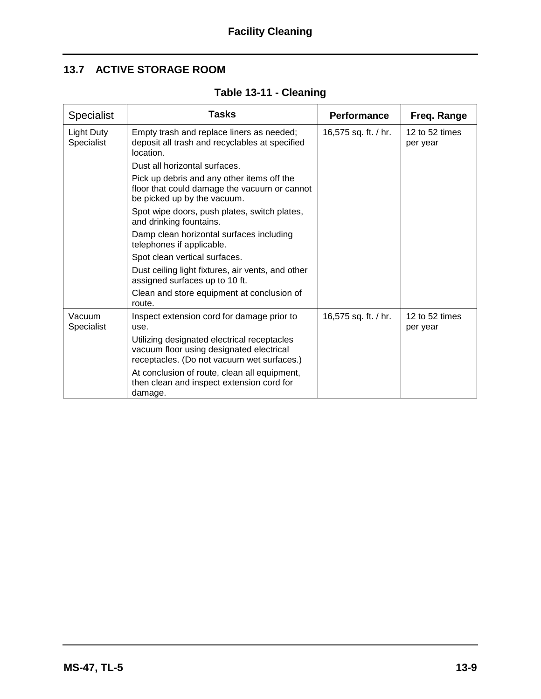# **13.7 ACTIVE STORAGE ROOM**

| <b>Specialist</b>               | Tasks                                                                                                                                 | <b>Performance</b>   | Freq. Range                |
|---------------------------------|---------------------------------------------------------------------------------------------------------------------------------------|----------------------|----------------------------|
| <b>Light Duty</b><br>Specialist | Empty trash and replace liners as needed;<br>deposit all trash and recyclables at specified<br>location.                              | 16,575 sq. ft. / hr. | 12 to 52 times<br>per year |
|                                 | Dust all horizontal surfaces.                                                                                                         |                      |                            |
|                                 | Pick up debris and any other items off the<br>floor that could damage the vacuum or cannot<br>be picked up by the vacuum.             |                      |                            |
|                                 | Spot wipe doors, push plates, switch plates,<br>and drinking fountains.                                                               |                      |                            |
|                                 | Damp clean horizontal surfaces including<br>telephones if applicable.                                                                 |                      |                            |
|                                 | Spot clean vertical surfaces.                                                                                                         |                      |                            |
|                                 | Dust ceiling light fixtures, air vents, and other<br>assigned surfaces up to 10 ft.                                                   |                      |                            |
|                                 | Clean and store equipment at conclusion of<br>route.                                                                                  |                      |                            |
| Vacuum<br><b>Specialist</b>     | Inspect extension cord for damage prior to<br>use.                                                                                    | 16,575 sq. ft. / hr. | 12 to 52 times<br>per year |
|                                 | Utilizing designated electrical receptacles<br>vacuum floor using designated electrical<br>receptacles. (Do not vacuum wet surfaces.) |                      |                            |
|                                 | At conclusion of route, clean all equipment,<br>then clean and inspect extension cord for<br>damage.                                  |                      |                            |

**Table 13-11 - Cleaning**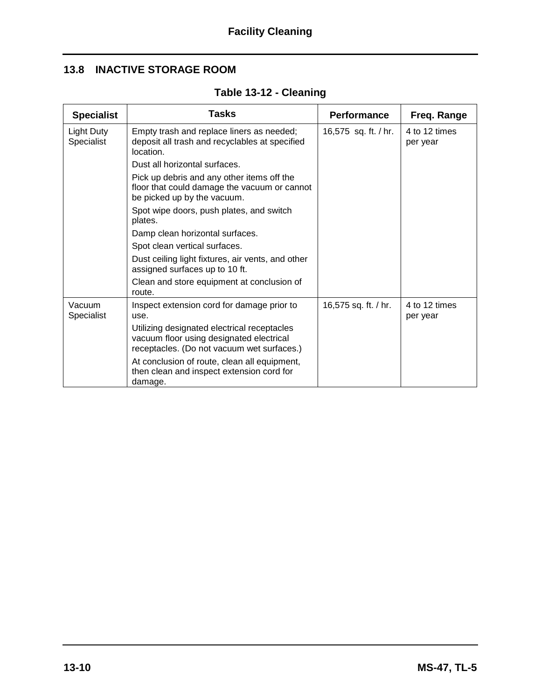## **13.8 INACTIVE STORAGE ROOM**

| <b>Specialist</b>        | <b>Tasks</b>                                                                                                                          | <b>Performance</b>   | Freq. Range               |
|--------------------------|---------------------------------------------------------------------------------------------------------------------------------------|----------------------|---------------------------|
| Light Duty<br>Specialist | Empty trash and replace liners as needed;<br>deposit all trash and recyclables at specified<br>location.                              | 16,575 sq. ft. / hr. | 4 to 12 times<br>per year |
|                          | Dust all horizontal surfaces.                                                                                                         |                      |                           |
|                          | Pick up debris and any other items off the<br>floor that could damage the vacuum or cannot<br>be picked up by the vacuum.             |                      |                           |
|                          | Spot wipe doors, push plates, and switch<br>plates.                                                                                   |                      |                           |
|                          | Damp clean horizontal surfaces.                                                                                                       |                      |                           |
|                          | Spot clean vertical surfaces.                                                                                                         |                      |                           |
|                          | Dust ceiling light fixtures, air vents, and other<br>assigned surfaces up to 10 ft.                                                   |                      |                           |
|                          | Clean and store equipment at conclusion of<br>route.                                                                                  |                      |                           |
| Vacuum<br>Specialist     | Inspect extension cord for damage prior to<br>use.                                                                                    | 16,575 sq. ft. / hr. | 4 to 12 times<br>per year |
|                          | Utilizing designated electrical receptacles<br>vacuum floor using designated electrical<br>receptacles. (Do not vacuum wet surfaces.) |                      |                           |
|                          | At conclusion of route, clean all equipment,<br>then clean and inspect extension cord for<br>damage.                                  |                      |                           |

**Table 13-12 - Cleaning**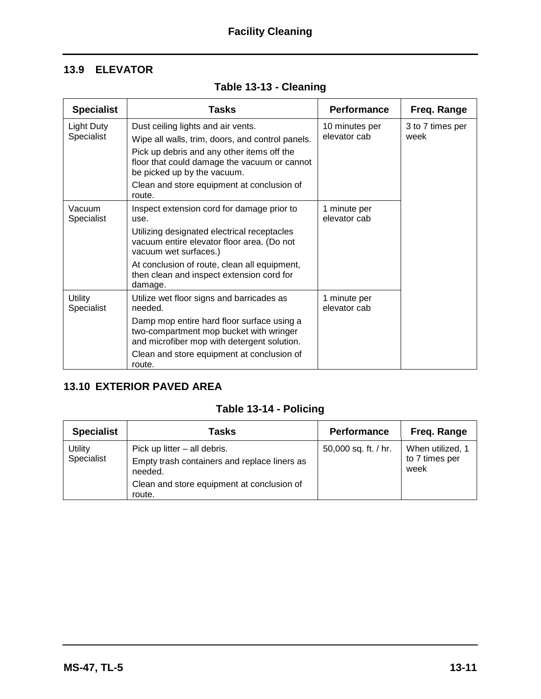# **13.9 ELEVATOR**

| <b>Specialist</b>               | Tasks                                                                                                                                                                                                                                                                            | <b>Performance</b>             | Freq. Range              |
|---------------------------------|----------------------------------------------------------------------------------------------------------------------------------------------------------------------------------------------------------------------------------------------------------------------------------|--------------------------------|--------------------------|
| <b>Light Duty</b><br>Specialist | Dust ceiling lights and air vents.<br>Wipe all walls, trim, doors, and control panels.<br>Pick up debris and any other items off the<br>floor that could damage the vacuum or cannot<br>be picked up by the vacuum.<br>Clean and store equipment at conclusion of<br>route.      | 10 minutes per<br>elevator cab | 3 to 7 times per<br>week |
| Vacuum<br><b>Specialist</b>     | Inspect extension cord for damage prior to<br>use.<br>Utilizing designated electrical receptacles<br>vacuum entire elevator floor area. (Do not<br>vacuum wet surfaces.)<br>At conclusion of route, clean all equipment,<br>then clean and inspect extension cord for<br>damage. | 1 minute per<br>elevator cab   |                          |
| <b>Utility</b><br>Specialist    | Utilize wet floor signs and barricades as<br>needed.<br>Damp mop entire hard floor surface using a<br>two-compartment mop bucket with wringer<br>and microfiber mop with detergent solution.<br>Clean and store equipment at conclusion of<br>route.                             | 1 minute per<br>elevator cab   |                          |

# **Table 13-13 - Cleaning**

### **13.10 EXTERIOR PAVED AREA**

# **Table 13-14 - Policing**

| <b>Specialist</b>     | Tasks                                                                                                                                           | <b>Performance</b>   | Freg. Range                                |
|-----------------------|-------------------------------------------------------------------------------------------------------------------------------------------------|----------------------|--------------------------------------------|
| Utility<br>Specialist | Pick up litter - all debris.<br>Empty trash containers and replace liners as<br>needed.<br>Clean and store equipment at conclusion of<br>route. | 50,000 sq. ft. / hr. | When utilized, 1<br>to 7 times per<br>week |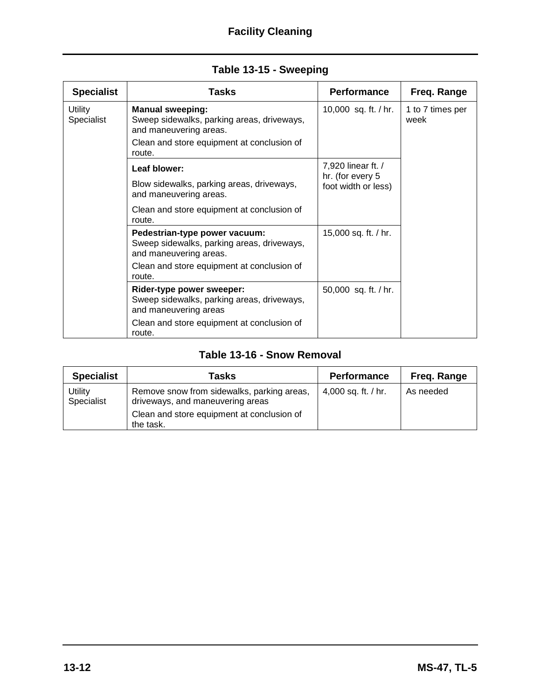|  |  |  | Table 13-15 - Sweeping |
|--|--|--|------------------------|
|--|--|--|------------------------|

| <b>Specialist</b>            | <b>Tasks</b>                                                                                                                                  | <b>Performance</b>                      | Freq. Range              |
|------------------------------|-----------------------------------------------------------------------------------------------------------------------------------------------|-----------------------------------------|--------------------------|
| <b>Utility</b><br>Specialist | <b>Manual sweeping:</b><br>Sweep sidewalks, parking areas, driveways,<br>and maneuvering areas.<br>Clean and store equipment at conclusion of | 10,000 sq. ft. / hr.                    | 1 to 7 times per<br>week |
|                              | route.                                                                                                                                        |                                         |                          |
|                              | Leaf blower:                                                                                                                                  | 7,920 linear ft. /                      |                          |
|                              | Blow sidewalks, parking areas, driveways,<br>and maneuvering areas.                                                                           | hr. (for every 5<br>foot width or less) |                          |
|                              | Clean and store equipment at conclusion of<br>route.                                                                                          |                                         |                          |
|                              | Pedestrian-type power vacuum:<br>Sweep sidewalks, parking areas, driveways,<br>and maneuvering areas.                                         | 15,000 sq. ft. / hr.                    |                          |
|                              | Clean and store equipment at conclusion of<br>route.                                                                                          |                                         |                          |
|                              | Rider-type power sweeper:<br>Sweep sidewalks, parking areas, driveways,<br>and maneuvering areas                                              | 50,000 sq. ft. / hr.                    |                          |
|                              | Clean and store equipment at conclusion of<br>route.                                                                                          |                                         |                          |

### **Table 13-16 - Snow Removal**

| <b>Specialist</b>     | Tasks                                                                                                                                     | Performance           | Freq. Range |
|-----------------------|-------------------------------------------------------------------------------------------------------------------------------------------|-----------------------|-------------|
| Utility<br>Specialist | Remove snow from sidewalks, parking areas,<br>driveways, and maneuvering areas<br>Clean and store equipment at conclusion of<br>the task. | 4,000 sq. ft. $/$ hr. | As needed   |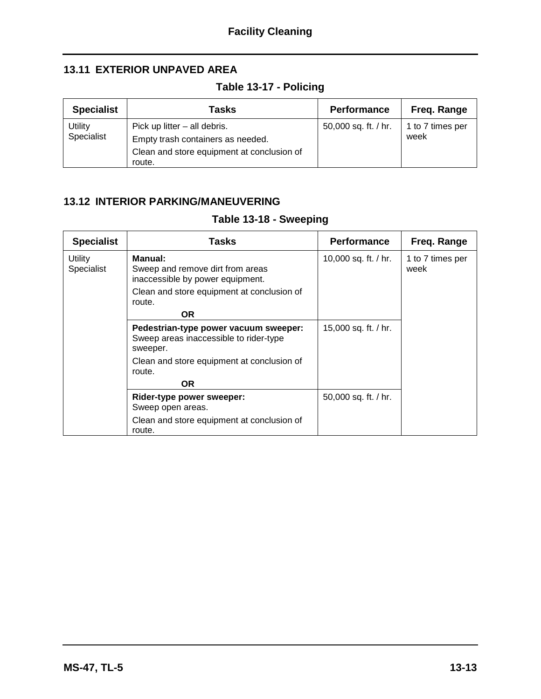# **13.11 EXTERIOR UNPAVED AREA**

**Table 13-17 - Policing**

| <b>Specialist</b>     | Tasks                                                                                                                       | <b>Performance</b>   | Freg. Range              |
|-----------------------|-----------------------------------------------------------------------------------------------------------------------------|----------------------|--------------------------|
| Utility<br>Specialist | Pick up litter $-$ all debris.<br>Empty trash containers as needed.<br>Clean and store equipment at conclusion of<br>route. | 50,000 sq. ft. / hr. | 1 to 7 times per<br>week |

#### **13.12 INTERIOR PARKING/MANEUVERING**

|  | Table 13-18 - Sweeping |
|--|------------------------|
|--|------------------------|

| <b>Specialist</b>     | <b>Tasks</b>                                                                                                                                   | <b>Performance</b>   | Freq. Range              |
|-----------------------|------------------------------------------------------------------------------------------------------------------------------------------------|----------------------|--------------------------|
| Utility<br>Specialist | Manual:<br>Sweep and remove dirt from areas<br>inaccessible by power equipment.<br>Clean and store equipment at conclusion of<br>route.<br>OR. | 10,000 sq. ft. / hr. | 1 to 7 times per<br>week |
|                       | Pedestrian-type power vacuum sweeper:<br>Sweep areas inaccessible to rider-type<br>sweeper.                                                    | 15,000 sq. ft. / hr. |                          |
|                       | Clean and store equipment at conclusion of<br>route.<br><b>OR</b>                                                                              |                      |                          |
|                       | Rider-type power sweeper:<br>Sweep open areas.                                                                                                 | 50,000 sq. ft. / hr. |                          |
|                       | Clean and store equipment at conclusion of<br>route.                                                                                           |                      |                          |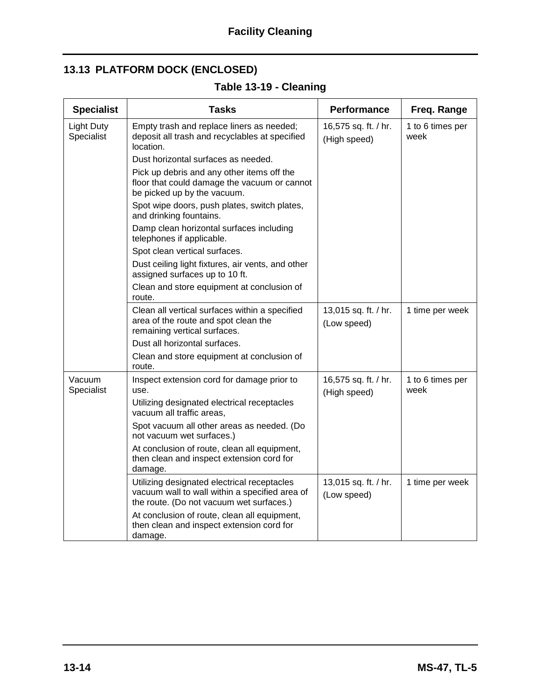# **13.13 PLATFORM DOCK (ENCLOSED)**

**Table 13-19 - Cleaning**

| <b>Specialist</b>               | <b>Tasks</b>                                                                                                              | <b>Performance</b>                   | Freg. Range              |
|---------------------------------|---------------------------------------------------------------------------------------------------------------------------|--------------------------------------|--------------------------|
| <b>Light Duty</b><br>Specialist | Empty trash and replace liners as needed;<br>deposit all trash and recyclables at specified<br>location.                  | 16,575 sq. ft. / hr.<br>(High speed) | 1 to 6 times per<br>week |
|                                 | Dust horizontal surfaces as needed.                                                                                       |                                      |                          |
|                                 | Pick up debris and any other items off the<br>floor that could damage the vacuum or cannot<br>be picked up by the vacuum. |                                      |                          |
|                                 | Spot wipe doors, push plates, switch plates,<br>and drinking fountains.                                                   |                                      |                          |
|                                 | Damp clean horizontal surfaces including<br>telephones if applicable.                                                     |                                      |                          |
|                                 | Spot clean vertical surfaces.                                                                                             |                                      |                          |
|                                 | Dust ceiling light fixtures, air vents, and other<br>assigned surfaces up to 10 ft.                                       |                                      |                          |
|                                 | Clean and store equipment at conclusion of<br>route.                                                                      |                                      |                          |
|                                 | Clean all vertical surfaces within a specified<br>area of the route and spot clean the<br>remaining vertical surfaces.    | 13,015 sq. ft. / hr.<br>(Low speed)  | 1 time per week          |
|                                 | Dust all horizontal surfaces.                                                                                             |                                      |                          |
|                                 | Clean and store equipment at conclusion of<br>route.                                                                      |                                      |                          |
| Vacuum<br>Specialist            | Inspect extension cord for damage prior to<br>use.                                                                        | 16,575 sq. ft. / hr.<br>(High speed) | 1 to 6 times per<br>week |
|                                 | Utilizing designated electrical receptacles<br>vacuum all traffic areas,                                                  |                                      |                          |
|                                 | Spot vacuum all other areas as needed. (Do<br>not vacuum wet surfaces.)                                                   |                                      |                          |
|                                 | At conclusion of route, clean all equipment,<br>then clean and inspect extension cord for<br>damage.                      |                                      |                          |
|                                 | Utilizing designated electrical receptacles<br>vacuum wall to wall within a specified area of                             | 13,015 sq. ft. / hr.                 | 1 time per week          |
|                                 | the route. (Do not vacuum wet surfaces.)                                                                                  | (Low speed)                          |                          |
|                                 | At conclusion of route, clean all equipment,<br>then clean and inspect extension cord for<br>damage.                      |                                      |                          |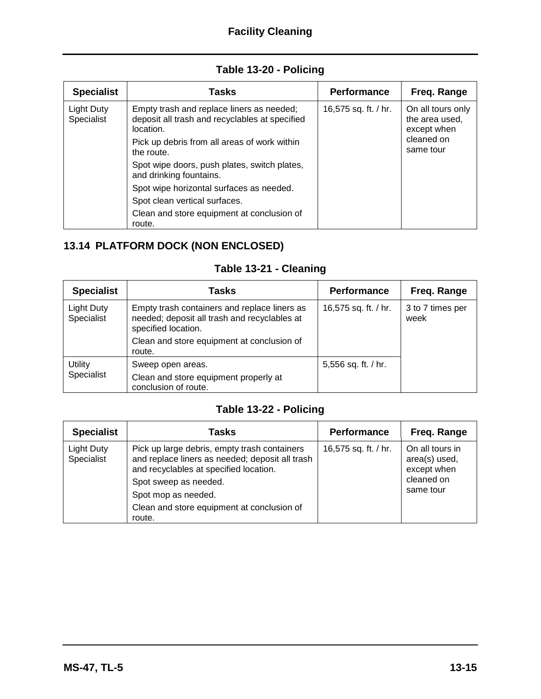### **Table 13-20 - Policing**

| <b>Specialist</b>        | Tasks                                                                                                    | <b>Performance</b>   | Freq. Range                                        |
|--------------------------|----------------------------------------------------------------------------------------------------------|----------------------|----------------------------------------------------|
| Light Duty<br>Specialist | Empty trash and replace liners as needed;<br>deposit all trash and recyclables at specified<br>location. | 16,575 sq. ft. / hr. | On all tours only<br>the area used,<br>except when |
|                          | Pick up debris from all areas of work within<br>the route.                                               |                      | cleaned on<br>same tour                            |
|                          | Spot wipe doors, push plates, switch plates,<br>and drinking fountains.                                  |                      |                                                    |
|                          | Spot wipe horizontal surfaces as needed.                                                                 |                      |                                                    |
|                          | Spot clean vertical surfaces.                                                                            |                      |                                                    |
|                          | Clean and store equipment at conclusion of<br>route.                                                     |                      |                                                    |

#### **13.14 PLATFORM DOCK (NON ENCLOSED)**

| Table 13-21 - Cleaning |  |
|------------------------|--|
|------------------------|--|

| <b>Specialist</b>        | Tasks                                                                                                               | <b>Performance</b>   | Freq. Range              |
|--------------------------|---------------------------------------------------------------------------------------------------------------------|----------------------|--------------------------|
| Light Duty<br>Specialist | Empty trash containers and replace liners as<br>needed; deposit all trash and recyclables at<br>specified location. | 16,575 sq. ft. / hr. | 3 to 7 times per<br>week |
|                          | Clean and store equipment at conclusion of<br>route.                                                                |                      |                          |
| Utility                  | Sweep open areas.                                                                                                   | 5,556 sq. ft. / hr.  |                          |
| Specialist               | Clean and store equipment properly at<br>conclusion of route.                                                       |                      |                          |

#### **Table 13-22 - Policing**

| <b>Specialist</b>               | Tasks                                                                                                                                                                                                                                             | <b>Performance</b>   | Freq. Range                                                                |
|---------------------------------|---------------------------------------------------------------------------------------------------------------------------------------------------------------------------------------------------------------------------------------------------|----------------------|----------------------------------------------------------------------------|
| <b>Light Duty</b><br>Specialist | Pick up large debris, empty trash containers<br>and replace liners as needed; deposit all trash<br>and recyclables at specified location.<br>Spot sweep as needed.<br>Spot mop as needed.<br>Clean and store equipment at conclusion of<br>route. | 16,575 sq. ft. / hr. | On all tours in<br>area(s) used,<br>except when<br>cleaned on<br>same tour |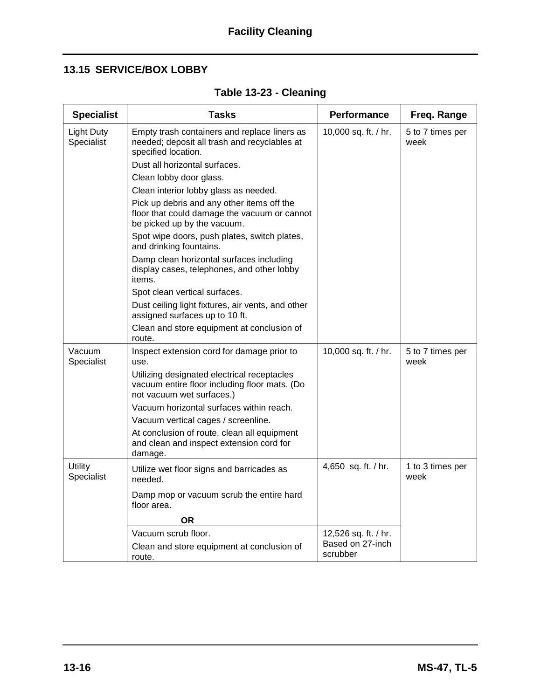## **13.15 SERVICE/BOX LOBBY**

| <b>Specialist</b>               | <b>Tasks</b>                                                                                                                                                                                                                                                                                                                                                                                                                                                                                                                                                                                                                                                                                               | <b>Performance</b>                          | Freq. Range              |
|---------------------------------|------------------------------------------------------------------------------------------------------------------------------------------------------------------------------------------------------------------------------------------------------------------------------------------------------------------------------------------------------------------------------------------------------------------------------------------------------------------------------------------------------------------------------------------------------------------------------------------------------------------------------------------------------------------------------------------------------------|---------------------------------------------|--------------------------|
| <b>Light Duty</b><br>Specialist | Empty trash containers and replace liners as<br>needed; deposit all trash and recyclables at<br>specified location.<br>Dust all horizontal surfaces.<br>Clean lobby door glass.<br>Clean interior lobby glass as needed.<br>Pick up debris and any other items off the<br>floor that could damage the vacuum or cannot<br>be picked up by the vacuum.<br>Spot wipe doors, push plates, switch plates,<br>and drinking fountains.<br>Damp clean horizontal surfaces including<br>display cases, telephones, and other lobby<br>items.<br>Spot clean vertical surfaces.<br>Dust ceiling light fixtures, air vents, and other<br>assigned surfaces up to 10 ft.<br>Clean and store equipment at conclusion of | 10,000 sq. ft. / hr.                        | 5 to 7 times per<br>week |
| Vacuum<br>Specialist            | route.<br>Inspect extension cord for damage prior to<br>use.<br>Utilizing designated electrical receptacles<br>vacuum entire floor including floor mats. (Do<br>not vacuum wet surfaces.)<br>Vacuum horizontal surfaces within reach.<br>Vacuum vertical cages / screenline.<br>At conclusion of route, clean all equipment<br>and clean and inspect extension cord for<br>damage.                                                                                                                                                                                                                                                                                                                         | 10,000 sq. ft. / hr.                        | 5 to 7 times per<br>week |
| Utility<br>Specialist           | Utilize wet floor signs and barricades as<br>needed.<br>Damp mop or vacuum scrub the entire hard<br>floor area.<br><b>OR</b><br>Vacuum scrub floor.                                                                                                                                                                                                                                                                                                                                                                                                                                                                                                                                                        | 4,650 sq. ft. / hr.<br>12,526 sq. ft. / hr. | 1 to 3 times per<br>week |
|                                 | Clean and store equipment at conclusion of<br>route.                                                                                                                                                                                                                                                                                                                                                                                                                                                                                                                                                                                                                                                       | Based on 27-inch<br>scrubber                |                          |

#### **Table 13-23 - Cleaning**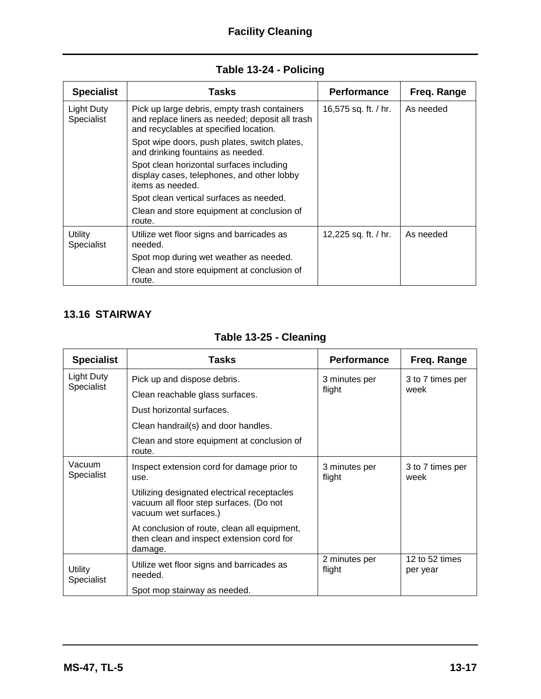| Table 13-24 - Policing |  |
|------------------------|--|
|------------------------|--|

| <b>Specialist</b>               | Tasks                                                                                                                                     | <b>Performance</b>   | Freq. Range |
|---------------------------------|-------------------------------------------------------------------------------------------------------------------------------------------|----------------------|-------------|
| Light Duty<br><b>Specialist</b> | Pick up large debris, empty trash containers<br>and replace liners as needed; deposit all trash<br>and recyclables at specified location. | 16,575 sq. ft. / hr. | As needed   |
|                                 | Spot wipe doors, push plates, switch plates,<br>and drinking fountains as needed.                                                         |                      |             |
|                                 | Spot clean horizontal surfaces including<br>display cases, telephones, and other lobby<br>items as needed.                                |                      |             |
|                                 | Spot clean vertical surfaces as needed.                                                                                                   |                      |             |
|                                 | Clean and store equipment at conclusion of<br>route.                                                                                      |                      |             |
| Utility<br>Specialist           | Utilize wet floor signs and barricades as<br>needed.                                                                                      | 12,225 sq. ft. / hr. | As needed   |
|                                 | Spot mop during wet weather as needed.                                                                                                    |                      |             |
|                                 | Clean and store equipment at conclusion of<br>route.                                                                                      |                      |             |

### **13.16 STAIRWAY**

| Table 13-25 - Cleaning |  |
|------------------------|--|
|------------------------|--|

| <b>Specialist</b>     | <b>Tasks</b>                                                                                                    | <b>Performance</b>      | Freq. Range                |
|-----------------------|-----------------------------------------------------------------------------------------------------------------|-------------------------|----------------------------|
| Light Duty            | Pick up and dispose debris.                                                                                     | 3 minutes per           | 3 to 7 times per<br>week   |
| Specialist            | Clean reachable glass surfaces.                                                                                 | flight                  |                            |
|                       | Dust horizontal surfaces.                                                                                       |                         |                            |
|                       | Clean handrail(s) and door handles.                                                                             |                         |                            |
|                       | Clean and store equipment at conclusion of<br>route.                                                            |                         |                            |
| Vacuum<br>Specialist  | Inspect extension cord for damage prior to<br>use.                                                              | 3 minutes per<br>flight | 3 to 7 times per<br>week   |
|                       | Utilizing designated electrical receptacles<br>vacuum all floor step surfaces. (Do not<br>vacuum wet surfaces.) |                         |                            |
|                       | At conclusion of route, clean all equipment,<br>then clean and inspect extension cord for<br>damage.            |                         |                            |
| Utility<br>Specialist | Utilize wet floor signs and barricades as<br>needed.                                                            | 2 minutes per<br>flight | 12 to 52 times<br>per year |
|                       | Spot mop stairway as needed.                                                                                    |                         |                            |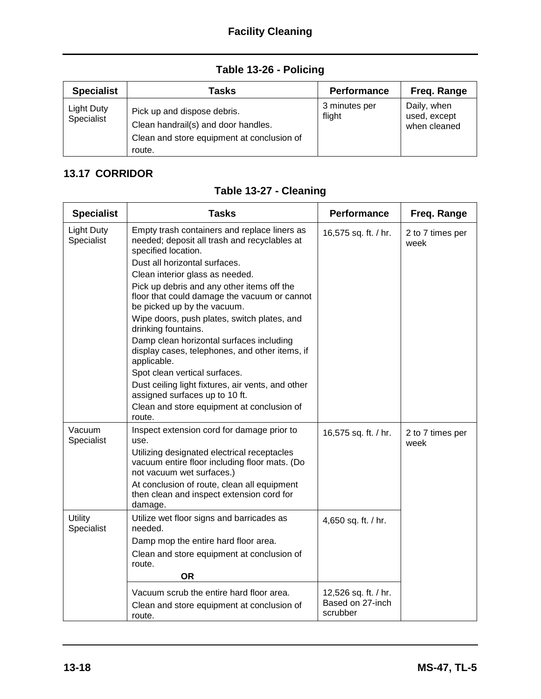**Table 13-26 - Policing**

| <b>Specialist</b>        | Tasks                                                                                                                      | <b>Performance</b>      | Freq. Range                                 |
|--------------------------|----------------------------------------------------------------------------------------------------------------------------|-------------------------|---------------------------------------------|
| Light Duty<br>Specialist | Pick up and dispose debris.<br>Clean handrail(s) and door handles.<br>Clean and store equipment at conclusion of<br>route. | 3 minutes per<br>flight | Daily, when<br>used, except<br>when cleaned |

## **13.17 CORRIDOR**

| <b>Specialist</b>               | <b>Tasks</b>                                                                                                              | <b>Performance</b>                       | Freq. Range              |
|---------------------------------|---------------------------------------------------------------------------------------------------------------------------|------------------------------------------|--------------------------|
| <b>Light Duty</b><br>Specialist | Empty trash containers and replace liners as<br>needed; deposit all trash and recyclables at<br>specified location.       | 16,575 sq. ft. / hr.                     | 2 to 7 times per<br>week |
|                                 | Dust all horizontal surfaces.                                                                                             |                                          |                          |
|                                 | Clean interior glass as needed.                                                                                           |                                          |                          |
|                                 | Pick up debris and any other items off the<br>floor that could damage the vacuum or cannot<br>be picked up by the vacuum. |                                          |                          |
|                                 | Wipe doors, push plates, switch plates, and<br>drinking fountains.                                                        |                                          |                          |
|                                 | Damp clean horizontal surfaces including<br>display cases, telephones, and other items, if<br>applicable.                 |                                          |                          |
|                                 | Spot clean vertical surfaces.                                                                                             |                                          |                          |
|                                 | Dust ceiling light fixtures, air vents, and other<br>assigned surfaces up to 10 ft.                                       |                                          |                          |
|                                 | Clean and store equipment at conclusion of<br>route.                                                                      |                                          |                          |
| Vacuum<br>Specialist            | Inspect extension cord for damage prior to<br>use.                                                                        | 16,575 sq. ft. / hr.                     | 2 to 7 times per<br>week |
|                                 | Utilizing designated electrical receptacles<br>vacuum entire floor including floor mats. (Do<br>not vacuum wet surfaces.) |                                          |                          |
|                                 | At conclusion of route, clean all equipment<br>then clean and inspect extension cord for<br>damage.                       |                                          |                          |
| Utility<br>Specialist           | Utilize wet floor signs and barricades as<br>needed.                                                                      | 4,650 sq. ft. / hr.                      |                          |
|                                 | Damp mop the entire hard floor area.                                                                                      |                                          |                          |
|                                 | Clean and store equipment at conclusion of<br>route.                                                                      |                                          |                          |
|                                 | <b>OR</b>                                                                                                                 |                                          |                          |
|                                 | Vacuum scrub the entire hard floor area.                                                                                  | 12,526 sq. ft. / hr.<br>Based on 27-inch |                          |
|                                 | Clean and store equipment at conclusion of<br>route.                                                                      | scrubber                                 |                          |

# **Table 13-27 - Cleaning**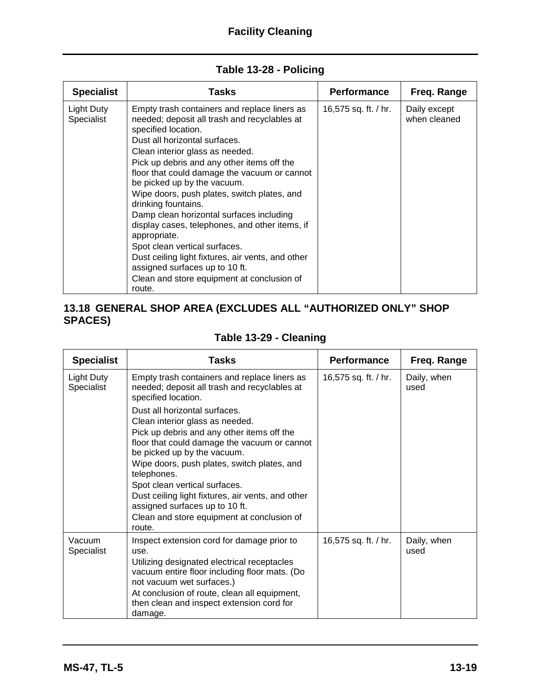| Table 13-28 - Policing |  |
|------------------------|--|
|------------------------|--|

| <b>Specialist</b>        | Tasks                                                                                                                                                                                                                                                                                                                                                                                                                                                                                                                                                                                                                                                                                    | <b>Performance</b>   | Freq. Range                  |
|--------------------------|------------------------------------------------------------------------------------------------------------------------------------------------------------------------------------------------------------------------------------------------------------------------------------------------------------------------------------------------------------------------------------------------------------------------------------------------------------------------------------------------------------------------------------------------------------------------------------------------------------------------------------------------------------------------------------------|----------------------|------------------------------|
| Light Duty<br>Specialist | Empty trash containers and replace liners as<br>needed; deposit all trash and recyclables at<br>specified location.<br>Dust all horizontal surfaces.<br>Clean interior glass as needed.<br>Pick up debris and any other items off the<br>floor that could damage the vacuum or cannot<br>be picked up by the vacuum.<br>Wipe doors, push plates, switch plates, and<br>drinking fountains.<br>Damp clean horizontal surfaces including<br>display cases, telephones, and other items, if<br>appropriate.<br>Spot clean vertical surfaces.<br>Dust ceiling light fixtures, air vents, and other<br>assigned surfaces up to 10 ft.<br>Clean and store equipment at conclusion of<br>route. | 16,575 sq. ft. / hr. | Daily except<br>when cleaned |

#### **13.18 GENERAL SHOP AREA (EXCLUDES ALL "AUTHORIZED ONLY" SHOP SPACES)**

| Table 13-29 - Cleaning |  |
|------------------------|--|
|------------------------|--|

| <b>Specialist</b>               | <b>Tasks</b>                                                                                                                                                                                                                                                                                                                                                                                                                                | <b>Performance</b>   | Freq. Range         |
|---------------------------------|---------------------------------------------------------------------------------------------------------------------------------------------------------------------------------------------------------------------------------------------------------------------------------------------------------------------------------------------------------------------------------------------------------------------------------------------|----------------------|---------------------|
| <b>Light Duty</b><br>Specialist | Empty trash containers and replace liners as<br>needed; deposit all trash and recyclables at<br>specified location.                                                                                                                                                                                                                                                                                                                         | 16,575 sq. ft. / hr. | Daily, when<br>used |
|                                 | Dust all horizontal surfaces.<br>Clean interior glass as needed.<br>Pick up debris and any other items off the<br>floor that could damage the vacuum or cannot<br>be picked up by the vacuum.<br>Wipe doors, push plates, switch plates, and<br>telephones.<br>Spot clean vertical surfaces.<br>Dust ceiling light fixtures, air vents, and other<br>assigned surfaces up to 10 ft.<br>Clean and store equipment at conclusion of<br>route. |                      |                     |
| Vacuum<br>Specialist            | Inspect extension cord for damage prior to<br>use.<br>Utilizing designated electrical receptacles<br>vacuum entire floor including floor mats. (Do<br>not vacuum wet surfaces.)<br>At conclusion of route, clean all equipment,<br>then clean and inspect extension cord for<br>damage.                                                                                                                                                     | 16,575 sq. ft. / hr. | Daily, when<br>used |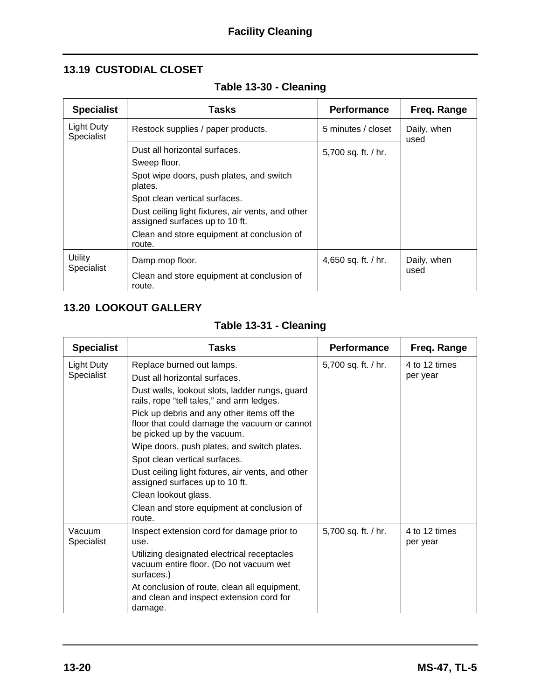# **13.19 CUSTODIAL CLOSET**

| <b>Specialist</b>               | <b>Tasks</b>                                                                        | <b>Performance</b>  | Freq. Range         |
|---------------------------------|-------------------------------------------------------------------------------------|---------------------|---------------------|
| <b>Light Duty</b><br>Specialist | Restock supplies / paper products.                                                  | 5 minutes / closet  | Daily, when<br>used |
|                                 | Dust all horizontal surfaces.<br>Sweep floor.                                       | 5,700 sq. ft. / hr. |                     |
|                                 | Spot wipe doors, push plates, and switch<br>plates.                                 |                     |                     |
|                                 | Spot clean vertical surfaces.                                                       |                     |                     |
|                                 | Dust ceiling light fixtures, air vents, and other<br>assigned surfaces up to 10 ft. |                     |                     |
|                                 | Clean and store equipment at conclusion of<br>route.                                |                     |                     |
| Utility<br>Specialist           | Damp mop floor.                                                                     | 4,650 sq. ft. / hr. | Daily, when         |
|                                 | Clean and store equipment at conclusion of<br>route.                                |                     | used                |

**Table 13-30 - Cleaning**

### **13.20 LOOKOUT GALLERY**

### **Table 13-31 - Cleaning**

| <b>Specialist</b>               | <b>Tasks</b>                                                                                                              | <b>Performance</b>  | Freq. Range               |
|---------------------------------|---------------------------------------------------------------------------------------------------------------------------|---------------------|---------------------------|
| <b>Light Duty</b><br>Specialist | Replace burned out lamps.<br>Dust all horizontal surfaces.                                                                | 5,700 sq. ft. / hr. | 4 to 12 times<br>per year |
|                                 | Dust walls, lookout slots, ladder rungs, guard<br>rails, rope "tell tales," and arm ledges.                               |                     |                           |
|                                 | Pick up debris and any other items off the<br>floor that could damage the vacuum or cannot<br>be picked up by the vacuum. |                     |                           |
|                                 | Wipe doors, push plates, and switch plates.                                                                               |                     |                           |
|                                 | Spot clean vertical surfaces.                                                                                             |                     |                           |
|                                 | Dust ceiling light fixtures, air vents, and other<br>assigned surfaces up to 10 ft.                                       |                     |                           |
|                                 | Clean lookout glass.                                                                                                      |                     |                           |
|                                 | Clean and store equipment at conclusion of<br>route.                                                                      |                     |                           |
| Vacuum<br>Specialist            | Inspect extension cord for damage prior to<br>use.                                                                        | 5,700 sq. ft. / hr. | 4 to 12 times<br>per year |
|                                 | Utilizing designated electrical receptacles<br>vacuum entire floor. (Do not vacuum wet<br>surfaces.)                      |                     |                           |
|                                 | At conclusion of route, clean all equipment,<br>and clean and inspect extension cord for<br>damage.                       |                     |                           |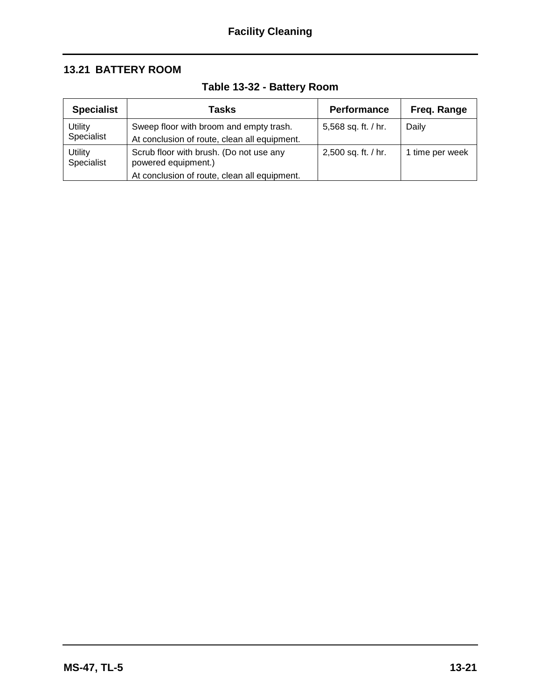### **13.21 BATTERY ROOM**

| <b>Specialist</b>     | Tasks                                                                                                          | <b>Performance</b>  | Freq. Range     |
|-----------------------|----------------------------------------------------------------------------------------------------------------|---------------------|-----------------|
| Utility<br>Specialist | Sweep floor with broom and empty trash.<br>At conclusion of route, clean all equipment.                        | 5,568 sq. ft. / hr. | Daily           |
| Utility<br>Specialist | Scrub floor with brush. (Do not use any<br>powered equipment.)<br>At conclusion of route, clean all equipment. | 2,500 sq. ft. / hr. | 1 time per week |

**Table 13-32 - Battery Room**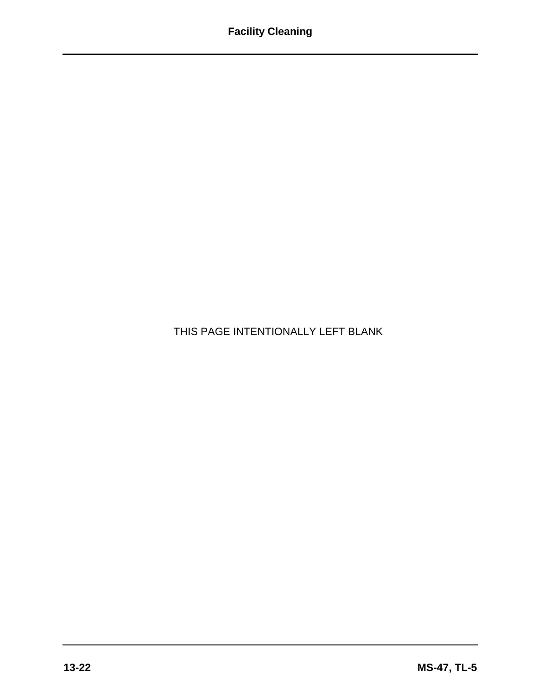### THIS PAGE INTENTIONALLY LEFT BLANK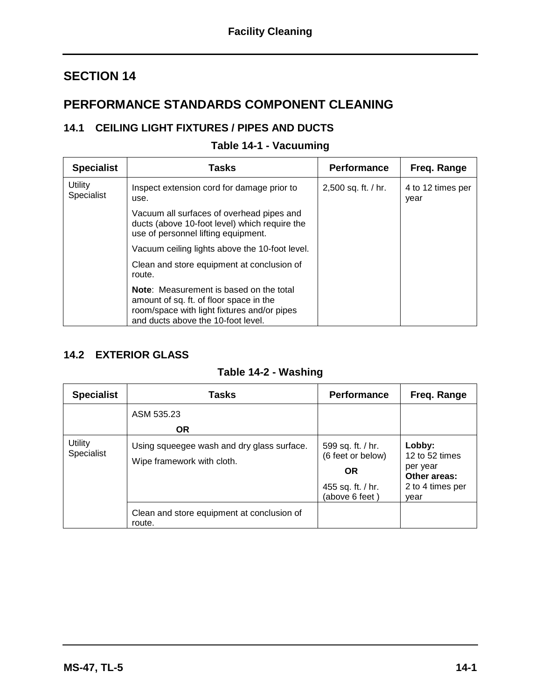# **PERFORMANCE STANDARDS COMPONENT CLEANING**

### **14.1 CEILING LIGHT FIXTURES / PIPES AND DUCTS**

#### **Table 14-1 - Vacuuming**

| <b>Specialist</b>     | <b>Tasks</b>                                                                                                                                                                   | <b>Performance</b>    | Freq. Range               |
|-----------------------|--------------------------------------------------------------------------------------------------------------------------------------------------------------------------------|-----------------------|---------------------------|
| Utility<br>Specialist | Inspect extension cord for damage prior to<br>use.                                                                                                                             | $2,500$ sq. ft. / hr. | 4 to 12 times per<br>year |
|                       | Vacuum all surfaces of overhead pipes and<br>ducts (above 10-foot level) which require the<br>use of personnel lifting equipment.                                              |                       |                           |
|                       | Vacuum ceiling lights above the 10-foot level.                                                                                                                                 |                       |                           |
|                       | Clean and store equipment at conclusion of<br>route.                                                                                                                           |                       |                           |
|                       | <b>Note:</b> Measurement is based on the total<br>amount of sq. ft. of floor space in the<br>room/space with light fixtures and/or pipes<br>and ducts above the 10-foot level. |                       |                           |

### **14.2 EXTERIOR GLASS**

#### **Table 14-2 - Washing**

| <b>Specialist</b>     | <b>Tasks</b>                                                             | <b>Performance</b>                                                                          | Freq. Range                                                                      |
|-----------------------|--------------------------------------------------------------------------|---------------------------------------------------------------------------------------------|----------------------------------------------------------------------------------|
|                       | ASM 535.23<br><b>OR</b>                                                  |                                                                                             |                                                                                  |
| Utility<br>Specialist | Using squeegee wash and dry glass surface.<br>Wipe framework with cloth. | 599 sq. ft. / hr.<br>(6 feet or below)<br><b>OR</b><br>455 sq. ft. / hr.<br>(above 6 feet ) | Lobby:<br>12 to 52 times<br>per year<br>Other areas:<br>2 to 4 times per<br>year |
|                       | Clean and store equipment at conclusion of<br>route.                     |                                                                                             |                                                                                  |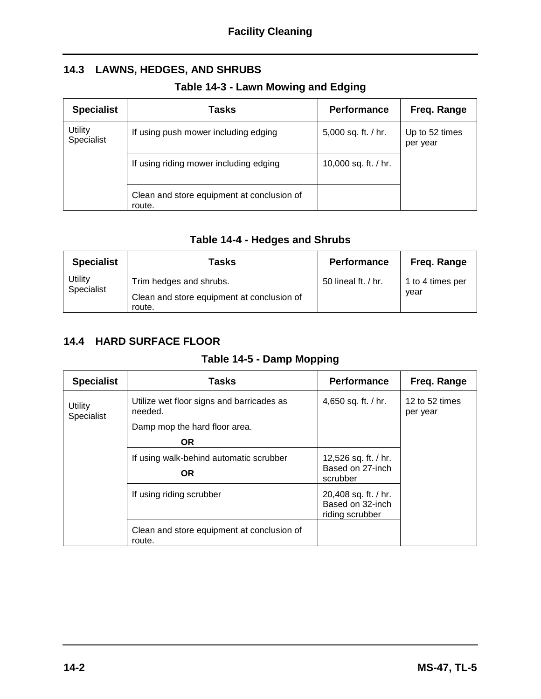## **14.3 LAWNS, HEDGES, AND SHRUBS**

**Table 14-3 - Lawn Mowing and Edging**

| <b>Specialist</b>     | Tasks                                                | <b>Performance</b>   | Freq. Range                |
|-----------------------|------------------------------------------------------|----------------------|----------------------------|
| Utility<br>Specialist | If using push mower including edging                 | 5,000 sq. ft. / hr.  | Up to 52 times<br>per year |
|                       | If using riding mower including edging               | 10,000 sq. ft. / hr. |                            |
|                       | Clean and store equipment at conclusion of<br>route. |                      |                            |

## **Table 14-4 - Hedges and Shrubs**

| <b>Specialist</b>     | Tasks                                                                           | <b>Performance</b>  | Freq. Range              |
|-----------------------|---------------------------------------------------------------------------------|---------------------|--------------------------|
| Utility<br>Specialist | Trim hedges and shrubs.<br>Clean and store equipment at conclusion of<br>route. | 50 lineal ft. / hr. | 1 to 4 times per<br>vear |

## **14.4 HARD SURFACE FLOOR**

## **Table 14-5 - Damp Mopping**

| <b>Specialist</b>     | <b>Tasks</b>                                         | <b>Performance</b>                                          | Freq. Range                |
|-----------------------|------------------------------------------------------|-------------------------------------------------------------|----------------------------|
| Utility<br>Specialist | Utilize wet floor signs and barricades as<br>needed. | 4,650 sq. ft. / hr.                                         | 12 to 52 times<br>per year |
|                       | Damp mop the hard floor area.                        |                                                             |                            |
|                       | <b>OR</b>                                            |                                                             |                            |
|                       | If using walk-behind automatic scrubber              | 12,526 sq. ft. / hr.                                        |                            |
|                       | <b>OR</b>                                            | Based on 27-inch<br>scrubber                                |                            |
|                       | If using riding scrubber                             | 20,408 sq. ft. / hr.<br>Based on 32-inch<br>riding scrubber |                            |
|                       | Clean and store equipment at conclusion of<br>route. |                                                             |                            |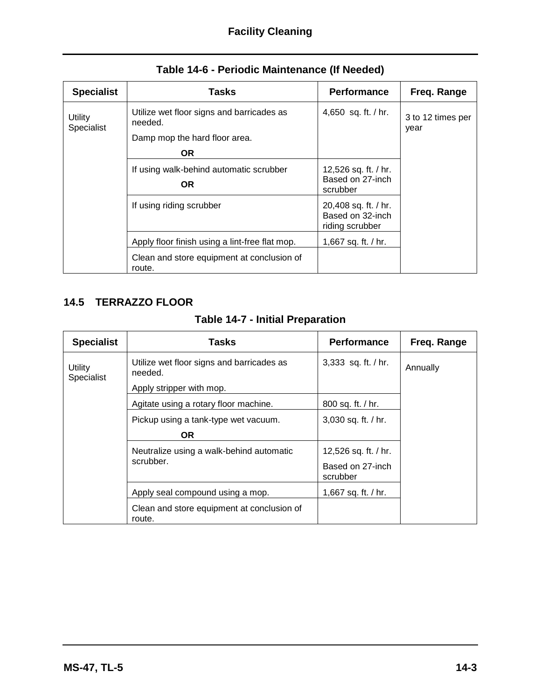| <b>Specialist</b>     | <b>Tasks</b>                                         | <b>Performance</b>                                          | Freq. Range               |
|-----------------------|------------------------------------------------------|-------------------------------------------------------------|---------------------------|
| Utility<br>Specialist | Utilize wet floor signs and barricades as<br>needed. | 4,650 sq. ft. / hr.                                         | 3 to 12 times per<br>year |
|                       | Damp mop the hard floor area.                        |                                                             |                           |
|                       | OR.                                                  |                                                             |                           |
|                       | If using walk-behind automatic scrubber              | 12,526 sq. ft. / hr.                                        |                           |
|                       | OR.                                                  | Based on 27-inch<br>scrubber                                |                           |
|                       | If using riding scrubber                             | 20,408 sq. ft. / hr.<br>Based on 32-inch<br>riding scrubber |                           |
|                       | Apply floor finish using a lint-free flat mop.       | 1,667 sq. ft. / hr.                                         |                           |
|                       | Clean and store equipment at conclusion of<br>route. |                                                             |                           |

**Table 14-6 - Periodic Maintenance (If Needed)** 

## **14.5 TERRAZZO FLOOR**

**Table 14-7 - Initial Preparation**

| <b>Specialist</b>     | <b>Tasks</b>                                         | <b>Performance</b>           | Freq. Range |
|-----------------------|------------------------------------------------------|------------------------------|-------------|
| Utility<br>Specialist | Utilize wet floor signs and barricades as<br>needed. | 3,333 sq. ft. / hr.          | Annually    |
|                       | Apply stripper with mop.                             |                              |             |
|                       | Agitate using a rotary floor machine.                | 800 sq. ft. / hr.            |             |
|                       | Pickup using a tank-type wet vacuum.                 | 3,030 sq. ft. / hr.          |             |
|                       | OR.                                                  |                              |             |
|                       | Neutralize using a walk-behind automatic             | 12,526 sq. ft. / hr.         |             |
|                       | scrubber.                                            | Based on 27-inch<br>scrubber |             |
|                       | Apply seal compound using a mop.                     | 1,667 sq. ft. / hr.          |             |
|                       | Clean and store equipment at conclusion of<br>route. |                              |             |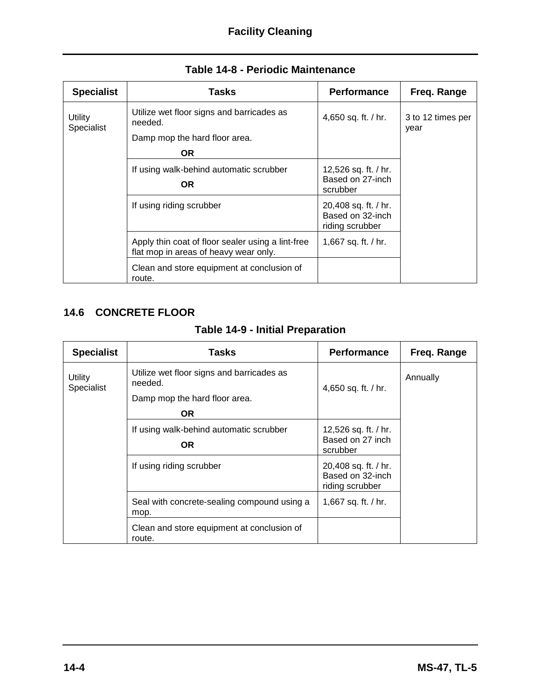| <b>Specialist</b>     | Tasks                                                                                      | <b>Performance</b>                                          | Freq. Range               |
|-----------------------|--------------------------------------------------------------------------------------------|-------------------------------------------------------------|---------------------------|
| Utility<br>Specialist | Utilize wet floor signs and barricades as<br>needed.                                       | 4,650 sq. ft. / hr.                                         | 3 to 12 times per<br>year |
|                       | Damp mop the hard floor area.                                                              |                                                             |                           |
|                       | OR.                                                                                        |                                                             |                           |
|                       | If using walk-behind automatic scrubber                                                    | 12,526 sq. ft. / hr.<br>Based on 27-inch                    |                           |
|                       | OR.                                                                                        | scrubber                                                    |                           |
|                       | If using riding scrubber                                                                   | 20,408 sq. ft. / hr.<br>Based on 32-inch<br>riding scrubber |                           |
|                       | Apply thin coat of floor sealer using a lint-free<br>flat mop in areas of heavy wear only. | 1,667 sq. ft. / hr.                                         |                           |
|                       | Clean and store equipment at conclusion of<br>route.                                       |                                                             |                           |

**Table 14-8 - Periodic Maintenance**

## **14.6 CONCRETE FLOOR**

|  |  |  | <b>Table 14-9 - Initial Preparation</b> |
|--|--|--|-----------------------------------------|
|--|--|--|-----------------------------------------|

| <b>Specialist</b>     | Tasks                                                                                        | <b>Performance</b>                                          | Freq. Range |
|-----------------------|----------------------------------------------------------------------------------------------|-------------------------------------------------------------|-------------|
| Utility<br>Specialist | Utilize wet floor signs and barricades as<br>needed.<br>Damp mop the hard floor area.<br>OR. | 4,650 sq. ft. / hr.                                         | Annually    |
|                       | If using walk-behind automatic scrubber<br>OR.                                               | 12,526 sq. ft. / hr.<br>Based on 27 inch<br>scrubber        |             |
|                       | If using riding scrubber                                                                     | 20,408 sq. ft. / hr.<br>Based on 32-inch<br>riding scrubber |             |
|                       | Seal with concrete-sealing compound using a<br>mop.                                          | 1,667 sq. ft. / hr.                                         |             |
|                       | Clean and store equipment at conclusion of<br>route.                                         |                                                             |             |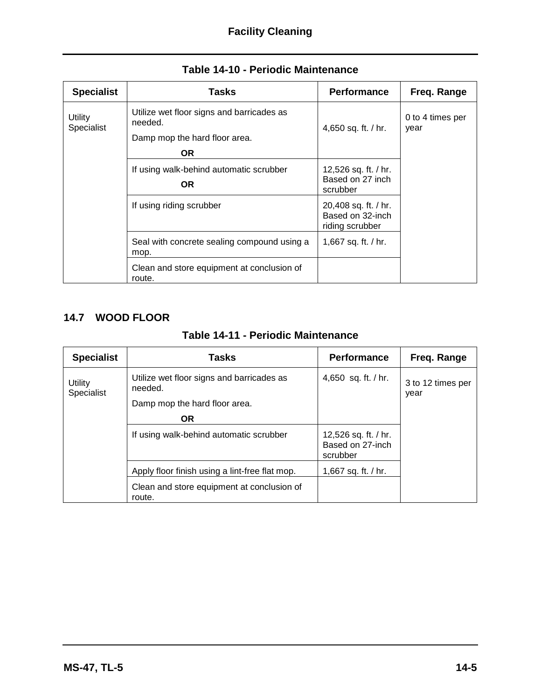| <b>Specialist</b>     | <b>Tasks</b>                                                                                 | <b>Performance</b>                                          | Freq. Range              |
|-----------------------|----------------------------------------------------------------------------------------------|-------------------------------------------------------------|--------------------------|
| Utility<br>Specialist | Utilize wet floor signs and barricades as<br>needed.<br>Damp mop the hard floor area.<br>OR. | 4,650 sq. ft. / hr.                                         | 0 to 4 times per<br>year |
|                       | If using walk-behind automatic scrubber<br>OR.                                               | 12,526 sq. ft. / hr.<br>Based on 27 inch<br>scrubber        |                          |
|                       | If using riding scrubber                                                                     | 20,408 sq. ft. / hr.<br>Based on 32-inch<br>riding scrubber |                          |
|                       | Seal with concrete sealing compound using a<br>mop.                                          | 1,667 sq. ft. / hr.                                         |                          |
|                       | Clean and store equipment at conclusion of<br>route.                                         |                                                             |                          |

**Table 14-10 - Periodic Maintenance**

## **14.7 WOOD FLOOR**

|  |  | Table 14-11 - Periodic Maintenance |
|--|--|------------------------------------|
|--|--|------------------------------------|

| <b>Specialist</b>     | Tasks                                                | <b>Performance</b>                                   | Freq. Range               |
|-----------------------|------------------------------------------------------|------------------------------------------------------|---------------------------|
| Utility<br>Specialist | Utilize wet floor signs and barricades as<br>needed. | 4,650 sq. ft. $/$ hr.                                | 3 to 12 times per<br>year |
|                       | Damp mop the hard floor area.                        |                                                      |                           |
|                       | <b>OR</b>                                            |                                                      |                           |
|                       | If using walk-behind automatic scrubber              | 12,526 sq. ft. / hr.<br>Based on 27-inch<br>scrubber |                           |
|                       | Apply floor finish using a lint-free flat mop.       | 1,667 sq. ft. $/$ hr.                                |                           |
|                       | Clean and store equipment at conclusion of<br>route. |                                                      |                           |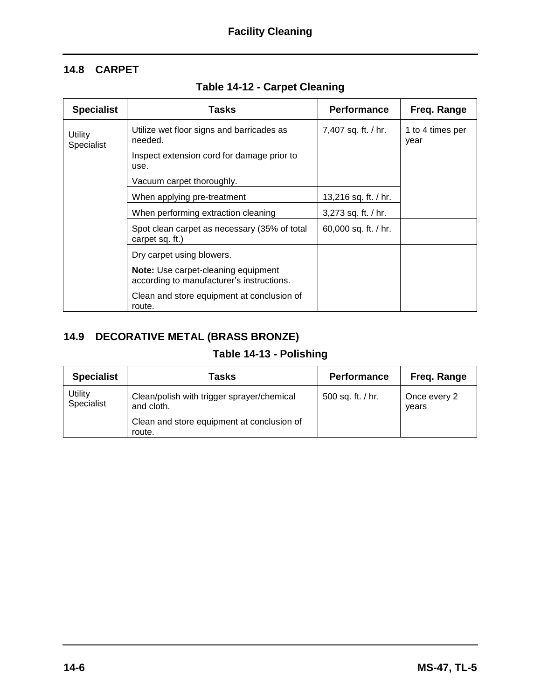## **14.8 CARPET**

| <b>Specialist</b>     | Tasks                                                                            | <b>Performance</b>   | Freq. Range              |
|-----------------------|----------------------------------------------------------------------------------|----------------------|--------------------------|
| Utility<br>Specialist | Utilize wet floor signs and barricades as<br>needed.                             | 7,407 sq. ft. / hr.  | 1 to 4 times per<br>year |
|                       | Inspect extension cord for damage prior to<br>use.                               |                      |                          |
|                       | Vacuum carpet thoroughly.                                                        |                      |                          |
|                       | When applying pre-treatment                                                      | 13,216 sq. ft. / hr. |                          |
|                       | When performing extraction cleaning                                              | 3,273 sq. ft. / hr.  |                          |
|                       | Spot clean carpet as necessary (35% of total<br>carpet sq. ft.)                  | 60,000 sq. ft. / hr. |                          |
|                       | Dry carpet using blowers.                                                        |                      |                          |
|                       | Note: Use carpet-cleaning equipment<br>according to manufacturer's instructions. |                      |                          |
|                       | Clean and store equipment at conclusion of<br>route.                             |                      |                          |

# **Table 14-12 - Carpet Cleaning**

# **14.9 DECORATIVE METAL (BRASS BRONZE)**

## **Table 14-13 - Polishing**

| <b>Specialist</b>            | Tasks                                                    | <b>Performance</b> | Freq. Range           |
|------------------------------|----------------------------------------------------------|--------------------|-----------------------|
| <b>Utility</b><br>Specialist | Clean/polish with trigger sprayer/chemical<br>and cloth. | 500 sq. ft. / hr.  | Once every 2<br>vears |
|                              | Clean and store equipment at conclusion of<br>route.     |                    |                       |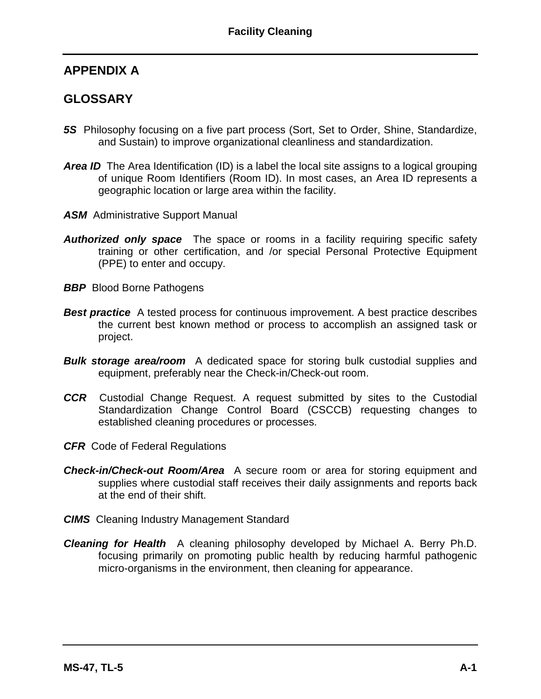# **APPENDIX A**

# **GLOSSARY**

- *5S* Philosophy focusing on a five part process (Sort, Set to Order, Shine, Standardize, and Sustain) to improve organizational cleanliness and standardization.
- **Area ID** The Area Identification (ID) is a label the local site assigns to a logical grouping of unique Room Identifiers (Room ID). In most cases, an Area ID represents a geographic location or large area within the facility.
- **ASM** Administrative Support Manual
- *Authorized only space* The space or rooms in a facility requiring specific safety training or other certification, and /or special Personal Protective Equipment (PPE) to enter and occupy.
- **BBP** Blood Borne Pathogens
- **Best practice** A tested process for continuous improvement. A best practice describes the current best known method or process to accomplish an assigned task or project.
- *Bulk storage area/room* A dedicated space for storing bulk custodial supplies and equipment, preferably near the Check-in/Check-out room.
- *CCR* Custodial Change Request. A request submitted by sites to the Custodial Standardization Change Control Board (CSCCB) requesting changes to established cleaning procedures or processes.
- *CFR* Code of Federal Regulations
- *Check-in/Check-out Room/Area* A secure room or area for storing equipment and supplies where custodial staff receives their daily assignments and reports back at the end of their shift.
- *CIMS* Cleaning Industry Management Standard
- *Cleaning for Health* A cleaning philosophy developed by Michael A. Berry Ph.D. focusing primarily on promoting public health by reducing harmful pathogenic micro-organisms in the environment, then cleaning for appearance.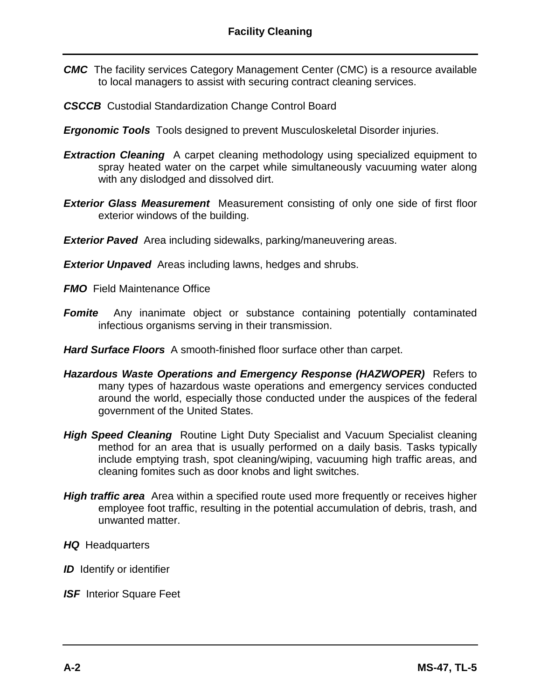- *CMC* The facility services Category Management Center (CMC) is a resource available to local managers to assist with securing contract cleaning services.
- *CSCCB* Custodial Standardization Change Control Board
- *Ergonomic Tools* Tools designed to prevent Musculoskeletal Disorder injuries.
- **Extraction Cleaning** A carpet cleaning methodology using specialized equipment to spray heated water on the carpet while simultaneously vacuuming water along with any dislodged and dissolved dirt.
- *Exterior Glass Measurement* Measurement consisting of only one side of first floor exterior windows of the building.
- **Exterior Paved** Area including sidewalks, parking/maneuvering areas.
- *Exterior Unpaved* Areas including lawns, hedges and shrubs.
- **FMO** Field Maintenance Office
- **Fomite** Any inanimate object or substance containing potentially contaminated infectious organisms serving in their transmission.
- *Hard Surface Floors* A smooth-finished floor surface other than carpet.
- *Hazardous Waste Operations and Emergency Response (HAZWOPER)* Refers to many types of hazardous waste operations and emergency services conducted around the world, especially those conducted under the auspices of the federal government of the United States.
- *High Speed Cleaning* Routine Light Duty Specialist and Vacuum Specialist cleaning method for an area that is usually performed on a daily basis. Tasks typically include emptying trash, spot cleaning/wiping, vacuuming high traffic areas, and cleaning fomites such as door knobs and light switches.
- *High traffic area* Area within a specified route used more frequently or receives higher employee foot traffic, resulting in the potential accumulation of debris, trash, and unwanted matter.
- **HQ** Headquarters
- *ID* Identify or identifier
- *ISF* Interior Square Feet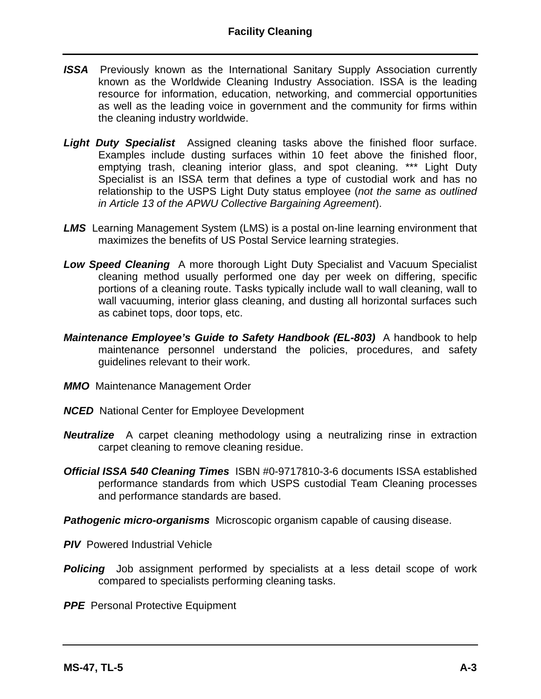- *ISSA* Previously known as the International Sanitary Supply Association currently known as the Worldwide Cleaning Industry Association. ISSA is the leading resource for information, education, networking, and commercial opportunities as well as the leading voice in government and the community for firms within the cleaning industry worldwide.
- *Light Duty Specialist* Assigned cleaning tasks above the finished floor surface. Examples include dusting surfaces within 10 feet above the finished floor, emptying trash, cleaning interior glass, and spot cleaning. \*\*\* Light Duty Specialist is an ISSA term that defines a type of custodial work and has no relationship to the USPS Light Duty status employee (*not the same as outlined in Article 13 of the APWU Collective Bargaining Agreement*).
- *LMS* Learning Management System (LMS) is a postal on-line learning environment that maximizes the benefits of US Postal Service learning strategies.
- *Low Speed Cleaning* A more thorough Light Duty Specialist and Vacuum Specialist cleaning method usually performed one day per week on differing, specific portions of a cleaning route. Tasks typically include wall to wall cleaning, wall to wall vacuuming, interior glass cleaning, and dusting all horizontal surfaces such as cabinet tops, door tops, etc.
- *Maintenance Employee's Guide to Safety Handbook (EL-803)* A handbook to help maintenance personnel understand the policies, procedures, and safety guidelines relevant to their work.
- *MMO* Maintenance Management Order
- *NCED* National Center for Employee Development
- *Neutralize* A carpet cleaning methodology using a neutralizing rinse in extraction carpet cleaning to remove cleaning residue.
- *Official ISSA 540 Cleaning Times* ISBN #0-9717810-3-6 documents ISSA established performance standards from which USPS custodial Team Cleaning processes and performance standards are based.
- **Pathogenic micro-organisms** Microscopic organism capable of causing disease.
- *PIV* Powered Industrial Vehicle
- **Policing** Job assignment performed by specialists at a less detail scope of work compared to specialists performing cleaning tasks.

**PPE** Personal Protective Equipment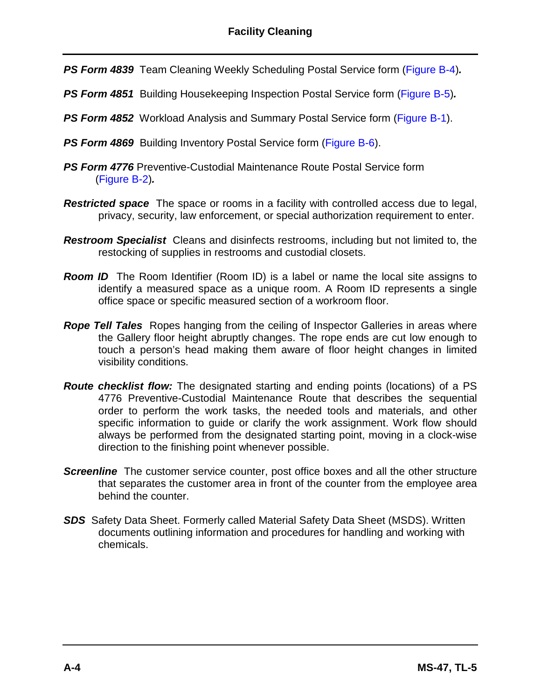- *PS Form 4839* Team Cleaning Weekly Scheduling Postal Service form [\(Figure B-4\)](#page-87-0)*.*
- *PS Form 4851* Building Housekeeping Inspection Postal Service form [\(Figure B-5\)](#page-88-0)*.*
- **PS Form 4852** Workload Analysis and Summary Postal Service form [\(Figure B-1\)](#page-84-0).
- **PS Form 4869** Building Inventory Postal Service form [\(Figure B-6\)](#page-89-0).
- *PS Form 4776* Preventive-Custodial Maintenance Route Postal Service form [\(Figure B-2\)](#page-85-0)*.*
- *Restricted space* The space or rooms in a facility with controlled access due to legal, privacy, security, law enforcement, or special authorization requirement to enter.
- *Restroom Specialist* Cleans and disinfects restrooms, including but not limited to, the restocking of supplies in restrooms and custodial closets.
- *Room ID* The Room Identifier (Room ID) is a label or name the local site assigns to identify a measured space as a unique room. A Room ID represents a single office space or specific measured section of a workroom floor.
- *Rope Tell Tales* Ropes hanging from the ceiling of Inspector Galleries in areas where the Gallery floor height abruptly changes. The rope ends are cut low enough to touch a person's head making them aware of floor height changes in limited visibility conditions.
- *Route checklist flow:* The designated starting and ending points (locations) of a PS 4776 Preventive-Custodial Maintenance Route that describes the sequential order to perform the work tasks, the needed tools and materials, and other specific information to guide or clarify the work assignment. Work flow should always be performed from the designated starting point, moving in a clock-wise direction to the finishing point whenever possible.
- **Screenline** The customer service counter, post office boxes and all the other structure that separates the customer area in front of the counter from the employee area behind the counter.
- *SDS* Safety Data Sheet. Formerly called Material Safety Data Sheet (MSDS). Written documents outlining information and procedures for handling and working with chemicals.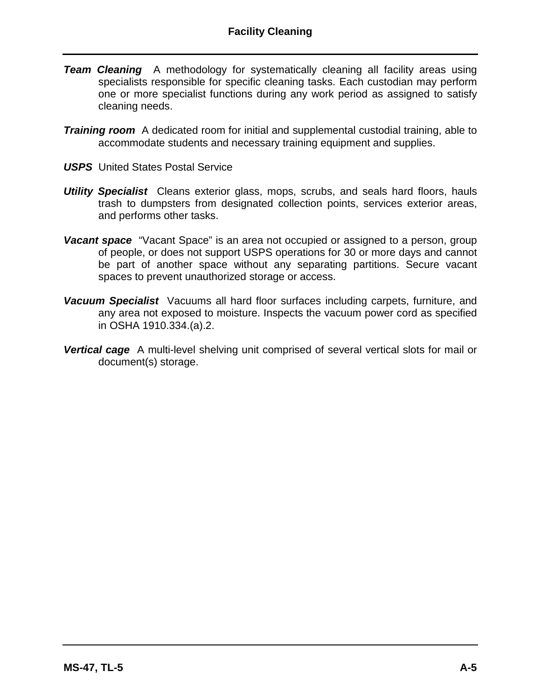- **Team Cleaning** A methodology for systematically cleaning all facility areas using specialists responsible for specific cleaning tasks. Each custodian may perform one or more specialist functions during any work period as assigned to satisfy cleaning needs.
- **Training room** A dedicated room for initial and supplemental custodial training, able to accommodate students and necessary training equipment and supplies.
- *USPS* United States Postal Service
- **Utility Specialist** Cleans exterior glass, mops, scrubs, and seals hard floors, hauls trash to dumpsters from designated collection points, services exterior areas, and performs other tasks.
- *Vacant space* "Vacant Space" is an area not occupied or assigned to a person, group of people, or does not support USPS operations for 30 or more days and cannot be part of another space without any separating partitions. Secure vacant spaces to prevent unauthorized storage or access.
- *Vacuum Specialist* Vacuums all hard floor surfaces including carpets, furniture, and any area not exposed to moisture. Inspects the vacuum power cord as specified in OSHA 1910.334.(a).2.
- *Vertical cage* A multi-level shelving unit comprised of several vertical slots for mail or document(s) storage.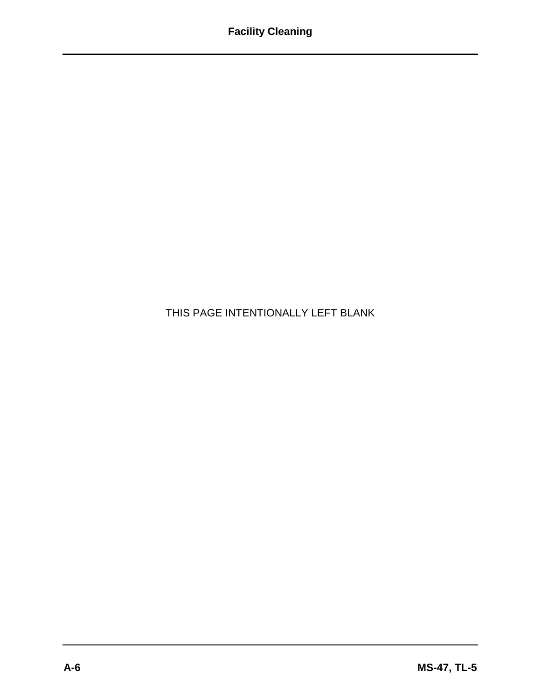# THIS PAGE INTENTIONALLY LEFT BLANK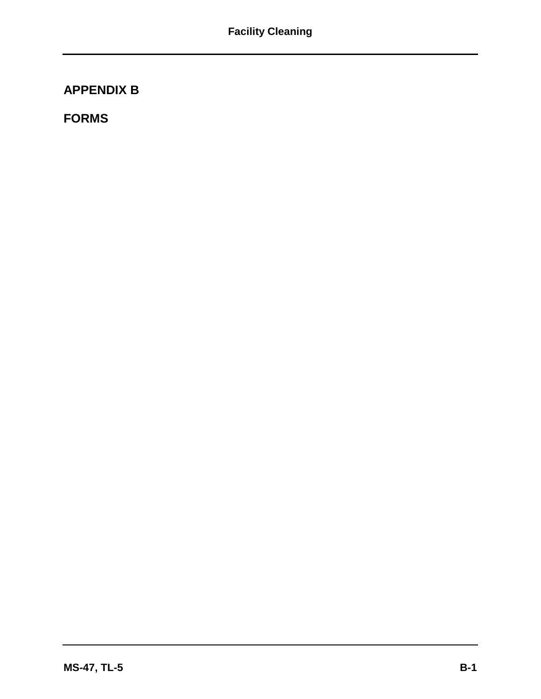# **APPENDIX B**

**FORMS**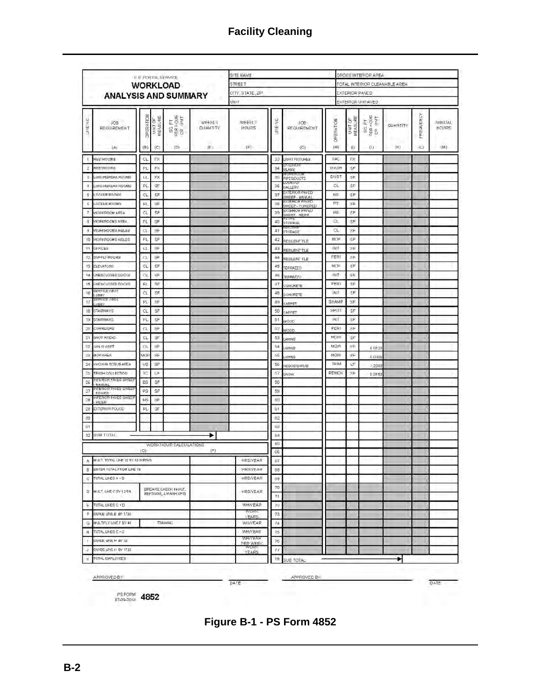|                         |                                        |                | U.S. POSTAL SERVICE |                                                |                           | SITE NAME                  |                            |                                             |             |         | GROSS INTERIOR AREA                                 |          |                  |                        |
|-------------------------|----------------------------------------|----------------|---------------------|------------------------------------------------|---------------------------|----------------------------|----------------------------|---------------------------------------------|-------------|---------|-----------------------------------------------------|----------|------------------|------------------------|
|                         |                                        |                |                     | <b>WORKLOAD</b>                                |                           | STREET                     |                            |                                             |             |         | TOTAL INTERIOR CLEANABLE ARE-                       |          |                  |                        |
|                         | <b>ANALYSIS AND SUMMARY</b>            |                |                     |                                                |                           | CITY, STATE, ZIP           |                            |                                             |             |         | EXTERIOR PAVED                                      |          |                  |                        |
|                         |                                        |                |                     |                                                |                           | UNIT                       |                            |                                             |             |         | EXTERIOR UNPAVED                                    |          |                  |                        |
| <b>JINE NC</b>          | 30B<br>REQUIREMENT                     | CORERATION     | UNTOF<br>WEASLRE    | SC <sub>FT</sub><br>FER-OUR<br>GR UNIT         | WEEKLY<br><b>QUANTITY</b> | <b>MAERIC</b><br>HOURS     | <b>LINE NO</b>             | JOB<br>REQUIREMENT                          | OPERATION   | UNIT OF | $\frac{\text{SG. PT}}{\text{CR} \times \text{QUE}}$ | QUANTITY | <b>FREQUENCY</b> | <b>MUNUAL</b><br>HOURS |
|                         | (A)                                    | (B)            | $(\mathbb{C})$      | (D)                                            | (E)                       | (7)                        |                            | (C)                                         | (H)         | (0)     | (3)                                                 | (15)     | (L)              | (98)                   |
|                         | RESTROOMS                              | CL             | FX                  |                                                |                           |                            | 33                         | LIGHT FIXTURES                              | VAC         | FX      |                                                     |          |                  |                        |
| 2                       | RESTROOMS                              | PL.            | FX                  |                                                |                           |                            | 34                         | תהבות.<br><b>JLASS</b>                      | WASH        | SP      |                                                     |          |                  |                        |
| я                       | <b>LUNCH BREAK ROOMS</b>               | ΕТ.            | FX.                 |                                                |                           |                            | 85                         | <b>MPES/OUCTS</b>                           | <b>DUST</b> | SF      |                                                     |          |                  |                        |
| 40                      | UNCHABREAK ROUMS                       | PL.            | <b>SF</b>           |                                                |                           |                            | 36                         | JUKUT<br>GALLERY                            | CL.         | SF      |                                                     |          |                  |                        |
| 5                       | OGGER ROOMS                            | cı             | SF                  |                                                |                           |                            | 37                         | <b>EXTERIOR PAVED</b><br><b>WEEP MANUAL</b> | <b>BS</b>   | SF      |                                                     |          |                  |                        |
| 6                       | LOCKER ROOMS                           | $\mu_1$        | SF                  |                                                |                           |                            | $58$                       | <b>SYTERIOR PAVEI</b><br>WEEP - POWERED     | P5          | NR.     |                                                     |          |                  |                        |
| 7                       | NORKROOM AREA                          | CL.            | 虾                   |                                                |                           |                            | 39                         | EXTERIOR PAVED<br><b>SWEEP RIDER</b>        | PS.         | SF      |                                                     |          |                  |                        |
| $\overline{\mathbf{a}}$ | <b>NORKROOMS AREA</b>                  | PL.            | SF                  |                                                |                           |                            | 40                         | atimi<br>STORAGE                            | Ct.         | SF      |                                                     |          |                  |                        |
| g                       | <b>WURKROOMS ANSLES</b>                | 调              | 내                   |                                                |                           |                            | 41                         | <b>ETORAGE</b>                              | CL.         | SF      |                                                     |          |                  |                        |
| 10                      | <b>WORKROOMS AISLES</b>                | PL             | SF                  |                                                |                           |                            | 42                         | RESIDENT TILE                               | MOP         | SF      |                                                     |          |                  |                        |
| 11                      | <b>UFFICES</b>                         | EL.            | SF.                 |                                                |                           |                            | 43                         | RESIDENT TILE                               | <b>INT</b>  | SH      |                                                     |          |                  |                        |
| 12                      | <b>SUPPLY ROOMS</b>                    | $\mathbb{C}1$  | SF                  |                                                |                           |                            | $\overline{a}\overline{a}$ | RESIDENT TILE                               | PERI        | SF      |                                                     |          |                  |                        |
| 13                      | <b>CLEVATORS</b>                       | cı             | SF                  |                                                |                           |                            | 45                         | TERRAZZO                                    | MOP         | SF      |                                                     |          |                  |                        |
| 14                      | UNENCLOSED DOCKS                       | CIL            | SF                  |                                                |                           |                            | 46                         | TERRAZZO                                    | INT         | SF      |                                                     |          |                  |                        |
| 15                      | <b>JNENCLOSED DOCKS</b>                | Pt.            | <b>SF</b>           |                                                |                           |                            | 37                         | CONCRETE                                    | PERI        | SF      |                                                     |          |                  |                        |
| 16                      | SERVICE / BOX<br>ORBY                  | CL             | SF                  |                                                |                           |                            | 48                         | CONORETE                                    | <b>INF</b>  | SF      |                                                     |          |                  |                        |
| 17                      | <b>ERAICE LBOX</b><br>OBBY             | PI             | 升                   |                                                |                           |                            | 49                         | <b>CARPET</b>                               | SHAMP       | SF      |                                                     |          |                  |                        |
| 16                      | <b>STAIRWAYS</b>                       | CL.            | SF                  |                                                |                           |                            | 50                         | <b>JARPET</b>                               | SPOT        | \$F     |                                                     |          |                  |                        |
| 39                      | STAIRWAYS                              | PL             | SF.                 |                                                |                           |                            | 6ī                         | <b>GOOM</b>                                 | <b>INT</b>  | SF      |                                                     |          |                  |                        |
| 20                      | CORRIDORS                              | £Ц             | $\rm SF$            |                                                |                           |                            | $\overline{\Sigma}{}^2$    | NOOD                                        | PERI        | SF      |                                                     |          |                  |                        |
| 21                      | SHOP AREAS                             | CL.            | SL.                 |                                                |                           |                            | 53                         | <b>AWWNS</b>                                | MENV        | SF      |                                                     |          |                  |                        |
| 22                      | INN CLOSET                             | <b>Cill</b>    | SF                  |                                                |                           |                            | 64                         | <b>AINIS</b>                                | <b>MOW</b>  | SE      | 0.0120                                              |          |                  |                        |
| 29                      | <b>MORAREA</b>                         | MOF            | SF                  |                                                |                           |                            | 155                        | <b>IMMNS</b>                                | MOW         | SF      | <b>DURB</b>                                         |          |                  |                        |
| 24                      | <b>VACUUM SCRUB AREA</b>               | VS.            | SF                  |                                                |                           |                            | 56                         | <b>IEDOE/SHRUB</b>                          | TENM        | 15      | 1,200                                               |          |                  |                        |
| 22                      | TRASH COLLECTION<br>NIEROR PAVED SWEEP | 7 <sup>c</sup> | UF.                 |                                                |                           |                            | $5\,$                      | <b>BAICIAN</b>                              | REMOV       | SF      | 0,0150                                              |          |                  |                        |
| 26                      | MANUA<br><b>INLERIOR LYVED ZWERL</b>   | <b>BS</b>      | SF                  |                                                |                           |                            | 50                         |                                             |             |         |                                                     |          |                  |                        |
| 27                      | POWER<br>NTERIOR PAVED SWEEP           | P.S.           | <b>SF</b>           |                                                |                           |                            | 59                         |                                             |             |         |                                                     |          |                  |                        |
| 26                      | RIDER                                  | $\mu$ B        | SF                  |                                                |                           |                            | 60                         |                                             |             |         |                                                     |          |                  |                        |
| 29                      | EXTERIOR POLICE                        | PL.            | SF.                 |                                                |                           |                            | 61                         |                                             |             |         |                                                     |          |                  |                        |
| 30                      |                                        |                |                     |                                                |                           |                            | 62                         |                                             |             |         |                                                     |          |                  |                        |
| 31<br>32                | <b>SUB TOTAL</b>                       |                |                     |                                                |                           |                            | 69<br>64                   |                                             |             |         |                                                     |          |                  |                        |
|                         |                                        |                |                     | WORK HOUR CALCULATIONS                         |                           |                            | 65                         |                                             |             |         |                                                     |          |                  |                        |
|                         |                                        | (0)            |                     |                                                | $\{P\}$                   |                            | 66                         |                                             |             |         |                                                     |          |                  |                        |
|                         | A MULT TOTAL UNE 12 BY 52 WEEKS        |                |                     |                                                |                           | <b>HRS/YEAR</b>            | 67                         |                                             |             |         |                                                     |          |                  |                        |
| B                       | ENTER TOTAL FROM LINE 78               |                |                     |                                                |                           | <b>HRSNEAR</b>             | 88                         |                                             |             |         |                                                     |          |                  |                        |
| c                       | TOTAL LINES A + B                      |                |                     |                                                |                           | <b>HRS/YEAR</b>            | 69                         |                                             |             |         |                                                     |          |                  |                        |
| D                       | MULT. LINE C BY 12.5%                  |                |                     | (BREAKS CHECK IN OUT.<br>MEETINGS, & WASH UPS) |                           | HRS/YEAR                   | 70<br>71                   |                                             |             |         |                                                     |          |                  |                        |
| Е                       | <b>TOTAL LIKES C + D</b>               |                |                     |                                                |                           | WHAEAR                     | 72                         |                                             |             |         |                                                     |          |                  |                        |
| F                       | DIVIDE LINE E BY 1720                  |                |                     |                                                |                           | MORK<br><b>YEARS</b>       | 73                         |                                             |             |         |                                                     |          |                  |                        |
| Ğ                       | MULTIPLY LINE F BY 40                  |                |                     | TRAINING:                                      |                           | WHATEAR                    | $\sqrt{4}$                 |                                             |             |         |                                                     |          |                  |                        |
| н                       | TOTAL LINES E . O                      |                |                     |                                                |                           | <b>WH/YEAR</b>             | 75                         |                                             |             |         |                                                     |          |                  |                        |
| ٠                       | DIVIDE UNE H BY 02                     |                |                     |                                                |                           | WH/YEAH<br><b>PER WEEK</b> | 76                         |                                             |             |         |                                                     |          |                  |                        |
| u.l.                    | DIVIDE LINE H BY 1720                  |                |                     |                                                |                           | WORR<br>YEARS              | 71                         |                                             |             |         |                                                     |          |                  |                        |
| κ                       | <b>FOTAL EMPLOYEES</b>                 |                |                     |                                                |                           |                            | 78                         | SUE TOTAL                                   |             |         |                                                     | ۶        |                  |                        |
|                         | APPROVED BY                            |                |                     |                                                |                           | DATE                       |                            | APPROVED BY:                                |             |         |                                                     |          |                  | DATE                   |

<span id="page-84-0"></span>**Figure B-1 - PS Form 4852**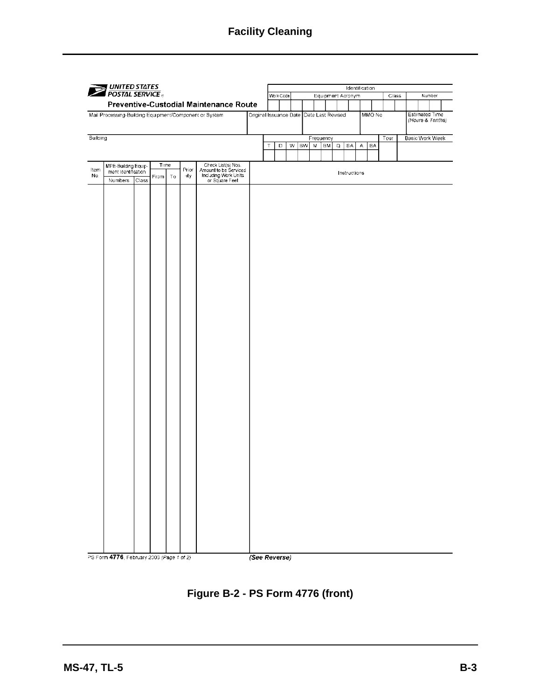| Work Code<br>Equipment Acronym<br>Class<br>Number<br>Preventive-Custodial Maintenance Route<br>Mail Processing-Building Equipment/Component or System<br>Original Issuance Date Date Last Revised<br>MMO No<br>Estimated Time<br>(Hours & Tenths)<br>Building<br>Basic Work Week<br>Frequency<br>Tour<br>BW<br>${\sf M}$<br><b>BM</b><br>$\hbox{\tt Q}$<br>BA<br>T<br>D<br>w<br>SA<br>А<br>Check List(s) Nos.<br>Amount to be Serviced<br>Including Work Units<br>or Square Feet<br>Time<br>MPE-Building Equip-<br>Prior<br>Item<br>ment Identification<br>Instructions<br>No.<br>-ity<br>$\mathsf{T}\mathsf{o}$<br>From<br>Numbers<br>Class<br>PS Form 4776, February 2003 (Page 1 of 2)<br>(See Reverse) | <b>DINITED STATES</b> |  |  |  |  |  |  |  |  | Identification |  |  |  |  |  |
|------------------------------------------------------------------------------------------------------------------------------------------------------------------------------------------------------------------------------------------------------------------------------------------------------------------------------------------------------------------------------------------------------------------------------------------------------------------------------------------------------------------------------------------------------------------------------------------------------------------------------------------------------------------------------------------------------------|-----------------------|--|--|--|--|--|--|--|--|----------------|--|--|--|--|--|
|                                                                                                                                                                                                                                                                                                                                                                                                                                                                                                                                                                                                                                                                                                            |                       |  |  |  |  |  |  |  |  |                |  |  |  |  |  |
|                                                                                                                                                                                                                                                                                                                                                                                                                                                                                                                                                                                                                                                                                                            |                       |  |  |  |  |  |  |  |  |                |  |  |  |  |  |
|                                                                                                                                                                                                                                                                                                                                                                                                                                                                                                                                                                                                                                                                                                            |                       |  |  |  |  |  |  |  |  |                |  |  |  |  |  |
|                                                                                                                                                                                                                                                                                                                                                                                                                                                                                                                                                                                                                                                                                                            |                       |  |  |  |  |  |  |  |  |                |  |  |  |  |  |
|                                                                                                                                                                                                                                                                                                                                                                                                                                                                                                                                                                                                                                                                                                            |                       |  |  |  |  |  |  |  |  |                |  |  |  |  |  |
|                                                                                                                                                                                                                                                                                                                                                                                                                                                                                                                                                                                                                                                                                                            |                       |  |  |  |  |  |  |  |  |                |  |  |  |  |  |
|                                                                                                                                                                                                                                                                                                                                                                                                                                                                                                                                                                                                                                                                                                            |                       |  |  |  |  |  |  |  |  |                |  |  |  |  |  |
|                                                                                                                                                                                                                                                                                                                                                                                                                                                                                                                                                                                                                                                                                                            |                       |  |  |  |  |  |  |  |  |                |  |  |  |  |  |
|                                                                                                                                                                                                                                                                                                                                                                                                                                                                                                                                                                                                                                                                                                            |                       |  |  |  |  |  |  |  |  |                |  |  |  |  |  |
|                                                                                                                                                                                                                                                                                                                                                                                                                                                                                                                                                                                                                                                                                                            |                       |  |  |  |  |  |  |  |  |                |  |  |  |  |  |
|                                                                                                                                                                                                                                                                                                                                                                                                                                                                                                                                                                                                                                                                                                            |                       |  |  |  |  |  |  |  |  |                |  |  |  |  |  |
|                                                                                                                                                                                                                                                                                                                                                                                                                                                                                                                                                                                                                                                                                                            |                       |  |  |  |  |  |  |  |  |                |  |  |  |  |  |
|                                                                                                                                                                                                                                                                                                                                                                                                                                                                                                                                                                                                                                                                                                            |                       |  |  |  |  |  |  |  |  |                |  |  |  |  |  |
|                                                                                                                                                                                                                                                                                                                                                                                                                                                                                                                                                                                                                                                                                                            |                       |  |  |  |  |  |  |  |  |                |  |  |  |  |  |
|                                                                                                                                                                                                                                                                                                                                                                                                                                                                                                                                                                                                                                                                                                            |                       |  |  |  |  |  |  |  |  |                |  |  |  |  |  |
|                                                                                                                                                                                                                                                                                                                                                                                                                                                                                                                                                                                                                                                                                                            |                       |  |  |  |  |  |  |  |  |                |  |  |  |  |  |
|                                                                                                                                                                                                                                                                                                                                                                                                                                                                                                                                                                                                                                                                                                            |                       |  |  |  |  |  |  |  |  |                |  |  |  |  |  |
|                                                                                                                                                                                                                                                                                                                                                                                                                                                                                                                                                                                                                                                                                                            |                       |  |  |  |  |  |  |  |  |                |  |  |  |  |  |
|                                                                                                                                                                                                                                                                                                                                                                                                                                                                                                                                                                                                                                                                                                            |                       |  |  |  |  |  |  |  |  |                |  |  |  |  |  |
|                                                                                                                                                                                                                                                                                                                                                                                                                                                                                                                                                                                                                                                                                                            |                       |  |  |  |  |  |  |  |  |                |  |  |  |  |  |
|                                                                                                                                                                                                                                                                                                                                                                                                                                                                                                                                                                                                                                                                                                            |                       |  |  |  |  |  |  |  |  |                |  |  |  |  |  |
|                                                                                                                                                                                                                                                                                                                                                                                                                                                                                                                                                                                                                                                                                                            |                       |  |  |  |  |  |  |  |  |                |  |  |  |  |  |
|                                                                                                                                                                                                                                                                                                                                                                                                                                                                                                                                                                                                                                                                                                            |                       |  |  |  |  |  |  |  |  |                |  |  |  |  |  |
|                                                                                                                                                                                                                                                                                                                                                                                                                                                                                                                                                                                                                                                                                                            |                       |  |  |  |  |  |  |  |  |                |  |  |  |  |  |
|                                                                                                                                                                                                                                                                                                                                                                                                                                                                                                                                                                                                                                                                                                            |                       |  |  |  |  |  |  |  |  |                |  |  |  |  |  |
|                                                                                                                                                                                                                                                                                                                                                                                                                                                                                                                                                                                                                                                                                                            |                       |  |  |  |  |  |  |  |  |                |  |  |  |  |  |
|                                                                                                                                                                                                                                                                                                                                                                                                                                                                                                                                                                                                                                                                                                            |                       |  |  |  |  |  |  |  |  |                |  |  |  |  |  |
|                                                                                                                                                                                                                                                                                                                                                                                                                                                                                                                                                                                                                                                                                                            |                       |  |  |  |  |  |  |  |  |                |  |  |  |  |  |
|                                                                                                                                                                                                                                                                                                                                                                                                                                                                                                                                                                                                                                                                                                            |                       |  |  |  |  |  |  |  |  |                |  |  |  |  |  |
|                                                                                                                                                                                                                                                                                                                                                                                                                                                                                                                                                                                                                                                                                                            |                       |  |  |  |  |  |  |  |  |                |  |  |  |  |  |
|                                                                                                                                                                                                                                                                                                                                                                                                                                                                                                                                                                                                                                                                                                            |                       |  |  |  |  |  |  |  |  |                |  |  |  |  |  |
|                                                                                                                                                                                                                                                                                                                                                                                                                                                                                                                                                                                                                                                                                                            |                       |  |  |  |  |  |  |  |  |                |  |  |  |  |  |
|                                                                                                                                                                                                                                                                                                                                                                                                                                                                                                                                                                                                                                                                                                            |                       |  |  |  |  |  |  |  |  |                |  |  |  |  |  |
|                                                                                                                                                                                                                                                                                                                                                                                                                                                                                                                                                                                                                                                                                                            |                       |  |  |  |  |  |  |  |  |                |  |  |  |  |  |
|                                                                                                                                                                                                                                                                                                                                                                                                                                                                                                                                                                                                                                                                                                            |                       |  |  |  |  |  |  |  |  |                |  |  |  |  |  |
|                                                                                                                                                                                                                                                                                                                                                                                                                                                                                                                                                                                                                                                                                                            |                       |  |  |  |  |  |  |  |  |                |  |  |  |  |  |
|                                                                                                                                                                                                                                                                                                                                                                                                                                                                                                                                                                                                                                                                                                            |                       |  |  |  |  |  |  |  |  |                |  |  |  |  |  |
|                                                                                                                                                                                                                                                                                                                                                                                                                                                                                                                                                                                                                                                                                                            |                       |  |  |  |  |  |  |  |  |                |  |  |  |  |  |
|                                                                                                                                                                                                                                                                                                                                                                                                                                                                                                                                                                                                                                                                                                            |                       |  |  |  |  |  |  |  |  |                |  |  |  |  |  |
|                                                                                                                                                                                                                                                                                                                                                                                                                                                                                                                                                                                                                                                                                                            |                       |  |  |  |  |  |  |  |  |                |  |  |  |  |  |
|                                                                                                                                                                                                                                                                                                                                                                                                                                                                                                                                                                                                                                                                                                            |                       |  |  |  |  |  |  |  |  |                |  |  |  |  |  |
|                                                                                                                                                                                                                                                                                                                                                                                                                                                                                                                                                                                                                                                                                                            |                       |  |  |  |  |  |  |  |  |                |  |  |  |  |  |
|                                                                                                                                                                                                                                                                                                                                                                                                                                                                                                                                                                                                                                                                                                            |                       |  |  |  |  |  |  |  |  |                |  |  |  |  |  |
|                                                                                                                                                                                                                                                                                                                                                                                                                                                                                                                                                                                                                                                                                                            |                       |  |  |  |  |  |  |  |  |                |  |  |  |  |  |
|                                                                                                                                                                                                                                                                                                                                                                                                                                                                                                                                                                                                                                                                                                            |                       |  |  |  |  |  |  |  |  |                |  |  |  |  |  |
|                                                                                                                                                                                                                                                                                                                                                                                                                                                                                                                                                                                                                                                                                                            |                       |  |  |  |  |  |  |  |  |                |  |  |  |  |  |
|                                                                                                                                                                                                                                                                                                                                                                                                                                                                                                                                                                                                                                                                                                            |                       |  |  |  |  |  |  |  |  |                |  |  |  |  |  |

<span id="page-85-0"></span>**Figure B-2 - PS Form 4776 (front)**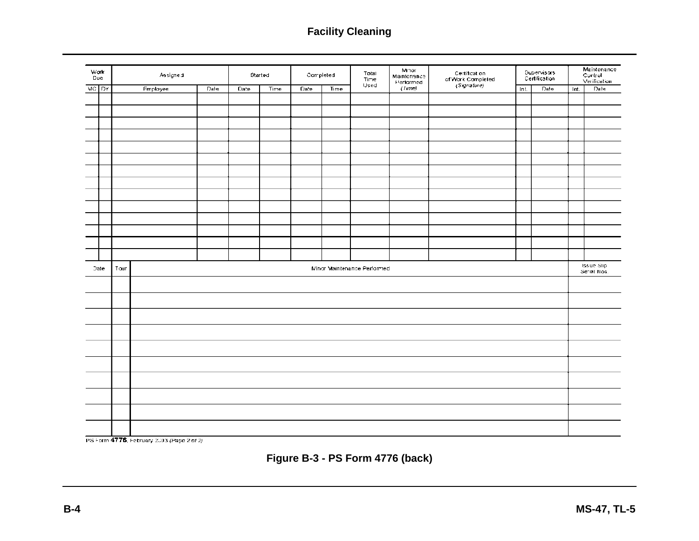| Work<br>Due    |      | Assigned                                  |      |      | Started | Completed |      | Total<br>Time<br>Used       | Minor<br>Maintenance<br>Performed | Certification<br>of Work Completed<br>( <i>Signature</i> ) |      | Supervisors<br>Certification |      | Maintenance<br>Control<br>Verification |
|----------------|------|-------------------------------------------|------|------|---------|-----------|------|-----------------------------|-----------------------------------|------------------------------------------------------------|------|------------------------------|------|----------------------------------------|
| $\sqrt{AC}$ DY |      | Employee                                  | Date | Date | Time    | Date      | Time |                             | (Imel)                            |                                                            | Int. | Date                         | Int. | Date                                   |
|                |      |                                           |      |      |         |           |      |                             |                                   |                                                            |      |                              |      |                                        |
|                |      |                                           |      |      |         |           |      |                             |                                   |                                                            |      |                              |      |                                        |
|                |      |                                           |      |      |         |           |      |                             |                                   |                                                            |      |                              |      |                                        |
|                |      |                                           |      |      |         |           |      |                             |                                   |                                                            |      |                              |      |                                        |
|                |      |                                           |      |      |         |           |      |                             |                                   |                                                            |      |                              |      |                                        |
|                |      |                                           |      |      |         |           |      |                             |                                   |                                                            |      |                              |      |                                        |
|                |      |                                           |      |      |         |           |      |                             |                                   |                                                            |      |                              |      |                                        |
|                |      |                                           |      |      |         |           |      |                             |                                   |                                                            |      |                              |      |                                        |
|                |      |                                           |      |      |         |           |      |                             |                                   |                                                            |      |                              |      |                                        |
|                |      |                                           |      |      |         |           |      |                             |                                   |                                                            |      |                              |      |                                        |
|                |      |                                           |      |      |         |           |      |                             |                                   |                                                            |      |                              |      |                                        |
|                |      |                                           |      |      |         |           |      |                             |                                   |                                                            |      |                              |      |                                        |
|                |      |                                           |      |      |         |           |      |                             |                                   |                                                            |      |                              |      |                                        |
|                |      |                                           |      |      |         |           |      |                             |                                   |                                                            |      |                              |      |                                        |
|                |      |                                           |      |      |         |           |      |                             |                                   |                                                            |      |                              |      |                                        |
|                |      |                                           |      |      |         |           |      |                             |                                   |                                                            |      |                              |      |                                        |
|                |      |                                           |      |      |         |           |      |                             |                                   |                                                            |      |                              |      |                                        |
| Date           | Tour |                                           |      |      |         |           |      | Minor Maintenance Performed |                                   |                                                            |      |                              |      | Issue Slip<br>Serial Nos.              |
|                |      |                                           |      |      |         |           |      |                             |                                   |                                                            |      |                              |      |                                        |
|                |      |                                           |      |      |         |           |      |                             |                                   |                                                            |      |                              |      |                                        |
|                |      |                                           |      |      |         |           |      |                             |                                   |                                                            |      |                              |      |                                        |
|                |      |                                           |      |      |         |           |      |                             |                                   |                                                            |      |                              |      |                                        |
|                |      |                                           |      |      |         |           |      |                             |                                   |                                                            |      |                              |      |                                        |
|                |      |                                           |      |      |         |           |      |                             |                                   |                                                            |      |                              |      |                                        |
|                |      |                                           |      |      |         |           |      |                             |                                   |                                                            |      |                              |      |                                        |
|                |      |                                           |      |      |         |           |      |                             |                                   |                                                            |      |                              |      |                                        |
|                |      |                                           |      |      |         |           |      |                             |                                   |                                                            |      |                              |      |                                        |
|                |      |                                           |      |      |         |           |      |                             |                                   |                                                            |      |                              |      |                                        |
|                |      |                                           |      |      |         |           |      |                             |                                   |                                                            |      |                              |      |                                        |
|                |      |                                           |      |      |         |           |      |                             |                                   |                                                            |      |                              |      |                                        |
|                |      |                                           |      |      |         |           |      |                             |                                   |                                                            |      |                              |      |                                        |
|                |      |                                           |      |      |         |           |      |                             |                                   |                                                            |      |                              |      |                                        |
|                |      |                                           |      |      |         |           |      |                             |                                   |                                                            |      |                              |      |                                        |
|                |      | PS Form 4776, February 2003 (Page 2 of 2) |      |      |         |           |      |                             |                                   |                                                            |      |                              |      |                                        |

**Figure B-3 - PS Form 4776 (back)**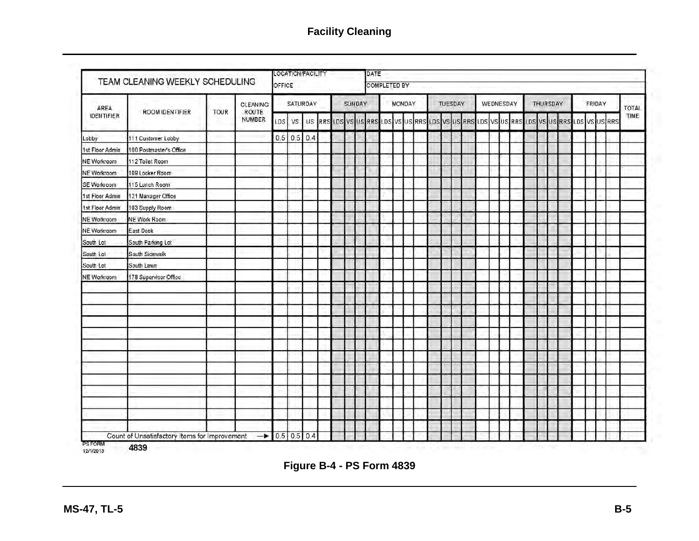| LOCATION/FACILITY<br>TEAM CLEANING WEEKLY SCHEDULING<br>OFFICE |                                               |             |                                 |     |               | DATE | <b>COMPLETED BY</b>                                                                                      |        |  |  |               |  |         |  |           |  |          |  |        |              |
|----------------------------------------------------------------|-----------------------------------------------|-------------|---------------------------------|-----|---------------|------|----------------------------------------------------------------------------------------------------------|--------|--|--|---------------|--|---------|--|-----------|--|----------|--|--------|--------------|
| AREA                                                           | <b>ROOM IDENTIFIER</b>                        | <b>TOUR</b> | <b>CLEANING</b><br><b>ROUTE</b> |     | SATURDAY      |      |                                                                                                          | SUNDAY |  |  | <b>MONDAY</b> |  | TUESDAY |  | WEDNESDAY |  | THURSDAY |  | FRIDAY | <b>TOTAL</b> |
| <b>IDENTIFIER</b>                                              |                                               |             |                                 | LDS | VS            |      | US RRS LDS VS US RRS LDS VS US RRS LDS VS US RRS LDS VS US RRS LDS VS US RRS LDS VS US RRS LDS VS US RRS |        |  |  |               |  |         |  |           |  |          |  |        | TIME         |
| Lobby                                                          | 111 Customer Lobby                            |             |                                 |     | $0.5$ 0.5 0.4 |      |                                                                                                          |        |  |  |               |  |         |  |           |  |          |  |        |              |
| 1st Floor Admin                                                | 100 Postmaster's Office                       |             |                                 |     |               |      |                                                                                                          |        |  |  |               |  |         |  |           |  |          |  |        |              |
| NE Workroom                                                    | 112 Toilet Room                               |             |                                 |     |               |      |                                                                                                          |        |  |  |               |  |         |  |           |  |          |  |        |              |
| <b>NE Workroom</b>                                             | 109 Locker Room                               |             |                                 |     |               |      |                                                                                                          |        |  |  |               |  |         |  |           |  |          |  |        |              |
| SE Workroom                                                    | 115 Lunch Room                                |             |                                 |     |               |      |                                                                                                          |        |  |  |               |  |         |  |           |  |          |  |        |              |
| 1st Floor Admin                                                | 121 Manager Office                            |             |                                 |     |               |      |                                                                                                          |        |  |  |               |  |         |  |           |  |          |  |        |              |
| 1st Floor Admin                                                | 103 Supply Room                               |             |                                 |     |               |      |                                                                                                          |        |  |  |               |  |         |  |           |  |          |  |        |              |
| NE Workroom                                                    | NE Work Room                                  |             |                                 |     |               |      |                                                                                                          |        |  |  |               |  |         |  |           |  |          |  |        |              |
| NE Workroom                                                    | East Dock                                     |             |                                 |     |               |      |                                                                                                          |        |  |  |               |  |         |  |           |  |          |  |        |              |
| South Lot                                                      | South Parking Lot                             |             |                                 |     |               |      |                                                                                                          |        |  |  |               |  |         |  |           |  |          |  |        |              |
| South Lot                                                      | South Sidewalk                                |             |                                 |     |               |      |                                                                                                          |        |  |  |               |  |         |  |           |  |          |  |        |              |
| South Lot                                                      | South Lawn                                    |             |                                 |     |               |      |                                                                                                          |        |  |  |               |  |         |  |           |  |          |  |        |              |
| NE Workroom                                                    | 178 Supervisor Office                         |             |                                 |     |               |      |                                                                                                          |        |  |  |               |  |         |  |           |  |          |  |        |              |
|                                                                |                                               |             |                                 |     |               |      |                                                                                                          |        |  |  |               |  |         |  |           |  |          |  |        |              |
|                                                                |                                               |             |                                 |     |               |      |                                                                                                          |        |  |  |               |  |         |  |           |  |          |  |        |              |
|                                                                |                                               |             |                                 |     |               |      |                                                                                                          |        |  |  |               |  |         |  |           |  |          |  |        |              |
|                                                                |                                               |             |                                 |     |               |      |                                                                                                          |        |  |  |               |  |         |  |           |  |          |  |        |              |
|                                                                |                                               |             |                                 |     |               |      |                                                                                                          |        |  |  |               |  |         |  |           |  |          |  |        |              |
|                                                                |                                               |             |                                 |     |               |      |                                                                                                          |        |  |  |               |  |         |  |           |  |          |  |        |              |
|                                                                |                                               |             |                                 |     |               |      |                                                                                                          |        |  |  |               |  |         |  |           |  |          |  |        |              |
|                                                                |                                               |             |                                 |     |               |      |                                                                                                          |        |  |  |               |  |         |  |           |  |          |  |        |              |
|                                                                |                                               |             |                                 |     |               |      |                                                                                                          |        |  |  |               |  |         |  |           |  |          |  |        |              |
|                                                                |                                               |             |                                 |     |               |      |                                                                                                          |        |  |  |               |  |         |  |           |  |          |  |        |              |
|                                                                |                                               |             |                                 |     |               |      |                                                                                                          |        |  |  |               |  |         |  |           |  |          |  |        |              |
|                                                                |                                               |             |                                 |     |               |      |                                                                                                          |        |  |  |               |  |         |  |           |  |          |  |        |              |
|                                                                |                                               |             |                                 |     |               |      |                                                                                                          |        |  |  |               |  |         |  |           |  |          |  |        |              |
|                                                                | Count of Unsatisfactory Items for Improvement |             | $-$ 0.5 0.5 0.4                 |     |               |      |                                                                                                          |        |  |  |               |  |         |  |           |  |          |  |        |              |

<span id="page-87-0"></span>**Figure B-4 - PS Form 4839**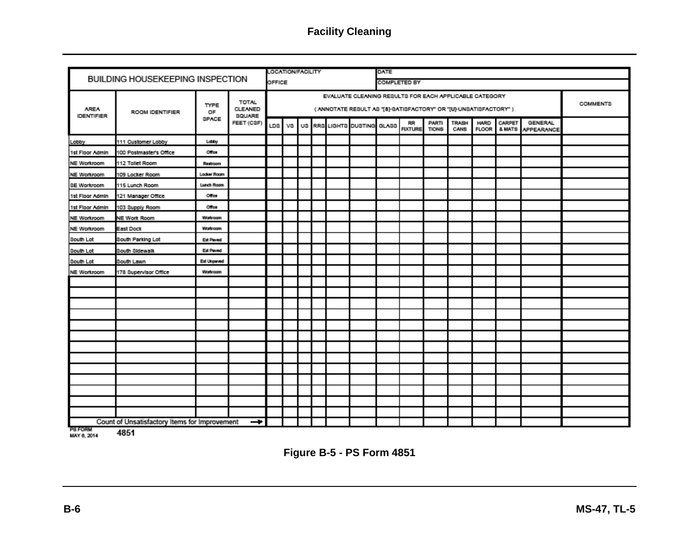|                                  | BUILDING HOUSEKEEPING INSPECTION              |              |                                          |                 | <b>LOCATION/FACILITY</b><br>OFFICE                                                                                                                                                                         |  |  |  |                                                                                                                             | DATE | <b>COMPLETED BY</b> |  |  |  |  |                 |
|----------------------------------|-----------------------------------------------|--------------|------------------------------------------|-----------------|------------------------------------------------------------------------------------------------------------------------------------------------------------------------------------------------------------|--|--|--|-----------------------------------------------------------------------------------------------------------------------------|------|---------------------|--|--|--|--|-----------------|
| <b>AREA</b><br><b>IDENTIFIER</b> | ROOM IDENTIFIER.                              | TYPE<br>OF   | <b>TOTAL</b><br>CLEANED<br><b>SQUARE</b> |                 |                                                                                                                                                                                                            |  |  |  | EVALUATE CLEANING RESULTS FOR EACH APPLICABLE CATEGORY<br>( ANNOTATE RESULT AS "[8]-SATISFACTORY" OR "[U]-UNSATISFACTORY" ) |      |                     |  |  |  |  | <b>COMMENTS</b> |
|                                  |                                               | <b>SPACE</b> | FEET (C8F)                               | LD <sub>8</sub> | <b>PARTI</b><br><b>TRASH</b><br><b>HARD</b><br>CARPET<br><b>GENERAL</b><br>RR<br>US RRS<br>LIGHTS DUSTING<br>GLA33<br>V3<br><b>FIXTURE</b><br><b>TIONS</b><br>CANS<br><b>FLOOR</b><br>& MATS<br>APPEARANCE |  |  |  |                                                                                                                             |      |                     |  |  |  |  |                 |
| Lobby                            | 111 Customer Lobby                            | Lobby        |                                          |                 |                                                                                                                                                                                                            |  |  |  |                                                                                                                             |      |                     |  |  |  |  |                 |
| 1st Floor Admin                  | 100 Postmaster's Office                       | Office       |                                          |                 |                                                                                                                                                                                                            |  |  |  |                                                                                                                             |      |                     |  |  |  |  |                 |
| NE Workroom                      | 112 Tollet Room                               | Restroom     |                                          |                 |                                                                                                                                                                                                            |  |  |  |                                                                                                                             |      |                     |  |  |  |  |                 |
| NE Workroom                      | 109 Locker Room                               | Locker Room  |                                          |                 |                                                                                                                                                                                                            |  |  |  |                                                                                                                             |      |                     |  |  |  |  |                 |
| <b>3E Workroom</b>               | 115 Lunch Room                                | Lunch Room   |                                          |                 |                                                                                                                                                                                                            |  |  |  |                                                                                                                             |      |                     |  |  |  |  |                 |
| 1st Floor Admin                  | 121 Manager Office                            | Office       |                                          |                 |                                                                                                                                                                                                            |  |  |  |                                                                                                                             |      |                     |  |  |  |  |                 |
| 1st Floor Admin                  | 103 Supply Room                               | Office       |                                          |                 |                                                                                                                                                                                                            |  |  |  |                                                                                                                             |      |                     |  |  |  |  |                 |
| NE Workroom                      | NE Work Room                                  | Warkroom     |                                          |                 |                                                                                                                                                                                                            |  |  |  |                                                                                                                             |      |                     |  |  |  |  |                 |
| NE Workroom                      | East Dock                                     | Warkroom     |                                          |                 |                                                                                                                                                                                                            |  |  |  |                                                                                                                             |      |                     |  |  |  |  |                 |
| South Lot                        | South Parking Lot                             | Est Payed    |                                          |                 |                                                                                                                                                                                                            |  |  |  |                                                                                                                             |      |                     |  |  |  |  |                 |
| South Lot                        | South Sidewalk                                | Est Paved    |                                          |                 |                                                                                                                                                                                                            |  |  |  |                                                                                                                             |      |                     |  |  |  |  |                 |
| South Lot                        | South Lawn                                    | Ed Unpaved   |                                          |                 |                                                                                                                                                                                                            |  |  |  |                                                                                                                             |      |                     |  |  |  |  |                 |
| NE Workroom                      | 178 Supervisor Office                         | Warkroom     |                                          |                 |                                                                                                                                                                                                            |  |  |  |                                                                                                                             |      |                     |  |  |  |  |                 |
|                                  |                                               |              |                                          |                 |                                                                                                                                                                                                            |  |  |  |                                                                                                                             |      |                     |  |  |  |  |                 |
|                                  |                                               |              |                                          |                 |                                                                                                                                                                                                            |  |  |  |                                                                                                                             |      |                     |  |  |  |  |                 |
|                                  |                                               |              |                                          |                 |                                                                                                                                                                                                            |  |  |  |                                                                                                                             |      |                     |  |  |  |  |                 |
|                                  |                                               |              |                                          |                 |                                                                                                                                                                                                            |  |  |  |                                                                                                                             |      |                     |  |  |  |  |                 |
|                                  |                                               |              |                                          |                 |                                                                                                                                                                                                            |  |  |  |                                                                                                                             |      |                     |  |  |  |  |                 |
|                                  |                                               |              |                                          |                 |                                                                                                                                                                                                            |  |  |  |                                                                                                                             |      |                     |  |  |  |  |                 |
|                                  |                                               |              |                                          |                 |                                                                                                                                                                                                            |  |  |  |                                                                                                                             |      |                     |  |  |  |  |                 |
|                                  |                                               |              |                                          |                 |                                                                                                                                                                                                            |  |  |  |                                                                                                                             |      |                     |  |  |  |  |                 |
|                                  |                                               |              |                                          |                 |                                                                                                                                                                                                            |  |  |  |                                                                                                                             |      |                     |  |  |  |  |                 |
|                                  |                                               |              |                                          |                 |                                                                                                                                                                                                            |  |  |  |                                                                                                                             |      |                     |  |  |  |  |                 |
|                                  |                                               |              |                                          |                 |                                                                                                                                                                                                            |  |  |  |                                                                                                                             |      |                     |  |  |  |  |                 |
|                                  |                                               |              |                                          |                 |                                                                                                                                                                                                            |  |  |  |                                                                                                                             |      |                     |  |  |  |  |                 |
|                                  |                                               |              |                                          |                 |                                                                                                                                                                                                            |  |  |  |                                                                                                                             |      |                     |  |  |  |  |                 |
| <b>PR FORM</b>                   | Count of Unsatisfactory Items for Improvement |              | →                                        |                 |                                                                                                                                                                                                            |  |  |  |                                                                                                                             |      |                     |  |  |  |  |                 |

<span id="page-88-0"></span>PS PORM<br>MAY 6, 2014 4851

**Figure B-5 - PS Form 4851**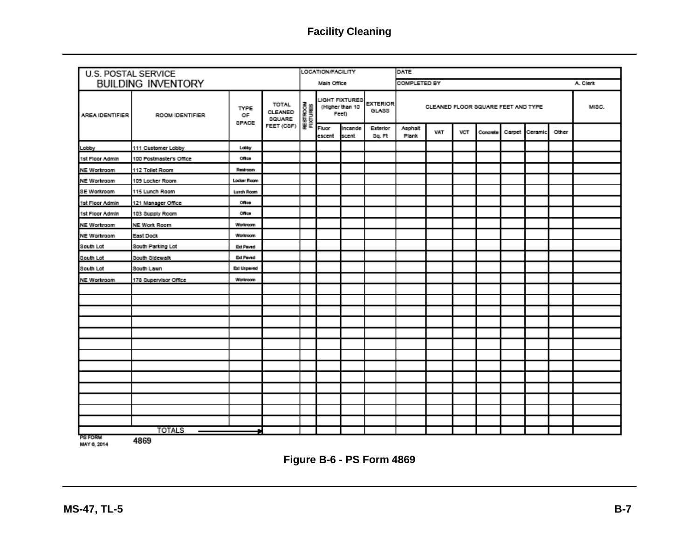| U.S. POSTAL SERVICE |                           |                            |                                          | LOCATION/FACILITY                             |                                            |                          | DATE             |                                    |     |          |        |         |       |          |
|---------------------|---------------------------|----------------------------|------------------------------------------|-----------------------------------------------|--------------------------------------------|--------------------------|------------------|------------------------------------|-----|----------|--------|---------|-------|----------|
|                     | <b>BUILDING INVENTORY</b> |                            |                                          | Main Office                                   |                                            |                          | COMPLETED BY     |                                    |     |          |        |         |       | A. Clerk |
| AREA IDENTIFIER     | ROOM IDENTIFIER           | TYPE<br>OF<br><b>SPACE</b> | <b>TOTAL</b><br>CLEANED<br><b>SQUARE</b> | <b>MESTROOM</b><br>FIXTURES<br>Fluor<br>Fluor | LIGHT FIXTURES<br>(Higher than 10<br>Feet) | <b>EXTERIOR</b><br>GLA88 |                  | CLEANED FLOOR SQUARE FEET AND TYPE |     |          |        |         |       | MISC.    |
|                     |                           |                            | FEET (CSF)                               | escent                                        | Incande<br>scent                           | Exterior<br>Sq. Ft       | Asphalt<br>Plank | VAT                                | VCT | Concrete | Carpet | Ceramic | Other |          |
| Lobby               | 111 Customer Lobby        | Lobby                      |                                          |                                               |                                            |                          |                  |                                    |     |          |        |         |       |          |
| 1st Floor Admin     | 100 Postmaster's Office   | Office                     |                                          |                                               |                                            |                          |                  |                                    |     |          |        |         |       |          |
| NE Workroom         | 112 Tollet Room           | Restroom                   |                                          |                                               |                                            |                          |                  |                                    |     |          |        |         |       |          |
| NE Workroom         | 109 Locker Room           | Locker Room                |                                          |                                               |                                            |                          |                  |                                    |     |          |        |         |       |          |
| <b>SE Workroom</b>  | 115 Lunch Room            | Lunch Room                 |                                          |                                               |                                            |                          |                  |                                    |     |          |        |         |       |          |
| 1st Floor Admin     | 121 Manager Office        | Office                     |                                          |                                               |                                            |                          |                  |                                    |     |          |        |         |       |          |
| 1st Floor Admin     | 103 Supply Room           | Office                     |                                          |                                               |                                            |                          |                  |                                    |     |          |        |         |       |          |
| NE Workroom         | NE Work Room              | Worknoom                   |                                          |                                               |                                            |                          |                  |                                    |     |          |        |         |       |          |
| NE Workroom         | East Dock                 | Workroom                   |                                          |                                               |                                            |                          |                  |                                    |     |          |        |         |       |          |
| South Lot           | South Parking Lot         | Ext Payed                  |                                          |                                               |                                            |                          |                  |                                    |     |          |        |         |       |          |
| South Lot           | South Sidewalk            | Ext Payed                  |                                          |                                               |                                            |                          |                  |                                    |     |          |        |         |       |          |
| South Lot           | South Lawn                | <b>Est Unpaved</b>         |                                          |                                               |                                            |                          |                  |                                    |     |          |        |         |       |          |
| NE Workroom         | 178 Supervisor Office     | Workroom                   |                                          |                                               |                                            |                          |                  |                                    |     |          |        |         |       |          |
|                     |                           |                            |                                          |                                               |                                            |                          |                  |                                    |     |          |        |         |       |          |
|                     |                           |                            |                                          |                                               |                                            |                          |                  |                                    |     |          |        |         |       |          |
|                     |                           |                            |                                          |                                               |                                            |                          |                  |                                    |     |          |        |         |       |          |
|                     |                           |                            |                                          |                                               |                                            |                          |                  |                                    |     |          |        |         |       |          |
|                     |                           |                            |                                          |                                               |                                            |                          |                  |                                    |     |          |        |         |       |          |
|                     |                           |                            |                                          |                                               |                                            |                          |                  |                                    |     |          |        |         |       |          |
|                     |                           |                            |                                          |                                               |                                            |                          |                  |                                    |     |          |        |         |       |          |
|                     |                           |                            |                                          |                                               |                                            |                          |                  |                                    |     |          |        |         |       |          |
|                     |                           |                            |                                          |                                               |                                            |                          |                  |                                    |     |          |        |         |       |          |
|                     |                           |                            |                                          |                                               |                                            |                          |                  |                                    |     |          |        |         |       |          |
|                     |                           |                            |                                          |                                               |                                            |                          |                  |                                    |     |          |        |         |       |          |
|                     |                           |                            |                                          |                                               |                                            |                          |                  |                                    |     |          |        |         |       |          |
|                     |                           |                            |                                          |                                               |                                            |                          |                  |                                    |     |          |        |         |       |          |
| PS FORM             | <b>TOTALS</b><br>4869     |                            |                                          |                                               |                                            |                          |                  |                                    |     |          |        |         |       |          |

<span id="page-89-0"></span>MAY 6, 2014

**Figure B-6 - PS Form 4869**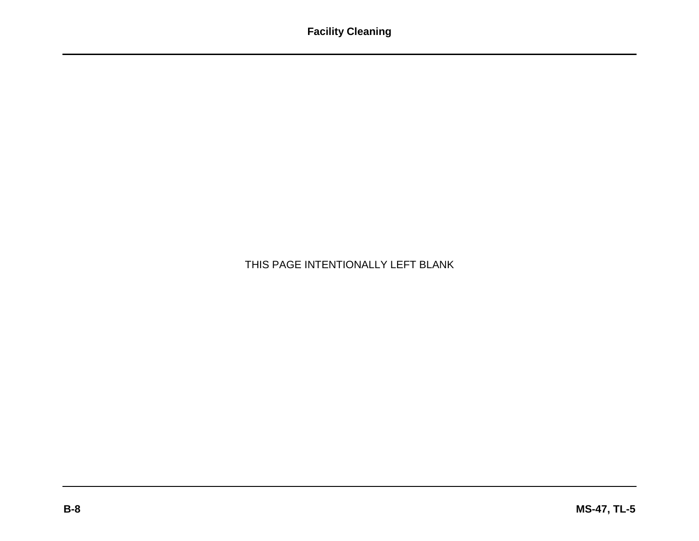## THIS PAGE INTENTIONALLY LEFT BLANK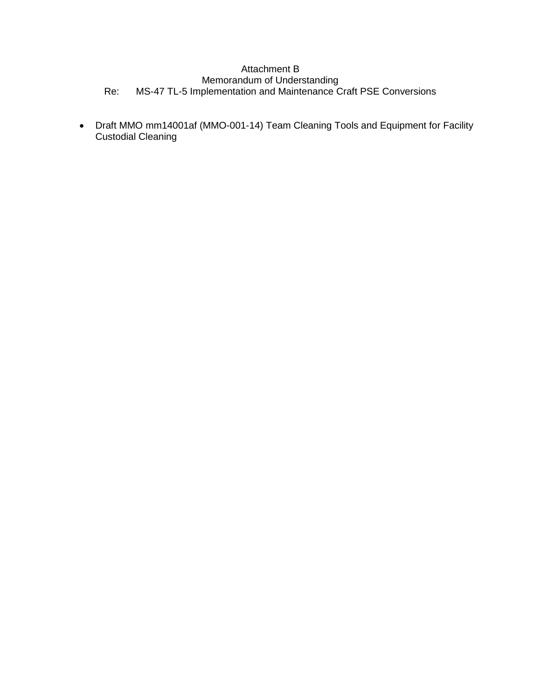#### Attachment B Memorandum of Understanding Re: MS-47 TL-5 Implementation and Maintenance Craft PSE Conversions

• Draft MMO mm14001af (MMO-001-14) Team Cleaning Tools and Equipment for Facility Custodial Cleaning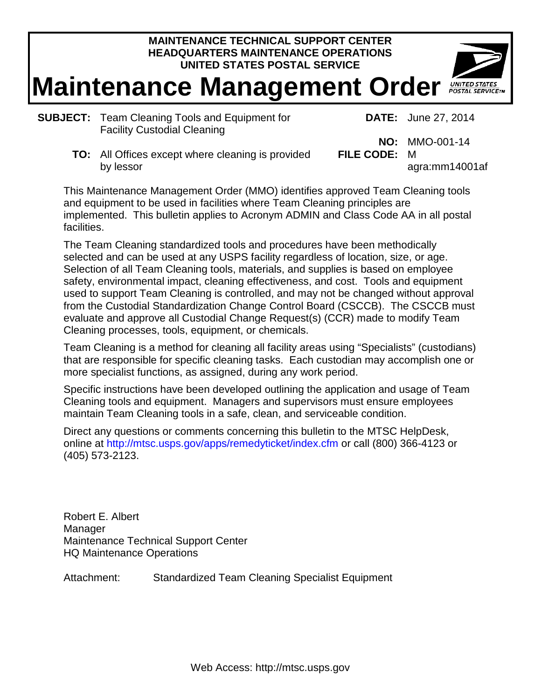# **MAINTENANCE TECHNICAL SUPPORT CENTER HEADQUARTERS MAINTENANCE OPERATIONS UNITED STATES POSTAL SERVICE Maintenance Management Order**

**SUBJECT:** Team Cleaning Tools and Equipment for Facility Custodial Cleaning

- **DATE:** June 27, 2014
- **TO:** All Offices except where cleaning is provided by lessor

**NO:** MMO-001-14 **FILE CODE:** M

agra:mm14001af

This Maintenance Management Order (MMO) identifies approved Team Cleaning tools and equipment to be used in facilities where Team Cleaning principles are implemented. This bulletin applies to Acronym ADMIN and Class Code AA in all postal facilities.

The Team Cleaning standardized tools and procedures have been methodically selected and can be used at any USPS facility regardless of location, size, or age. Selection of all Team Cleaning tools, materials, and supplies is based on employee safety, environmental impact, cleaning effectiveness, and cost. Tools and equipment used to support Team Cleaning is controlled, and may not be changed without approval from the Custodial Standardization Change Control Board (CSCCB). The CSCCB must evaluate and approve all Custodial Change Request(s) (CCR) made to modify Team Cleaning processes, tools, equipment, or chemicals.

Team Cleaning is a method for cleaning all facility areas using "Specialists" (custodians) that are responsible for specific cleaning tasks. Each custodian may accomplish one or more specialist functions, as assigned, during any work period.

Specific instructions have been developed outlining the application and usage of Team Cleaning tools and equipment. Managers and supervisors must ensure employees maintain Team Cleaning tools in a safe, clean, and serviceable condition.

Direct any questions or comments concerning this bulletin to the MTSC HelpDesk, online at<http://mtsc.usps.gov/apps/remedyticket/index.cfm> or call (800) 366-4123 or (405) 573-2123.

Robert E. Albert Manager Maintenance Technical Support Center HQ Maintenance Operations

Attachment: Standardized Team Cleaning Specialist Equipment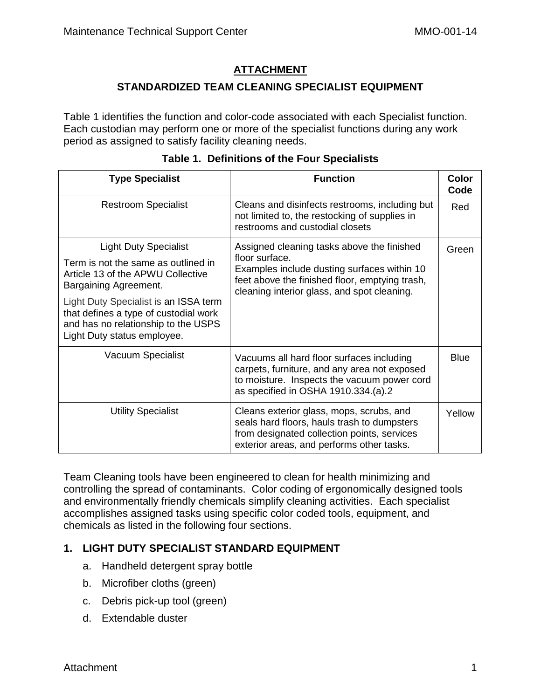## **ATTACHMENT**

### **STANDARDIZED TEAM CLEANING SPECIALIST EQUIPMENT**

Table 1 identifies the function and color-code associated with each Specialist function. Each custodian may perform one or more of the specialist functions during any work period as assigned to satisfy facility cleaning needs.

| <b>Type Specialist</b>                                                                                                                                                                                                                                                                    | <b>Function</b>                                                                                                                                                                                              | Color<br>Code |
|-------------------------------------------------------------------------------------------------------------------------------------------------------------------------------------------------------------------------------------------------------------------------------------------|--------------------------------------------------------------------------------------------------------------------------------------------------------------------------------------------------------------|---------------|
| <b>Restroom Specialist</b>                                                                                                                                                                                                                                                                | Cleans and disinfects restrooms, including but<br>not limited to, the restocking of supplies in<br>restrooms and custodial closets                                                                           | Red           |
| <b>Light Duty Specialist</b><br>Term is not the same as outlined in<br>Article 13 of the APWU Collective<br>Bargaining Agreement.<br>Light Duty Specialist is an ISSA term<br>that defines a type of custodial work<br>and has no relationship to the USPS<br>Light Duty status employee. | Assigned cleaning tasks above the finished<br>floor surface.<br>Examples include dusting surfaces within 10<br>feet above the finished floor, emptying trash,<br>cleaning interior glass, and spot cleaning. | Green         |
| Vacuum Specialist                                                                                                                                                                                                                                                                         | Vacuums all hard floor surfaces including<br>carpets, furniture, and any area not exposed<br>to moisture. Inspects the vacuum power cord<br>as specified in OSHA 1910.334.(a).2                              | <b>Blue</b>   |
| <b>Utility Specialist</b>                                                                                                                                                                                                                                                                 | Cleans exterior glass, mops, scrubs, and<br>seals hard floors, hauls trash to dumpsters<br>from designated collection points, services<br>exterior areas, and performs other tasks.                          | Yellow        |

|  | Table 1. Definitions of the Four Specialists |  |  |
|--|----------------------------------------------|--|--|
|--|----------------------------------------------|--|--|

Team Cleaning tools have been engineered to clean for health minimizing and controlling the spread of contaminants. Color coding of ergonomically designed tools and environmentally friendly chemicals simplify cleaning activities. Each specialist accomplishes assigned tasks using specific color coded tools, equipment, and chemicals as listed in the following four sections.

## **1. LIGHT DUTY SPECIALIST STANDARD EQUIPMENT**

- a. Handheld detergent spray bottle
- b. Microfiber cloths (green)
- c. Debris pick-up tool (green)
- d. Extendable duster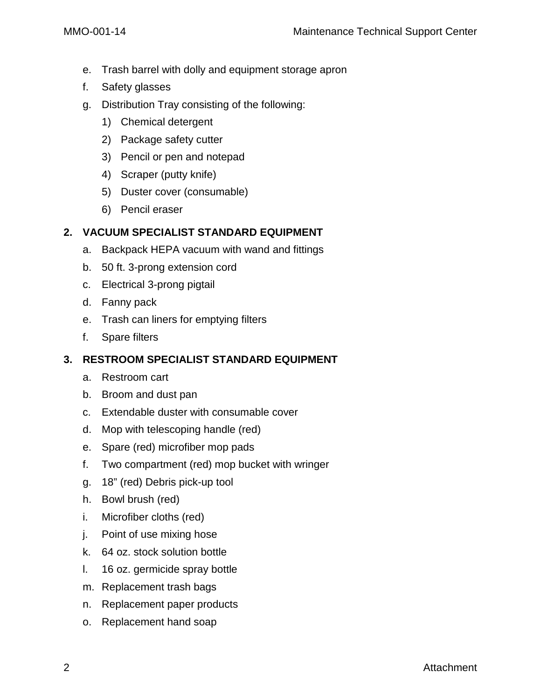- e. Trash barrel with dolly and equipment storage apron
- f. Safety glasses
- g. Distribution Tray consisting of the following:
	- 1) Chemical detergent
	- 2) Package safety cutter
	- 3) Pencil or pen and notepad
	- 4) Scraper (putty knife)
	- 5) Duster cover (consumable)
	- 6) Pencil eraser

### **2. VACUUM SPECIALIST STANDARD EQUIPMENT**

- a. Backpack HEPA vacuum with wand and fittings
- b. 50 ft. 3-prong extension cord
- c. Electrical 3-prong pigtail
- d. Fanny pack
- e. Trash can liners for emptying filters
- f. Spare filters

## **3. RESTROOM SPECIALIST STANDARD EQUIPMENT**

- a. Restroom cart
- b. Broom and dust pan
- c. Extendable duster with consumable cover
- d. Mop with telescoping handle (red)
- e. Spare (red) microfiber mop pads
- f. Two compartment (red) mop bucket with wringer
- g. 18" (red) Debris pick-up tool
- h. Bowl brush (red)
- i. Microfiber cloths (red)
- j. Point of use mixing hose
- k. 64 oz. stock solution bottle
- l. 16 oz. germicide spray bottle
- m. Replacement trash bags
- n. Replacement paper products
- o. Replacement hand soap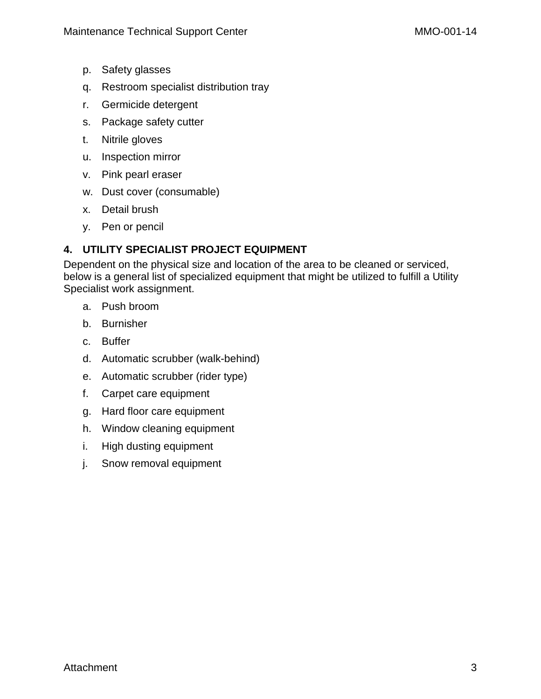- p. Safety glasses
- q. Restroom specialist distribution tray
- r. Germicide detergent
- s. Package safety cutter
- t. Nitrile gloves
- u. Inspection mirror
- v. Pink pearl eraser
- w. Dust cover (consumable)
- x. Detail brush
- y. Pen or pencil

## **4. UTILITY SPECIALIST PROJECT EQUIPMENT**

Dependent on the physical size and location of the area to be cleaned or serviced, below is a general list of specialized equipment that might be utilized to fulfill a Utility Specialist work assignment.

- a. Push broom
- b. Burnisher
- c. Buffer
- d. Automatic scrubber (walk-behind)
- e. Automatic scrubber (rider type)
- f. Carpet care equipment
- g. Hard floor care equipment
- h. Window cleaning equipment
- i. High dusting equipment
- j. Snow removal equipment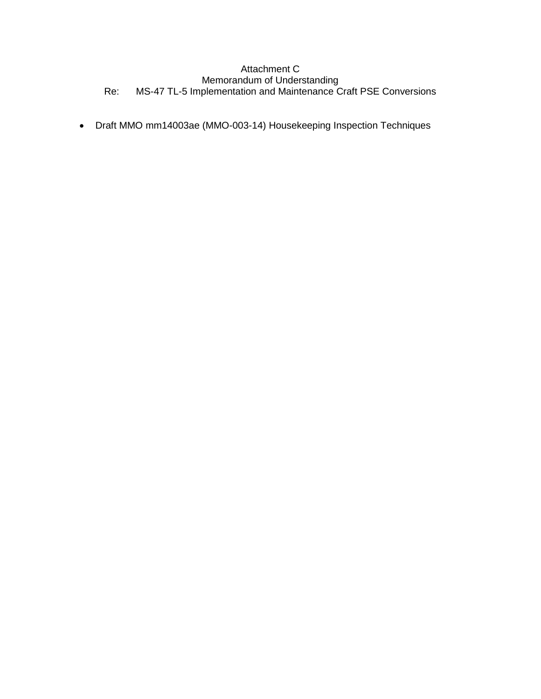#### Attachment C Memorandum of Understanding Re: MS-47 TL-5 Implementation and Maintenance Craft PSE Conversions

• Draft MMO mm14003ae (MMO-003-14) Housekeeping Inspection Techniques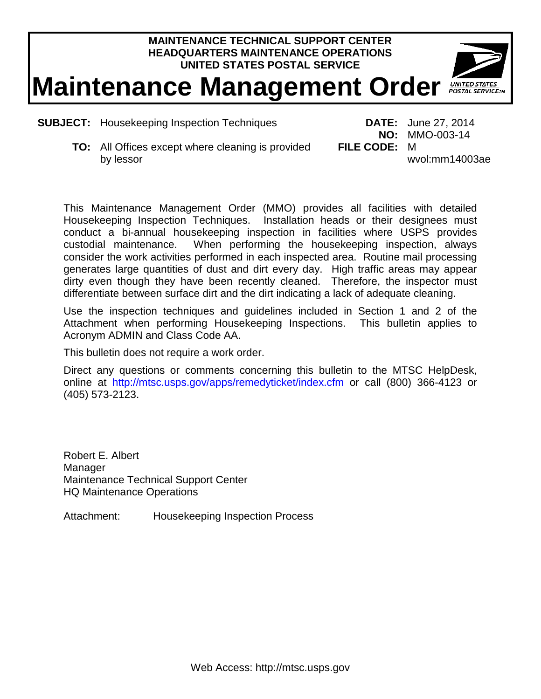## **MAINTENANCE TECHNICAL SUPPORT CENTER HEADQUARTERS MAINTENANCE OPERATIONS UNITED STATES POSTAL SERVICE Maintenance Management Order UNITED STATES**<br>POSTAL SERVICETM

- **SUBJECT:** Housekeeping Inspection Techniques **DATE:** June 27, 2014
	- **TO:** All Offices except where cleaning is provided by lessor

**NO:** MMO-003-14 **FILE CODE:** M wvol:mm14003ae

This Maintenance Management Order (MMO) provides all facilities with detailed Housekeeping Inspection Techniques. Installation heads or their designees must conduct a bi-annual housekeeping inspection in facilities where USPS provides custodial maintenance. When performing the housekeeping inspection, always consider the work activities performed in each inspected area. Routine mail processing generates large quantities of dust and dirt every day. High traffic areas may appear dirty even though they have been recently cleaned. Therefore, the inspector must differentiate between surface dirt and the dirt indicating a lack of adequate cleaning.

Use the inspection techniques and guidelines included in Section 1 and 2 of the Attachment when performing Housekeeping Inspections. This bulletin applies to Acronym ADMIN and Class Code AA.

This bulletin does not require a work order.

Direct any questions or comments concerning this bulletin to the MTSC HelpDesk, online at <http://mtsc.usps.gov/apps/remedyticket/index.cfm> or call (800) 366-4123 or (405) 573-2123.

Robert E. Albert Manager Maintenance Technical Support Center HQ Maintenance Operations

Attachment: Housekeeping Inspection Process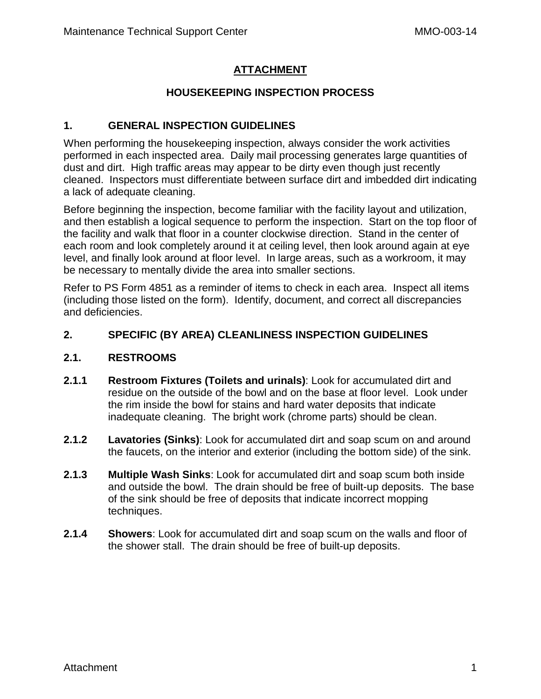## **ATTACHMENT**

### **HOUSEKEEPING INSPECTION PROCESS**

#### **1. GENERAL INSPECTION GUIDELINES**

When performing the housekeeping inspection, always consider the work activities performed in each inspected area. Daily mail processing generates large quantities of dust and dirt. High traffic areas may appear to be dirty even though just recently cleaned. Inspectors must differentiate between surface dirt and imbedded dirt indicating a lack of adequate cleaning.

Before beginning the inspection, become familiar with the facility layout and utilization, and then establish a logical sequence to perform the inspection. Start on the top floor of the facility and walk that floor in a counter clockwise direction. Stand in the center of each room and look completely around it at ceiling level, then look around again at eye level, and finally look around at floor level. In large areas, such as a workroom, it may be necessary to mentally divide the area into smaller sections.

Refer to PS [Form 4851](http://blue.usps.gov/formmgmt/forms/4851.pdf) as a reminder of items to check in each area. Inspect all items (including those listed on the form). Identify, document, and correct all discrepancies and deficiencies.

#### **2. SPECIFIC (BY AREA) CLEANLINESS INSPECTION GUIDELINES**

#### **2.1. RESTROOMS**

- **2.1.1 Restroom Fixtures (Toilets and urinals)**: Look for accumulated dirt and residue on the outside of the bowl and on the base at floor level. Look under the rim inside the bowl for stains and hard water deposits that indicate inadequate cleaning. The bright work (chrome parts) should be clean.
- **2.1.2 Lavatories (Sinks)**: Look for accumulated dirt and soap scum on and around the faucets, on the interior and exterior (including the bottom side) of the sink.
- **2.1.3 Multiple Wash Sinks**: Look for accumulated dirt and soap scum both inside and outside the bowl. The drain should be free of built-up deposits. The base of the sink should be free of deposits that indicate incorrect mopping techniques.
- **2.1.4 Showers**: Look for accumulated dirt and soap scum on the walls and floor of the shower stall. The drain should be free of built-up deposits.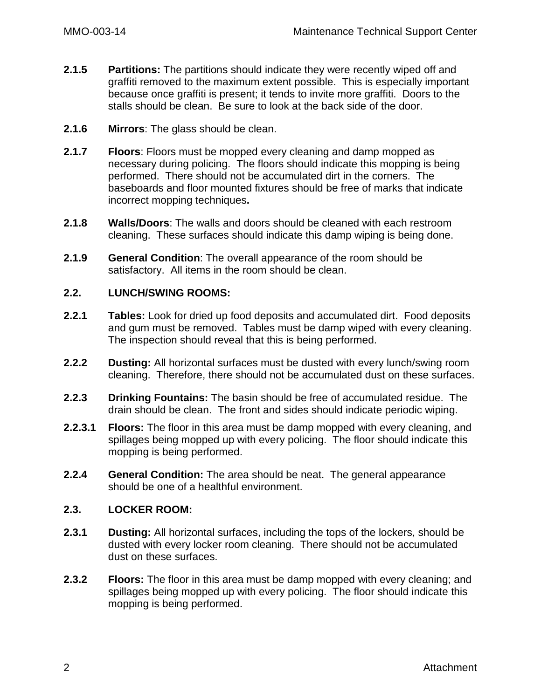- **2.1.5 Partitions:** The partitions should indicate they were recently wiped off and graffiti removed to the maximum extent possible. This is especially important because once graffiti is present; it tends to invite more graffiti. Doors to the stalls should be clean. Be sure to look at the back side of the door.
- **2.1.6 Mirrors**: The glass should be clean.
- **2.1.7 Floors**: Floors must be mopped every cleaning and damp mopped as necessary during policing. The floors should indicate this mopping is being performed. There should not be accumulated dirt in the corners. The baseboards and floor mounted fixtures should be free of marks that indicate incorrect mopping techniques**.**
- **2.1.8 Walls/Doors**: The walls and doors should be cleaned with each restroom cleaning. These surfaces should indicate this damp wiping is being done.
- **2.1.9 General Condition**: The overall appearance of the room should be satisfactory. All items in the room should be clean.

#### **2.2. LUNCH/SWING ROOMS:**

- **2.2.1 Tables:** Look for dried up food deposits and accumulated dirt. Food deposits and gum must be removed. Tables must be damp wiped with every cleaning. The inspection should reveal that this is being performed.
- **2.2.2 Dusting:** All horizontal surfaces must be dusted with every lunch/swing room cleaning. Therefore, there should not be accumulated dust on these surfaces.
- **2.2.3 Drinking Fountains:** The basin should be free of accumulated residue. The drain should be clean. The front and sides should indicate periodic wiping.
- **2.2.3.1 Floors:** The floor in this area must be damp mopped with every cleaning, and spillages being mopped up with every policing. The floor should indicate this mopping is being performed.
- **2.2.4 General Condition:** The area should be neat. The general appearance should be one of a healthful environment.

#### **2.3. LOCKER ROOM:**

- **2.3.1 Dusting:** All horizontal surfaces, including the tops of the lockers, should be dusted with every locker room cleaning. There should not be accumulated dust on these surfaces.
- **2.3.2 Floors:** The floor in this area must be damp mopped with every cleaning; and spillages being mopped up with every policing. The floor should indicate this mopping is being performed.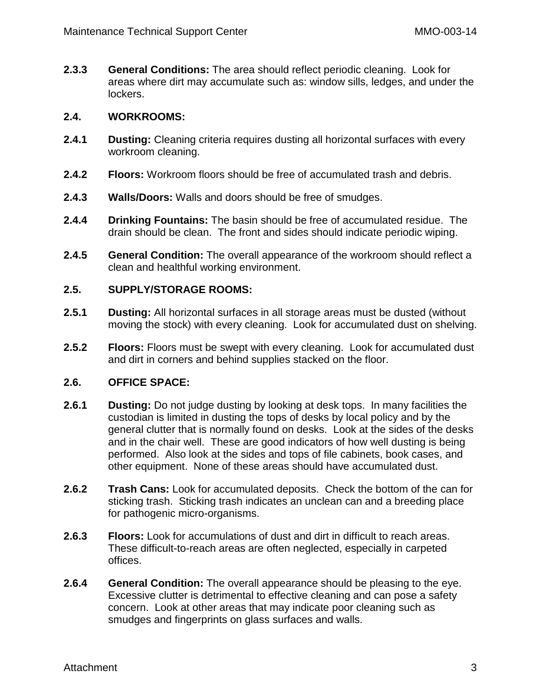**2.3.3 General Conditions:** The area should reflect periodic cleaning. Look for areas where dirt may accumulate such as: window sills, ledges, and under the lockers.

#### **2.4. WORKROOMS:**

- **2.4.1 Dusting:** Cleaning criteria requires dusting all horizontal surfaces with every workroom cleaning.
- **2.4.2 Floors:** Workroom floors should be free of accumulated trash and debris.
- **2.4.3 Walls/Doors:** Walls and doors should be free of smudges.
- **2.4.4 Drinking Fountains:** The basin should be free of accumulated residue. The drain should be clean. The front and sides should indicate periodic wiping.
- **2.4.5 General Condition:** The overall appearance of the workroom should reflect a clean and healthful working environment.

#### **2.5. SUPPLY/STORAGE ROOMS:**

- **2.5.1 Dusting:** All horizontal surfaces in all storage areas must be dusted (without moving the stock) with every cleaning. Look for accumulated dust on shelving.
- **2.5.2 Floors:** Floors must be swept with every cleaning. Look for accumulated dust and dirt in corners and behind supplies stacked on the floor.

#### **2.6. OFFICE SPACE:**

- **2.6.1 Dusting:** Do not judge dusting by looking at desk tops. In many facilities the custodian is limited in dusting the tops of desks by local policy and by the general clutter that is normally found on desks. Look at the sides of the desks and in the chair well. These are good indicators of how well dusting is being performed. Also look at the sides and tops of file cabinets, book cases, and other equipment. None of these areas should have accumulated dust.
- **2.6.2 Trash Cans:** Look for accumulated deposits. Check the bottom of the can for sticking trash. Sticking trash indicates an unclean can and a breeding place for pathogenic micro-organisms.
- **2.6.3 Floors:** Look for accumulations of dust and dirt in difficult to reach areas. These difficult-to-reach areas are often neglected, especially in carpeted offices.
- **2.6.4 General Condition:** The overall appearance should be pleasing to the eye. Excessive clutter is detrimental to effective cleaning and can pose a safety concern. Look at other areas that may indicate poor cleaning such as smudges and fingerprints on glass surfaces and walls.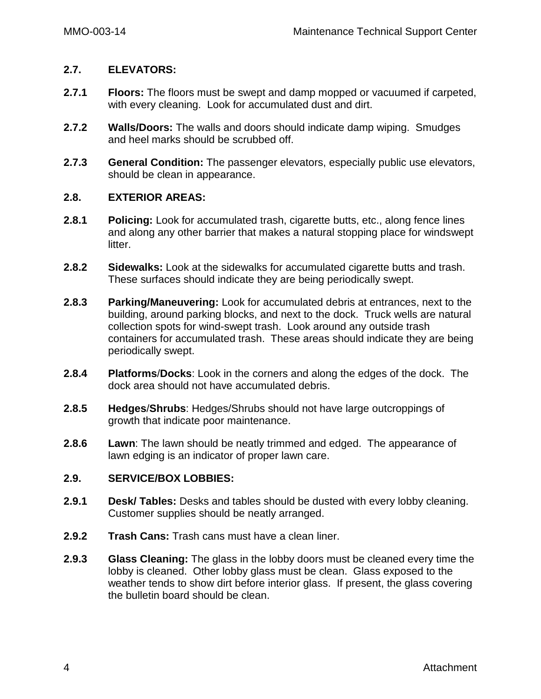### **2.7. ELEVATORS:**

- **2.7.1 Floors:** The floors must be swept and damp mopped or vacuumed if carpeted, with every cleaning. Look for accumulated dust and dirt.
- **2.7.2 Walls/Doors:** The walls and doors should indicate damp wiping. Smudges and heel marks should be scrubbed off.
- **2.7.3 General Condition:** The passenger elevators, especially public use elevators, should be clean in appearance.

#### **2.8. EXTERIOR AREAS:**

- **2.8.1 Policing:** Look for accumulated trash, cigarette butts, etc., along fence lines and along any other barrier that makes a natural stopping place for windswept litter.
- **2.8.2 Sidewalks:** Look at the sidewalks for accumulated cigarette butts and trash. These surfaces should indicate they are being periodically swept.
- **2.8.3 Parking/Maneuvering:** Look for accumulated debris at entrances, next to the building, around parking blocks, and next to the dock. Truck wells are natural collection spots for wind-swept trash. Look around any outside trash containers for accumulated trash. These areas should indicate they are being periodically swept.
- **2.8.4 Platforms**/**Docks**: Look in the corners and along the edges of the dock. The dock area should not have accumulated debris.
- **2.8.5 Hedges**/**Shrubs**: Hedges/Shrubs should not have large outcroppings of growth that indicate poor maintenance.
- **2.8.6 Lawn**: The lawn should be neatly trimmed and edged. The appearance of lawn edging is an indicator of proper lawn care.

## **2.9. SERVICE/BOX LOBBIES:**

- **2.9.1 Desk/ Tables:** Desks and tables should be dusted with every lobby cleaning. Customer supplies should be neatly arranged.
- **2.9.2 Trash Cans:** Trash cans must have a clean liner.
- **2.9.3 Glass Cleaning:** The glass in the lobby doors must be cleaned every time the lobby is cleaned. Other lobby glass must be clean. Glass exposed to the weather tends to show dirt before interior glass. If present, the glass covering the bulletin board should be clean.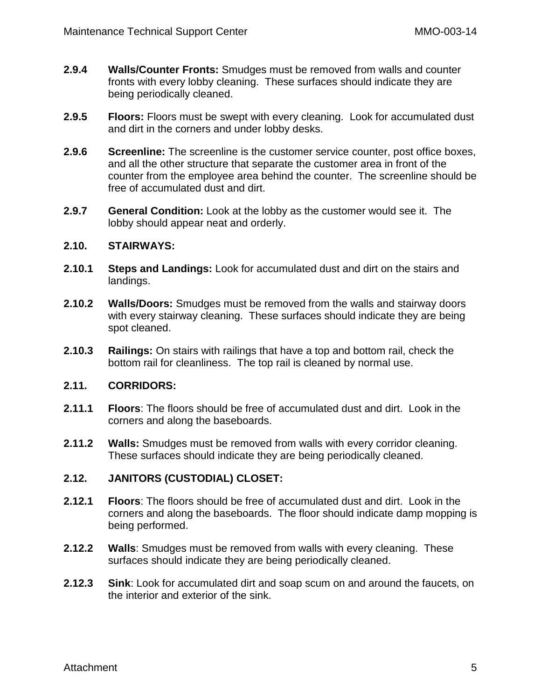- **2.9.4 Walls/Counter Fronts:** Smudges must be removed from walls and counter fronts with every lobby cleaning. These surfaces should indicate they are being periodically cleaned.
- **2.9.5 Floors:** Floors must be swept with every cleaning. Look for accumulated dust and dirt in the corners and under lobby desks.
- **2.9.6 Screenline:** The screenline is the customer service counter, post office boxes, and all the other structure that separate the customer area in front of the counter from the employee area behind the counter. The screenline should be free of accumulated dust and dirt.
- **2.9.7 General Condition:** Look at the lobby as the customer would see it. The lobby should appear neat and orderly.

#### **2.10. STAIRWAYS:**

- **2.10.1 Steps and Landings:** Look for accumulated dust and dirt on the stairs and landings.
- **2.10.2 Walls/Doors:** Smudges must be removed from the walls and stairway doors with every stairway cleaning. These surfaces should indicate they are being spot cleaned.
- **2.10.3 Railings:** On stairs with railings that have a top and bottom rail, check the bottom rail for cleanliness. The top rail is cleaned by normal use.

#### **2.11. CORRIDORS:**

- **2.11.1 Floors**: The floors should be free of accumulated dust and dirt. Look in the corners and along the baseboards.
- **2.11.2 Walls:** Smudges must be removed from walls with every corridor cleaning. These surfaces should indicate they are being periodically cleaned.

#### **2.12. JANITORS (CUSTODIAL) CLOSET:**

- **2.12.1 Floors**: The floors should be free of accumulated dust and dirt. Look in the corners and along the baseboards. The floor should indicate damp mopping is being performed.
- **2.12.2 Walls**: Smudges must be removed from walls with every cleaning. These surfaces should indicate they are being periodically cleaned.
- **2.12.3 Sink**: Look for accumulated dirt and soap scum on and around the faucets, on the interior and exterior of the sink.